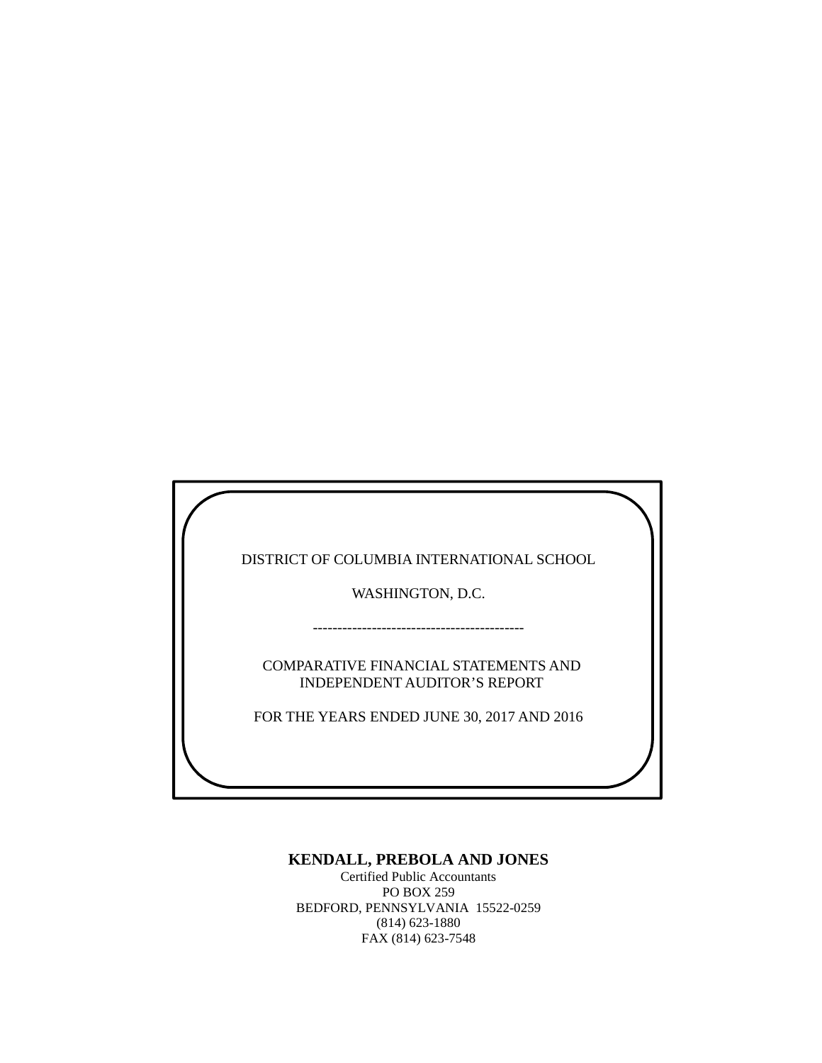DISTRICT OF COLUMBIA INTERNATIONAL SCHOOL

WASHINGTON, D.C.

COMPARATIVE FINANCIAL STATEMENTS AND INDEPENDENT AUDITOR'S REPORT

-------------------------------------------

FOR THE YEARS ENDED JUNE 30, 2017 AND 2016

## **KENDALL, PREBOLA AND JONES**

Certified Public Accountants PO BOX 259 BEDFORD, PENNSYLVANIA 15522-0259 (814) 623-1880 FAX (814) 623-7548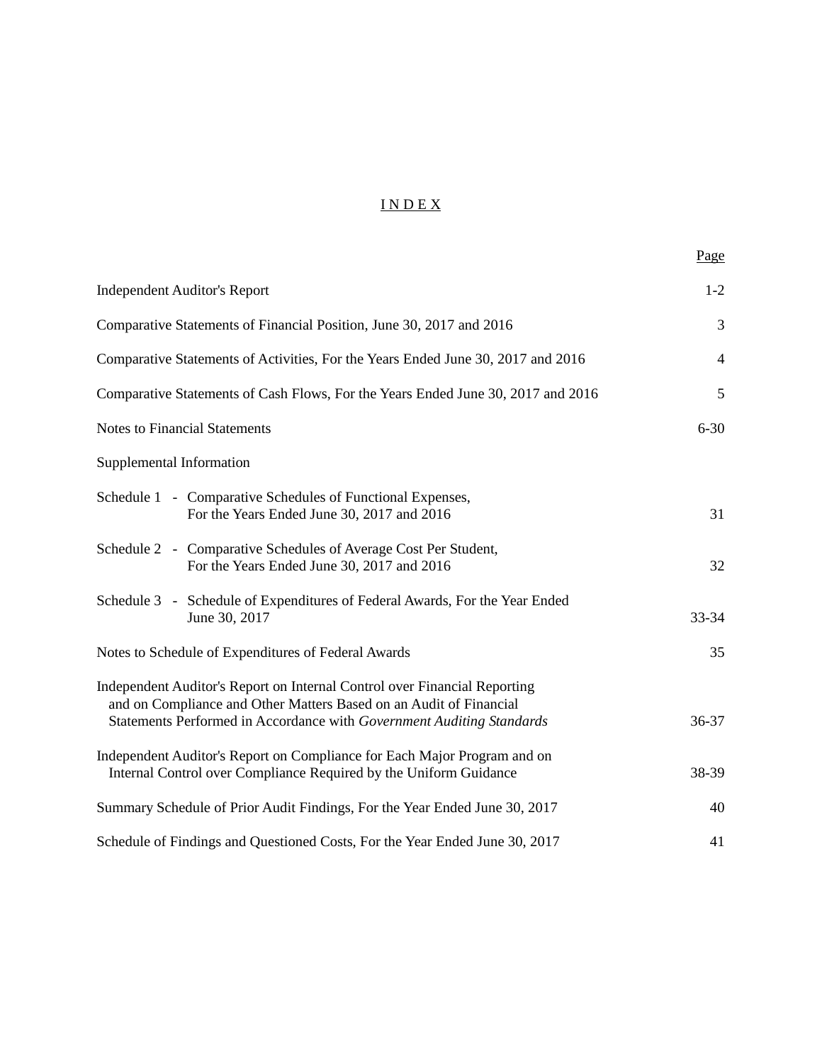# I N D E X

|                                                                                                                                                                                                                          | Page           |
|--------------------------------------------------------------------------------------------------------------------------------------------------------------------------------------------------------------------------|----------------|
| <b>Independent Auditor's Report</b>                                                                                                                                                                                      | $1 - 2$        |
| Comparative Statements of Financial Position, June 30, 2017 and 2016                                                                                                                                                     | 3              |
| Comparative Statements of Activities, For the Years Ended June 30, 2017 and 2016                                                                                                                                         | $\overline{4}$ |
| Comparative Statements of Cash Flows, For the Years Ended June 30, 2017 and 2016                                                                                                                                         | 5              |
| <b>Notes to Financial Statements</b>                                                                                                                                                                                     | $6 - 30$       |
| Supplemental Information                                                                                                                                                                                                 |                |
| Schedule 1 - Comparative Schedules of Functional Expenses,<br>For the Years Ended June 30, 2017 and 2016                                                                                                                 | 31             |
| Schedule 2 - Comparative Schedules of Average Cost Per Student,<br>For the Years Ended June 30, 2017 and 2016                                                                                                            | 32             |
| Schedule 3 - Schedule of Expenditures of Federal Awards, For the Year Ended<br>June 30, 2017                                                                                                                             | $33 - 34$      |
| Notes to Schedule of Expenditures of Federal Awards                                                                                                                                                                      | 35             |
| Independent Auditor's Report on Internal Control over Financial Reporting<br>and on Compliance and Other Matters Based on an Audit of Financial<br>Statements Performed in Accordance with Government Auditing Standards | 36-37          |
| Independent Auditor's Report on Compliance for Each Major Program and on<br>Internal Control over Compliance Required by the Uniform Guidance                                                                            | 38-39          |
| Summary Schedule of Prior Audit Findings, For the Year Ended June 30, 2017                                                                                                                                               | 40             |
| Schedule of Findings and Questioned Costs, For the Year Ended June 30, 2017                                                                                                                                              | 41             |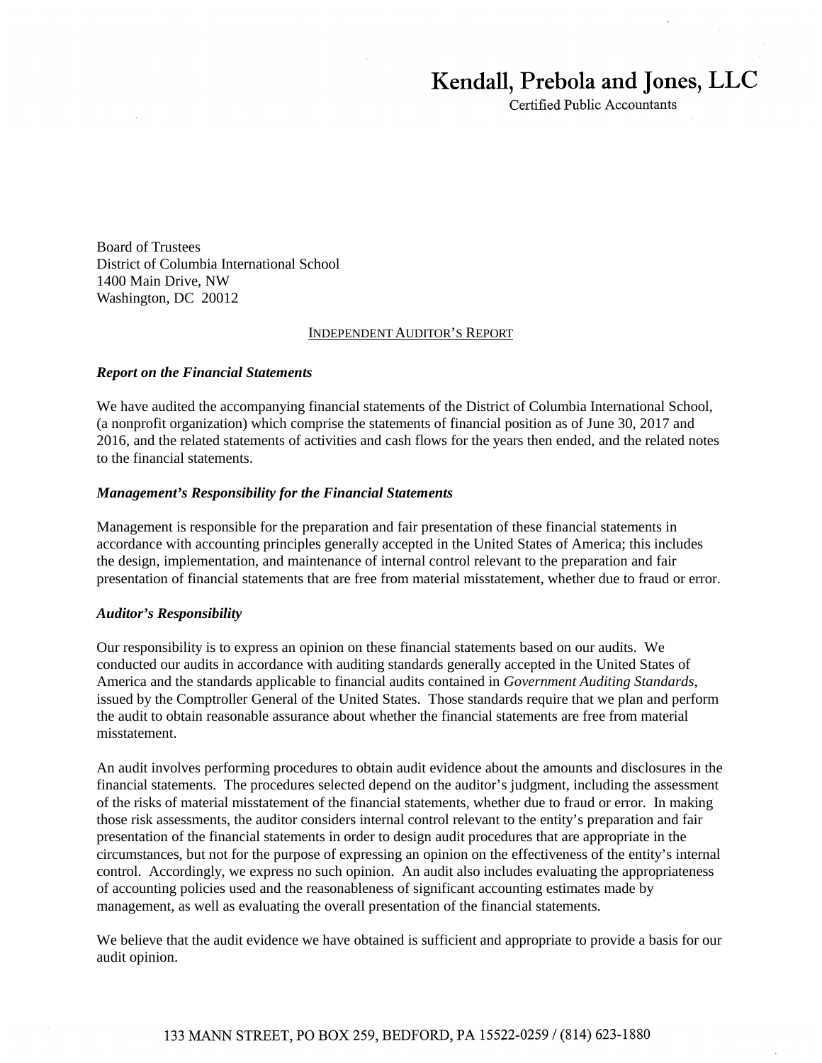# Kendall, Prebola and Jones, LLC

**Certified Public Accountants** 

Board of Trustees District of Columbia International School 1400 Main Drive, NW Washington, DC 20012

#### INDEPENDENT AUDITOR'S REPORT

#### *Report on the Financial Statements*

We have audited the accompanying financial statements of the District of Columbia International School, (a nonprofit organization) which comprise the statements of financial position as of June 30, 2017 and 2016, and the related statements of activities and cash flows for the years then ended, and the related notes to the financial statements.

#### *Management's Responsibility for the Financial Statements*

Management is responsible for the preparation and fair presentation of these financial statements in accordance with accounting principles generally accepted in the United States of America; this includes the design, implementation, and maintenance of internal control relevant to the preparation and fair presentation of financial statements that are free from material misstatement, whether due to fraud or error.

#### *Auditor's Responsibility*

Our responsibility is to express an opinion on these financial statements based on our audits. We conducted our audits in accordance with auditing standards generally accepted in the United States of America and the standards applicable to financial audits contained in *Government Auditing Standards*, issued by the Comptroller General of the United States. Those standards require that we plan and perform the audit to obtain reasonable assurance about whether the financial statements are free from material misstatement.

An audit involves performing procedures to obtain audit evidence about the amounts and disclosures in the financial statements. The procedures selected depend on the auditor's judgment, including the assessment of the risks of material misstatement of the financial statements, whether due to fraud or error. In making those risk assessments, the auditor considers internal control relevant to the entity's preparation and fair presentation of the financial statements in order to design audit procedures that are appropriate in the circumstances, but not for the purpose of expressing an opinion on the effectiveness of the entity's internal control. Accordingly, we express no such opinion. An audit also includes evaluating the appropriateness of accounting policies used and the reasonableness of significant accounting estimates made by management, as well as evaluating the overall presentation of the financial statements.

We believe that the audit evidence we have obtained is sufficient and appropriate to provide a basis for our audit opinion.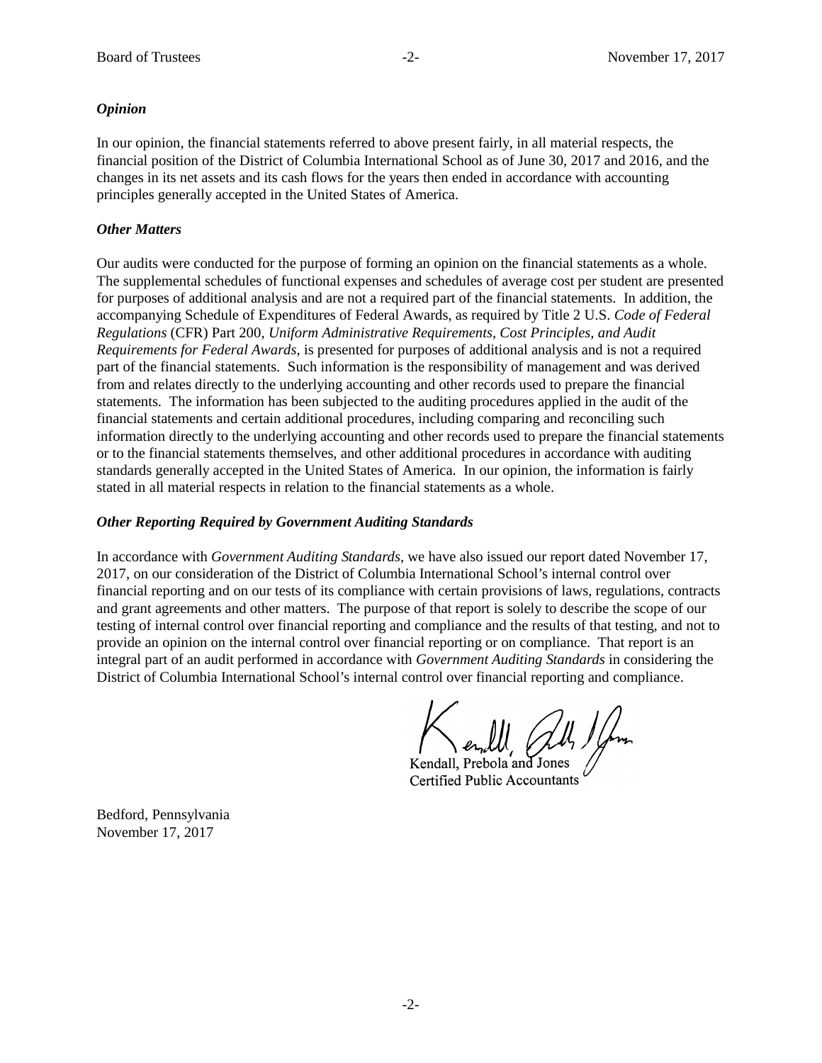#### *Opinion*

In our opinion, the financial statements referred to above present fairly, in all material respects, the financial position of the District of Columbia International School as of June 30, 2017 and 2016, and the changes in its net assets and its cash flows for the years then ended in accordance with accounting principles generally accepted in the United States of America.

#### *Other Matters*

Our audits were conducted for the purpose of forming an opinion on the financial statements as a whole. The supplemental schedules of functional expenses and schedules of average cost per student are presented for purposes of additional analysis and are not a required part of the financial statements. In addition, the accompanying Schedule of Expenditures of Federal Awards, as required by Title 2 U.S. *Code of Federal Regulations* (CFR) Part 200, *Uniform Administrative Requirements, Cost Principles, and Audit Requirements for Federal Awards*, is presented for purposes of additional analysis and is not a required part of the financial statements. Such information is the responsibility of management and was derived from and relates directly to the underlying accounting and other records used to prepare the financial statements. The information has been subjected to the auditing procedures applied in the audit of the financial statements and certain additional procedures, including comparing and reconciling such information directly to the underlying accounting and other records used to prepare the financial statements or to the financial statements themselves, and other additional procedures in accordance with auditing standards generally accepted in the United States of America. In our opinion, the information is fairly stated in all material respects in relation to the financial statements as a whole.

#### *Other Reporting Required by Government Auditing Standards*

In accordance with *Government Auditing Standards*, we have also issued our report dated November 17, 2017, on our consideration of the District of Columbia International School's internal control over financial reporting and on our tests of its compliance with certain provisions of laws, regulations, contracts and grant agreements and other matters. The purpose of that report is solely to describe the scope of our testing of internal control over financial reporting and compliance and the results of that testing, and not to provide an opinion on the internal control over financial reporting or on compliance. That report is an integral part of an audit performed in accordance with *Government Auditing Standards* in considering the District of Columbia International School's internal control over financial reporting and compliance.

Kendall, Prebola and Jones Certified Public Accountants

Bedford, Pennsylvania November 17, 2017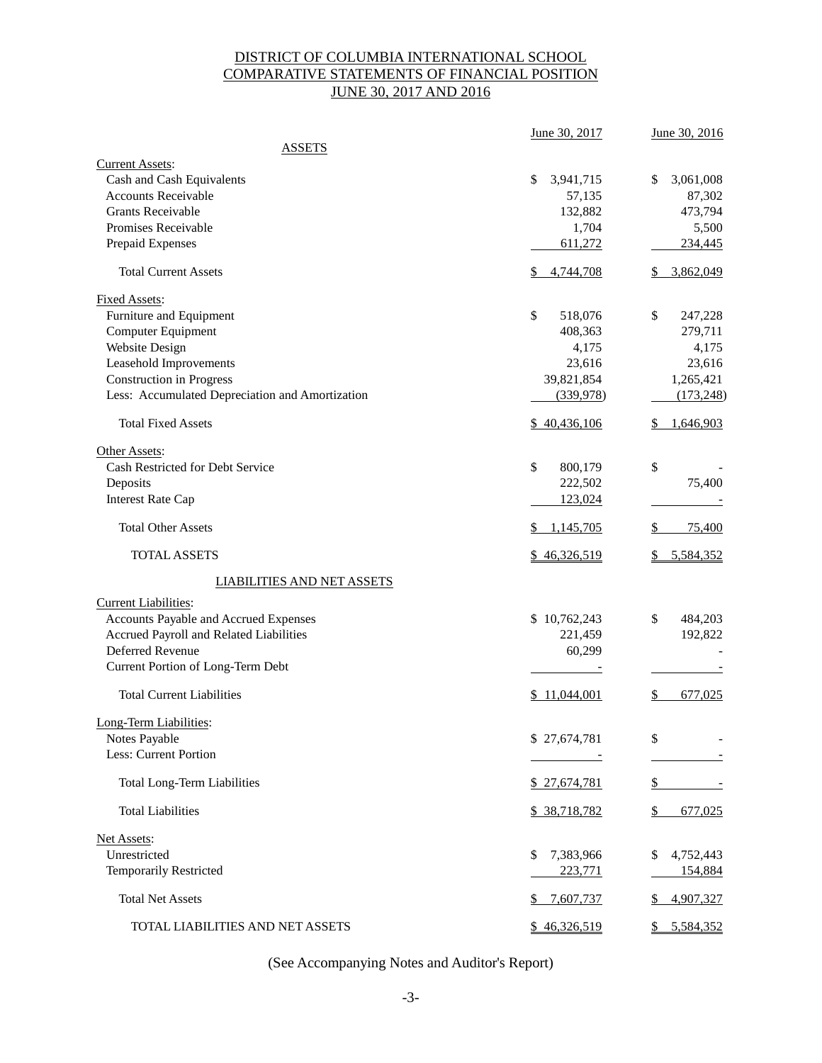# DISTRICT OF COLUMBIA INTERNATIONAL SCHOOL COMPARATIVE STATEMENTS OF FINANCIAL POSITION JUNE 30, 2017 AND 2016

|                                                                                                                                                                                                         | June 30, 2017                                                          | June 30, 2016                                                          |
|---------------------------------------------------------------------------------------------------------------------------------------------------------------------------------------------------------|------------------------------------------------------------------------|------------------------------------------------------------------------|
| <b>ASSETS</b>                                                                                                                                                                                           |                                                                        |                                                                        |
| <b>Current Assets:</b><br>Cash and Cash Equivalents<br><b>Accounts Receivable</b><br><b>Grants Receivable</b><br>Promises Receivable<br>Prepaid Expenses                                                | \$<br>3,941,715<br>57,135<br>132,882<br>1,704<br>611,272               | \$<br>3,061,008<br>87,302<br>473,794<br>5,500<br>234,445               |
| <b>Total Current Assets</b>                                                                                                                                                                             | 4,744,708<br>\$                                                        | 3,862,049                                                              |
| <b>Fixed Assets:</b><br>Furniture and Equipment<br>Computer Equipment<br>Website Design<br>Leasehold Improvements<br><b>Construction</b> in Progress<br>Less: Accumulated Depreciation and Amortization | \$<br>518,076<br>408,363<br>4,175<br>23,616<br>39,821,854<br>(339,978) | \$<br>247,228<br>279,711<br>4,175<br>23,616<br>1,265,421<br>(173, 248) |
| <b>Total Fixed Assets</b>                                                                                                                                                                               | \$40,436,106                                                           | 1,646,903                                                              |
| Other Assets:<br>Cash Restricted for Debt Service<br>Deposits<br><b>Interest Rate Cap</b>                                                                                                               | \$<br>800,179<br>222,502<br>123,024                                    | \$<br>75,400                                                           |
| <b>Total Other Assets</b>                                                                                                                                                                               | 1,145,705                                                              | \$<br>75,400                                                           |
| <b>TOTAL ASSETS</b>                                                                                                                                                                                     | \$46,326,519                                                           | 5,584,352                                                              |
| <b>LIABILITIES AND NET ASSETS</b>                                                                                                                                                                       |                                                                        |                                                                        |
| <b>Current Liabilities:</b><br>Accounts Payable and Accrued Expenses<br>Accrued Payroll and Related Liabilities<br>Deferred Revenue<br>Current Portion of Long-Term Debt                                | \$10,762,243<br>221,459<br>60,299                                      | \$<br>484,203<br>192,822                                               |
| <b>Total Current Liabilities</b>                                                                                                                                                                        | \$11,044,001                                                           | \$<br>677,025                                                          |
| Long-Term Liabilities:<br>Notes Payable<br>Less: Current Portion                                                                                                                                        | \$27,674,781                                                           | \$                                                                     |
| <b>Total Long-Term Liabilities</b>                                                                                                                                                                      | \$27,674,781                                                           | \$                                                                     |
| <b>Total Liabilities</b>                                                                                                                                                                                | \$ 38,718,782                                                          | \$<br>677,025                                                          |
| Net Assets:<br>Unrestricted<br><b>Temporarily Restricted</b>                                                                                                                                            | 7,383,966<br>\$<br>223,771                                             | \$<br>4,752,443<br>154,884                                             |
| <b>Total Net Assets</b>                                                                                                                                                                                 | 7,607,737                                                              | 4,907,327                                                              |
| TOTAL LIABILITIES AND NET ASSETS                                                                                                                                                                        | \$46,326,519                                                           | 5,584,352<br>$\mathbb{S}^-$                                            |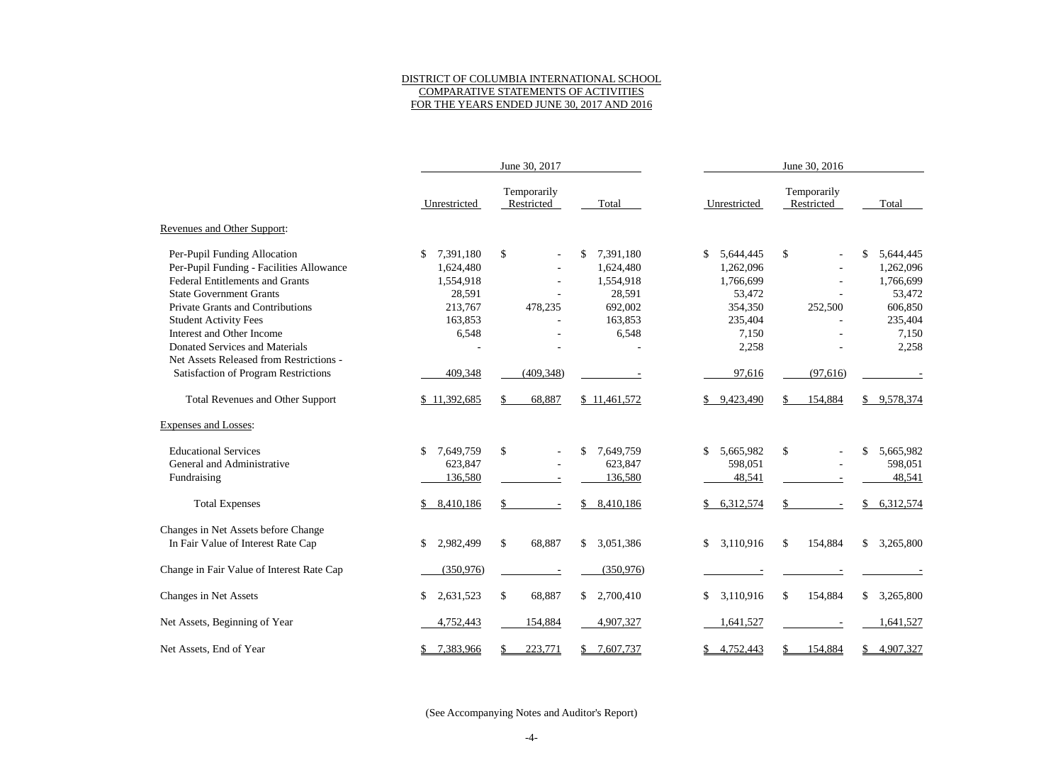## DISTRICT OF COLUMBIA INTERNATIONAL SCHOOL COMPARATIVE STATEMENTS OF ACTIVITIES FOR THE YEARS ENDED JUNE 30, 2017 AND 2016

|                                             | June 30, 2017   |                           |                           | June 30, 2016    |                           |                           |  |  |
|---------------------------------------------|-----------------|---------------------------|---------------------------|------------------|---------------------------|---------------------------|--|--|
|                                             | Unrestricted    | Temporarily<br>Restricted | Total                     | Unrestricted     | Temporarily<br>Restricted | Total                     |  |  |
| Revenues and Other Support:                 |                 |                           |                           |                  |                           |                           |  |  |
| Per-Pupil Funding Allocation                | 7,391,180<br>\$ | $\boldsymbol{\mathsf{S}}$ | $\mathbb{S}$<br>7,391,180 | \$<br>5,644,445  | \$                        | 5,644,445                 |  |  |
| Per-Pupil Funding - Facilities Allowance    | 1,624,480       |                           | 1,624,480                 | 1,262,096        |                           | 1,262,096                 |  |  |
| <b>Federal Entitlements and Grants</b>      | 1,554,918       |                           | 1,554,918                 | 1,766,699        |                           | 1,766,699                 |  |  |
| <b>State Government Grants</b>              | 28,591          |                           | 28,591                    | 53,472           |                           | 53,472                    |  |  |
| <b>Private Grants and Contributions</b>     | 213,767         | 478,235                   | 692,002                   | 354,350          | 252,500                   | 606,850                   |  |  |
| <b>Student Activity Fees</b>                | 163,853         |                           | 163,853                   | 235,404          |                           | 235,404                   |  |  |
| Interest and Other Income                   | 6,548           |                           | 6,548                     | 7,150            |                           | 7,150                     |  |  |
| <b>Donated Services and Materials</b>       |                 |                           |                           | 2,258            |                           | 2,258                     |  |  |
| Net Assets Released from Restrictions -     |                 |                           |                           |                  |                           |                           |  |  |
| <b>Satisfaction of Program Restrictions</b> | 409,348         | (409, 348)                |                           | 97,616           | (97, 616)                 |                           |  |  |
| <b>Total Revenues and Other Support</b>     | \$11,392,685    | 68,887                    | \$11,461,572              | 9,423,490<br>\$  | 154,884                   | 9,578,374<br>\$           |  |  |
| <b>Expenses and Losses:</b>                 |                 |                           |                           |                  |                           |                           |  |  |
| <b>Educational Services</b>                 | 7,649,759<br>\$ | $\boldsymbol{\mathsf{S}}$ | \$<br>7,649,759           | \$<br>5,665,982  | \$                        | 5,665,982<br>\$           |  |  |
| General and Administrative                  | 623,847         |                           | 623,847                   | 598,051          |                           | 598,051                   |  |  |
| Fundraising                                 | 136,580         |                           | 136,580                   | 48,541           |                           | 48,541                    |  |  |
| <b>Total Expenses</b>                       | 8,410,186       | \$.                       | 8,410,186<br>\$           | 6,312,574<br>\$  |                           | 6,312,574<br>\$           |  |  |
| Changes in Net Assets before Change         |                 |                           |                           |                  |                           |                           |  |  |
| In Fair Value of Interest Rate Cap          | 2,982,499<br>\$ | $\mathbb{S}$<br>68,887    | \$<br>3,051,386           | \$<br>3,110,916  | 154,884<br>\$             | 3,265,800<br>\$           |  |  |
| Change in Fair Value of Interest Rate Cap   | (350, 976)      |                           | (350, 976)                |                  |                           |                           |  |  |
| Changes in Net Assets                       | \$<br>2,631,523 | \$<br>68,887              | 2,700,410<br>\$           | 3,110,916<br>\$  | 154,884<br>\$             | $\mathbb{S}$<br>3,265,800 |  |  |
| Net Assets, Beginning of Year               | 4,752,443       | 154,884                   | 4,907,327                 | 1,641,527        |                           | 1,641,527                 |  |  |
| Net Assets, End of Year                     | 7,383,966       | 223,771                   | 7,607,737<br>\$           | 4,752,443<br>\$. | 154,884                   | 4,907,327                 |  |  |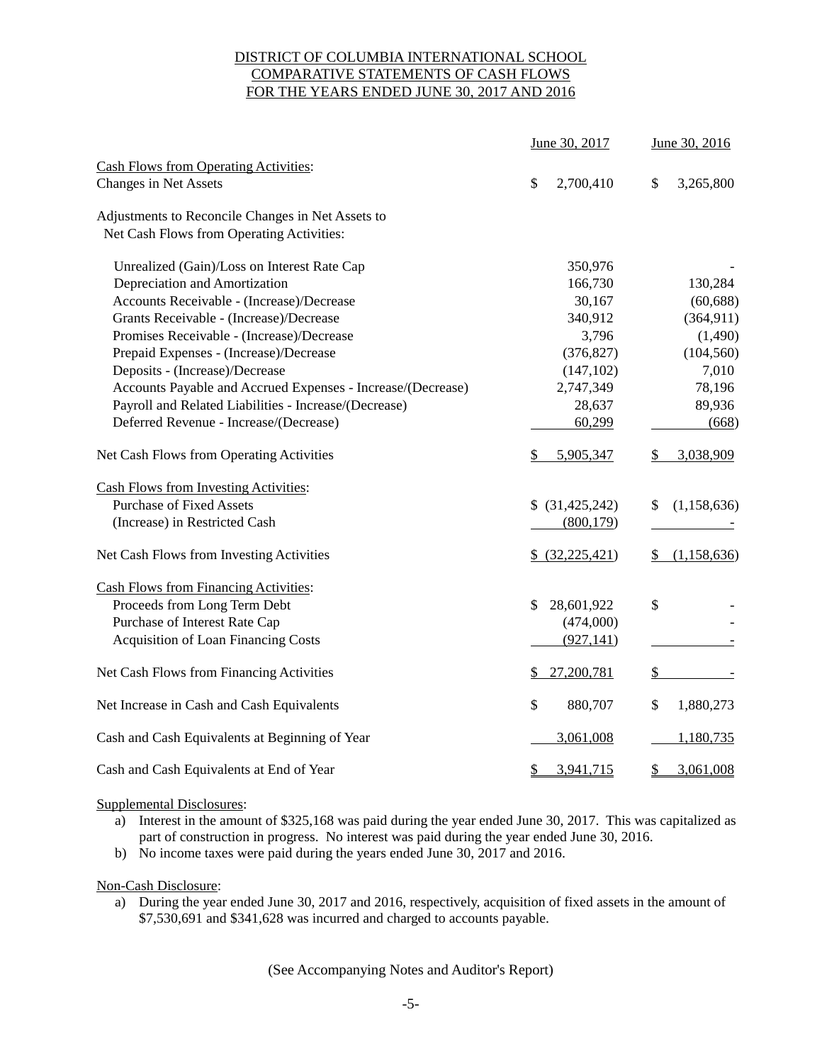## DISTRICT OF COLUMBIA INTERNATIONAL SCHOOL COMPARATIVE STATEMENTS OF CASH FLOWS FOR THE YEARS ENDED JUNE 30, 2017 AND 2016

|                                                             | June 30, 2017     | June 30, 2016       |  |
|-------------------------------------------------------------|-------------------|---------------------|--|
| <b>Cash Flows from Operating Activities:</b>                |                   |                     |  |
| Changes in Net Assets                                       | \$<br>2,700,410   | \$<br>3,265,800     |  |
| Adjustments to Reconcile Changes in Net Assets to           |                   |                     |  |
| Net Cash Flows from Operating Activities:                   |                   |                     |  |
| Unrealized (Gain)/Loss on Interest Rate Cap                 | 350,976           |                     |  |
| Depreciation and Amortization                               | 166,730           | 130,284             |  |
| Accounts Receivable - (Increase)/Decrease                   | 30,167            | (60, 688)           |  |
| Grants Receivable - (Increase)/Decrease                     | 340,912           | (364, 911)          |  |
| Promises Receivable - (Increase)/Decrease                   | 3,796             | (1,490)             |  |
| Prepaid Expenses - (Increase)/Decrease                      | (376, 827)        | (104, 560)          |  |
| Deposits - (Increase)/Decrease                              | (147, 102)        | 7,010               |  |
| Accounts Payable and Accrued Expenses - Increase/(Decrease) | 2,747,349         | 78,196              |  |
| Payroll and Related Liabilities - Increase/(Decrease)       | 28,637            | 89,936              |  |
| Deferred Revenue - Increase/(Decrease)                      | 60,299            | (668)               |  |
| Net Cash Flows from Operating Activities                    | 5,905,347         | 3,038,909           |  |
| <b>Cash Flows from Investing Activities:</b>                |                   |                     |  |
| <b>Purchase of Fixed Assets</b>                             | \$ (31,425,242)   | (1, 158, 636)<br>S. |  |
| (Increase) in Restricted Cash                               | (800, 179)        |                     |  |
| Net Cash Flows from Investing Activities                    | \$ (32, 225, 421) | (1,158,636)<br>S.   |  |
| <b>Cash Flows from Financing Activities:</b>                |                   |                     |  |
| Proceeds from Long Term Debt                                | 28,601,922<br>\$  | \$                  |  |
| Purchase of Interest Rate Cap                               | (474,000)         |                     |  |
| <b>Acquisition of Loan Financing Costs</b>                  | (927, 141)        |                     |  |
| Net Cash Flows from Financing Activities                    | 27,200,781<br>\$  | \$                  |  |
| Net Increase in Cash and Cash Equivalents                   | \$<br>880,707     | 1,880,273<br>\$     |  |
| Cash and Cash Equivalents at Beginning of Year              | 3,061,008         | 1,180,735           |  |
| Cash and Cash Equivalents at End of Year                    | 3,941,715<br>\$   | 3,061,008<br>\$     |  |

Supplemental Disclosures:

- a) Interest in the amount of \$325,168 was paid during the year ended June 30, 2017. This was capitalized as part of construction in progress. No interest was paid during the year ended June 30, 2016.
- b) No income taxes were paid during the years ended June 30, 2017 and 2016.

Non-Cash Disclosure:

a) During the year ended June 30, 2017 and 2016, respectively, acquisition of fixed assets in the amount of \$7,530,691 and \$341,628 was incurred and charged to accounts payable.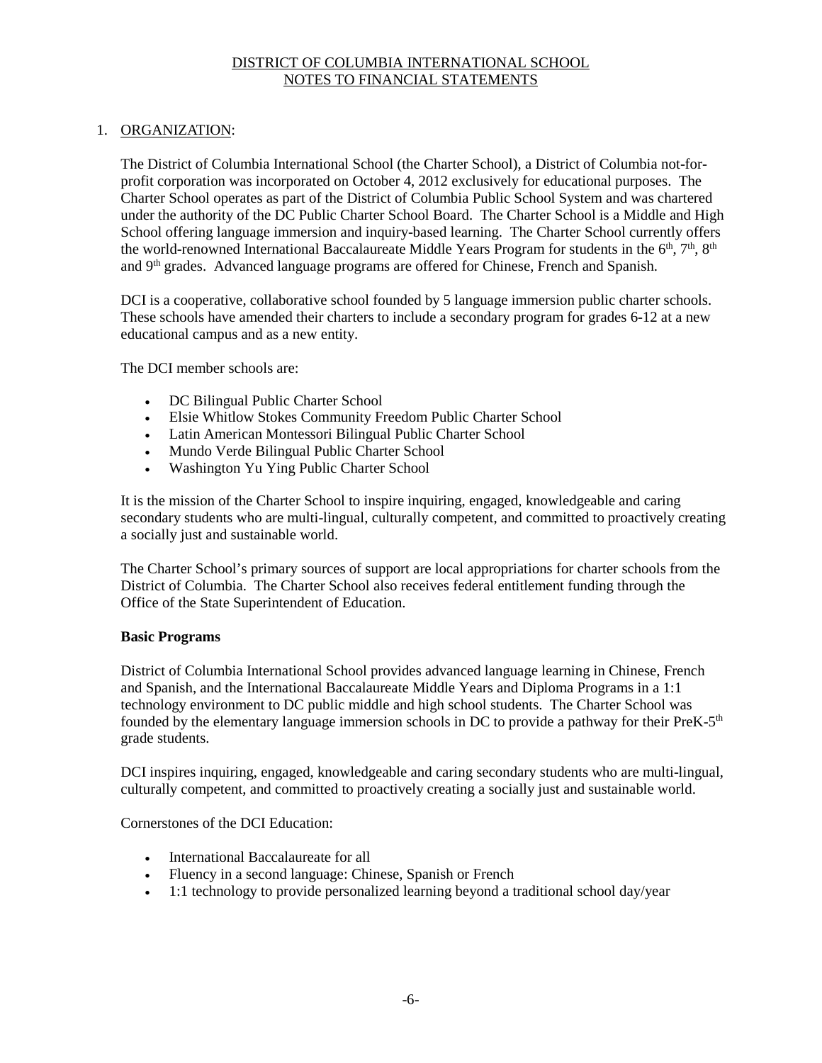## 1. ORGANIZATION:

The District of Columbia International School (the Charter School), a District of Columbia not-forprofit corporation was incorporated on October 4, 2012 exclusively for educational purposes. The Charter School operates as part of the District of Columbia Public School System and was chartered under the authority of the DC Public Charter School Board. The Charter School is a Middle and High School offering language immersion and inquiry-based learning. The Charter School currently offers the world-renowned International Baccalaureate Middle Years Program for students in the  $6<sup>th</sup>$ ,  $7<sup>th</sup>$ ,  $8<sup>th</sup>$ and 9th grades. Advanced language programs are offered for Chinese, French and Spanish.

DCI is a cooperative, collaborative school founded by 5 language immersion public charter schools. These schools have amended their charters to include a secondary program for grades 6-12 at a new educational campus and as a new entity.

The DCI member schools are:

- DC Bilingual Public Charter School
- Elsie Whitlow Stokes Community Freedom Public Charter School
- Latin American Montessori Bilingual Public Charter School
- Mundo Verde Bilingual Public Charter School
- Washington Yu Ying Public Charter School

It is the mission of the Charter School to inspire inquiring, engaged, knowledgeable and caring secondary students who are multi-lingual, culturally competent, and committed to proactively creating a socially just and sustainable world.

The Charter School's primary sources of support are local appropriations for charter schools from the District of Columbia. The Charter School also receives federal entitlement funding through the Office of the State Superintendent of Education.

## **Basic Programs**

District of Columbia International School provides advanced language learning in Chinese, French and Spanish, and the International Baccalaureate Middle Years and Diploma Programs in a 1:1 technology environment to DC public middle and high school students. The Charter School was founded by the elementary language immersion schools in DC to provide a pathway for their PreK- $5<sup>th</sup>$ grade students.

DCI inspires inquiring, engaged, knowledgeable and caring secondary students who are multi-lingual, culturally competent, and committed to proactively creating a socially just and sustainable world.

Cornerstones of the DCI Education:

- International Baccalaureate for all
- Fluency in a second language: Chinese, Spanish or French
- 1:1 technology to provide personalized learning beyond a traditional school day/year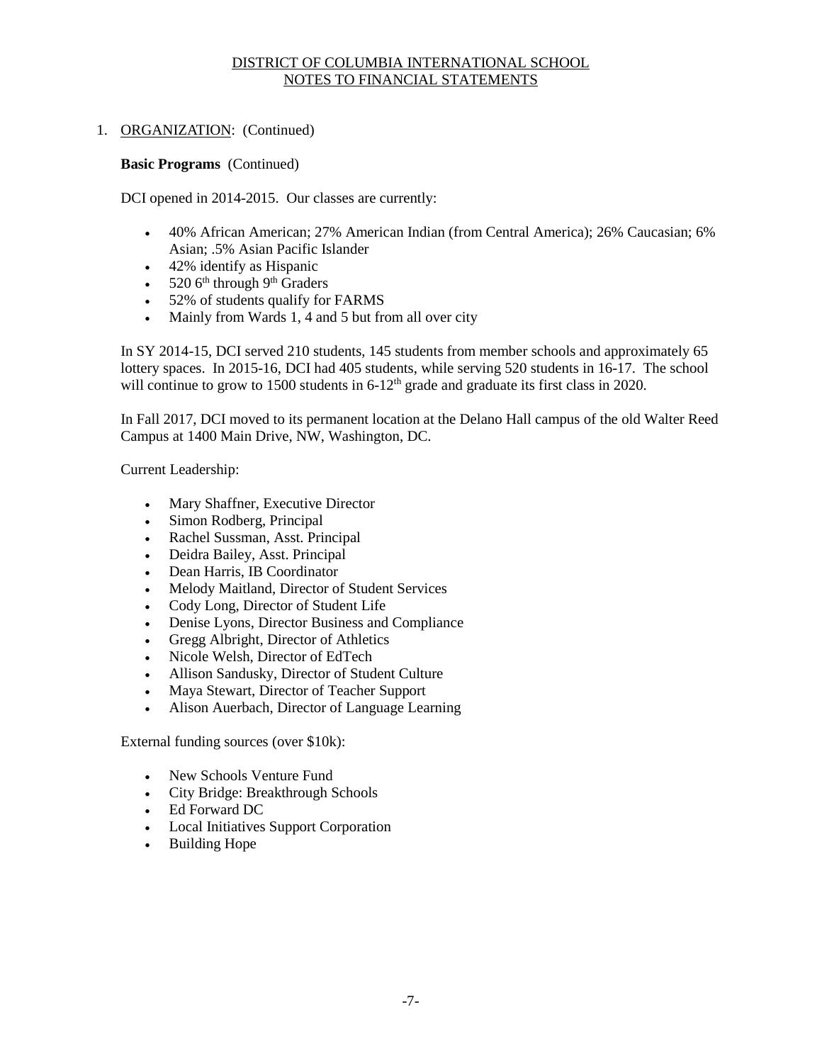## 1. ORGANIZATION: (Continued)

#### **Basic Programs** (Continued)

DCI opened in 2014-2015. Our classes are currently:

- 40% African American; 27% American Indian (from Central America); 26% Caucasian; 6% Asian; .5% Asian Pacific Islander
- 42% identify as Hispanic
- $520$  6<sup>th</sup> through 9<sup>th</sup> Graders
- 52% of students qualify for FARMS
- Mainly from Wards 1, 4 and 5 but from all over city

In SY 2014-15, DCI served 210 students, 145 students from member schools and approximately 65 lottery spaces. In 2015-16, DCI had 405 students, while serving 520 students in 16-17. The school will continue to grow to 1500 students in  $6-12^{th}$  grade and graduate its first class in 2020.

In Fall 2017, DCI moved to its permanent location at the Delano Hall campus of the old Walter Reed Campus at 1400 Main Drive, NW, Washington, DC.

Current Leadership:

- Mary Shaffner, Executive Director
- Simon Rodberg, Principal
- Rachel Sussman, Asst. Principal
- Deidra Bailey, Asst. Principal
- Dean Harris, IB Coordinator
- Melody Maitland, Director of Student Services
- Cody Long, Director of Student Life
- Denise Lyons, Director Business and Compliance
- Gregg Albright, Director of Athletics
- Nicole Welsh, Director of EdTech
- Allison Sandusky, Director of Student Culture
- Maya Stewart, Director of Teacher Support
- Alison Auerbach, Director of Language Learning

External funding sources (over \$10k):

- New Schools Venture Fund
- City Bridge: Breakthrough Schools
- Ed Forward DC
- Local Initiatives Support Corporation
- Building Hope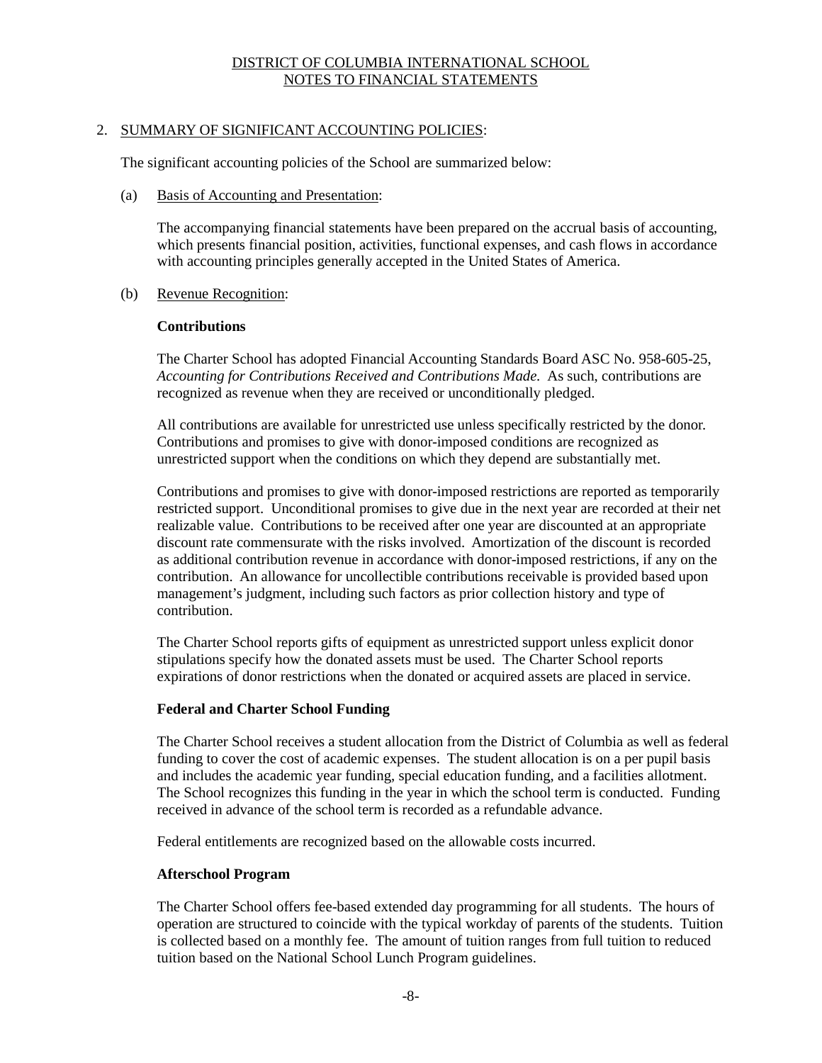## 2. SUMMARY OF SIGNIFICANT ACCOUNTING POLICIES:

The significant accounting policies of the School are summarized below:

(a) Basis of Accounting and Presentation:

The accompanying financial statements have been prepared on the accrual basis of accounting, which presents financial position, activities, functional expenses, and cash flows in accordance with accounting principles generally accepted in the United States of America.

(b) Revenue Recognition:

#### **Contributions**

The Charter School has adopted Financial Accounting Standards Board ASC No. 958-605-25, *Accounting for Contributions Received and Contributions Made.* As such, contributions are recognized as revenue when they are received or unconditionally pledged.

All contributions are available for unrestricted use unless specifically restricted by the donor. Contributions and promises to give with donor-imposed conditions are recognized as unrestricted support when the conditions on which they depend are substantially met.

Contributions and promises to give with donor-imposed restrictions are reported as temporarily restricted support. Unconditional promises to give due in the next year are recorded at their net realizable value. Contributions to be received after one year are discounted at an appropriate discount rate commensurate with the risks involved. Amortization of the discount is recorded as additional contribution revenue in accordance with donor-imposed restrictions, if any on the contribution. An allowance for uncollectible contributions receivable is provided based upon management's judgment, including such factors as prior collection history and type of contribution.

The Charter School reports gifts of equipment as unrestricted support unless explicit donor stipulations specify how the donated assets must be used. The Charter School reports expirations of donor restrictions when the donated or acquired assets are placed in service.

## **Federal and Charter School Funding**

The Charter School receives a student allocation from the District of Columbia as well as federal funding to cover the cost of academic expenses. The student allocation is on a per pupil basis and includes the academic year funding, special education funding, and a facilities allotment. The School recognizes this funding in the year in which the school term is conducted. Funding received in advance of the school term is recorded as a refundable advance.

Federal entitlements are recognized based on the allowable costs incurred.

#### **Afterschool Program**

The Charter School offers fee-based extended day programming for all students. The hours of operation are structured to coincide with the typical workday of parents of the students. Tuition is collected based on a monthly fee. The amount of tuition ranges from full tuition to reduced tuition based on the National School Lunch Program guidelines.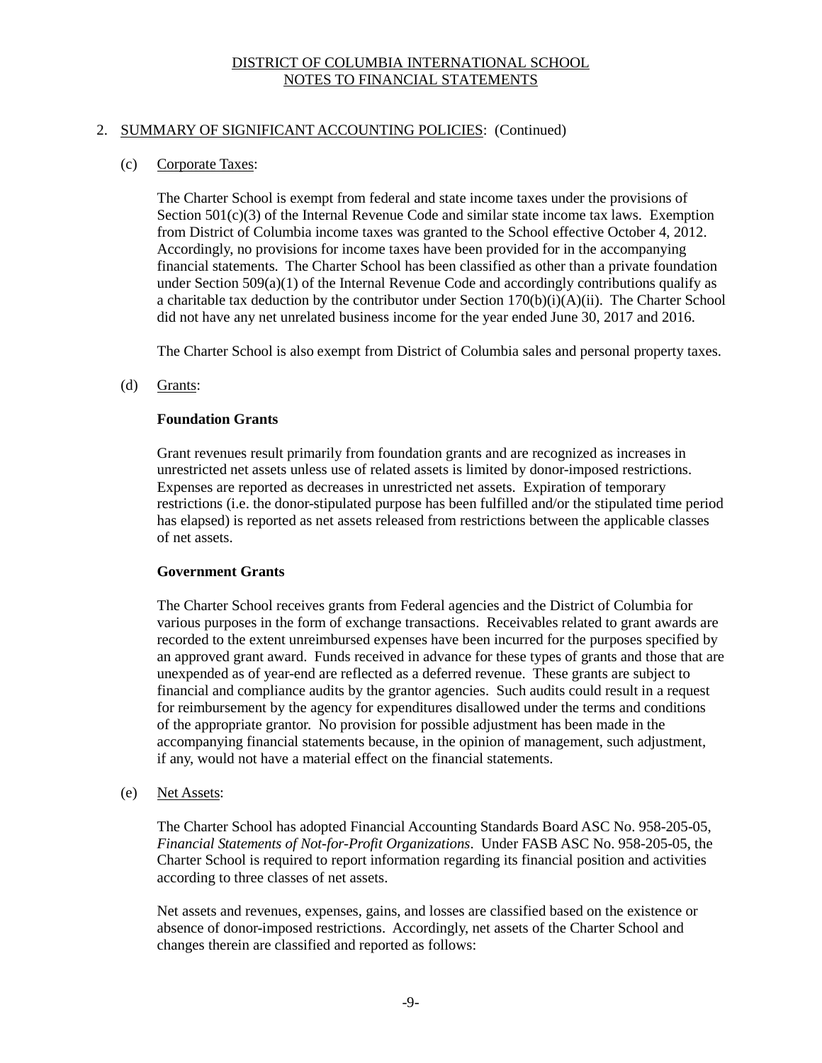## 2. SUMMARY OF SIGNIFICANT ACCOUNTING POLICIES: (Continued)

## (c) Corporate Taxes:

The Charter School is exempt from federal and state income taxes under the provisions of Section  $501(c)(3)$  of the Internal Revenue Code and similar state income tax laws. Exemption from District of Columbia income taxes was granted to the School effective October 4, 2012. Accordingly, no provisions for income taxes have been provided for in the accompanying financial statements. The Charter School has been classified as other than a private foundation under Section  $509(a)(1)$  of the Internal Revenue Code and accordingly contributions qualify as a charitable tax deduction by the contributor under Section  $170(b)(i)(A)(ii)$ . The Charter School did not have any net unrelated business income for the year ended June 30, 2017 and 2016.

The Charter School is also exempt from District of Columbia sales and personal property taxes.

## (d) Grants:

## **Foundation Grants**

Grant revenues result primarily from foundation grants and are recognized as increases in unrestricted net assets unless use of related assets is limited by donor-imposed restrictions. Expenses are reported as decreases in unrestricted net assets. Expiration of temporary restrictions (i.e. the donor-stipulated purpose has been fulfilled and/or the stipulated time period has elapsed) is reported as net assets released from restrictions between the applicable classes of net assets.

# **Government Grants**

The Charter School receives grants from Federal agencies and the District of Columbia for various purposes in the form of exchange transactions. Receivables related to grant awards are recorded to the extent unreimbursed expenses have been incurred for the purposes specified by an approved grant award. Funds received in advance for these types of grants and those that are unexpended as of year-end are reflected as a deferred revenue. These grants are subject to financial and compliance audits by the grantor agencies. Such audits could result in a request for reimbursement by the agency for expenditures disallowed under the terms and conditions of the appropriate grantor. No provision for possible adjustment has been made in the accompanying financial statements because, in the opinion of management, such adjustment, if any, would not have a material effect on the financial statements.

(e) Net Assets:

The Charter School has adopted Financial Accounting Standards Board ASC No. 958-205-05, *Financial Statements of Not-for-Profit Organizations*. Under FASB ASC No. 958-205-05, the Charter School is required to report information regarding its financial position and activities according to three classes of net assets.

Net assets and revenues, expenses, gains, and losses are classified based on the existence or absence of donor-imposed restrictions. Accordingly, net assets of the Charter School and changes therein are classified and reported as follows: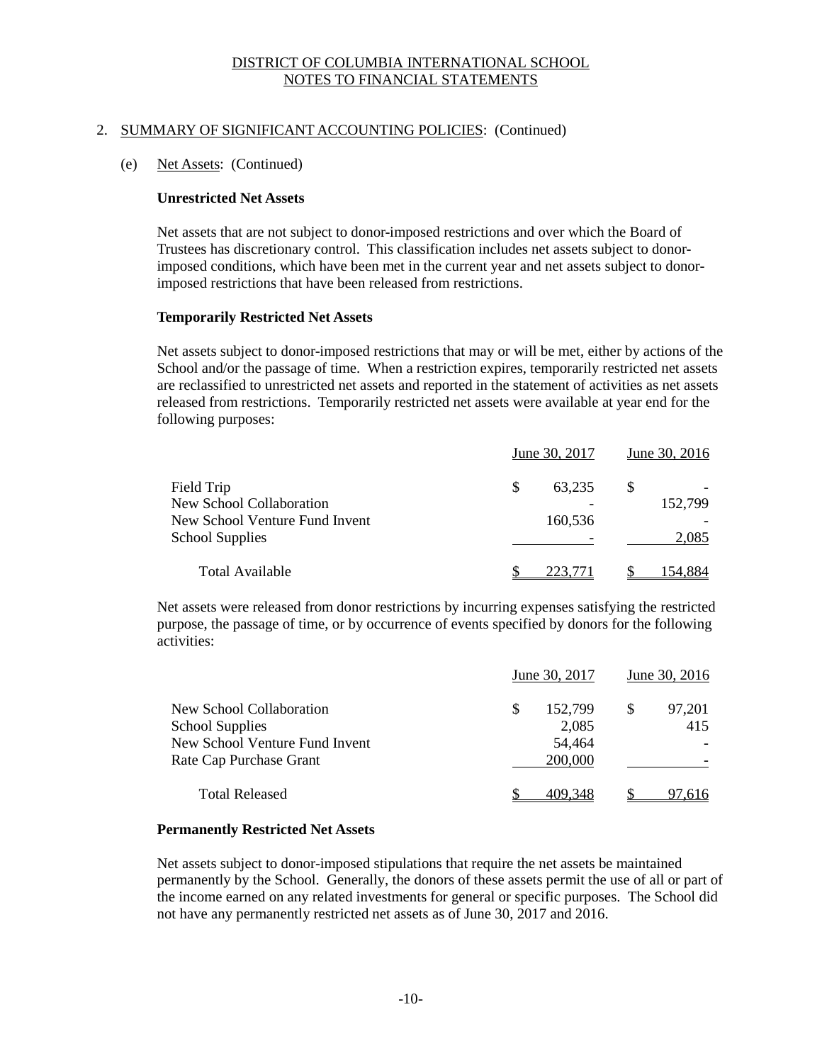## 2. SUMMARY OF SIGNIFICANT ACCOUNTING POLICIES: (Continued)

#### (e) Net Assets: (Continued)

#### **Unrestricted Net Assets**

Net assets that are not subject to donor-imposed restrictions and over which the Board of Trustees has discretionary control. This classification includes net assets subject to donorimposed conditions, which have been met in the current year and net assets subject to donorimposed restrictions that have been released from restrictions.

#### **Temporarily Restricted Net Assets**

Net assets subject to donor-imposed restrictions that may or will be met, either by actions of the School and/or the passage of time. When a restriction expires, temporarily restricted net assets are reclassified to unrestricted net assets and reported in the statement of activities as net assets released from restrictions. Temporarily restricted net assets were available at year end for the following purposes:

|                                 | June 30, 2017 | June 30, 2016 |  |         |
|---------------------------------|---------------|---------------|--|---------|
| Field Trip                      | S             | 63.235        |  |         |
| <b>New School Collaboration</b> |               |               |  | 152,799 |
| New School Venture Fund Invent  |               | 160,536       |  |         |
| <b>School Supplies</b>          |               |               |  | 2,085   |
| <b>Total Available</b>          |               | 223.          |  | 154.884 |

Net assets were released from donor restrictions by incurring expenses satisfying the restricted purpose, the passage of time, or by occurrence of events specified by donors for the following activities:

|                                |   | June 30, 2017 | June 30, 2016 |
|--------------------------------|---|---------------|---------------|
| New School Collaboration       | S | 152,799       | 97,201        |
| <b>School Supplies</b>         |   | 2.085         | 415           |
| New School Venture Fund Invent |   | 54,464        |               |
| Rate Cap Purchase Grant        |   | 200,000       |               |
| <b>Total Released</b>          |   | 409.348       | 97.616        |

#### **Permanently Restricted Net Assets**

Net assets subject to donor-imposed stipulations that require the net assets be maintained permanently by the School. Generally, the donors of these assets permit the use of all or part of the income earned on any related investments for general or specific purposes. The School did not have any permanently restricted net assets as of June 30, 2017 and 2016.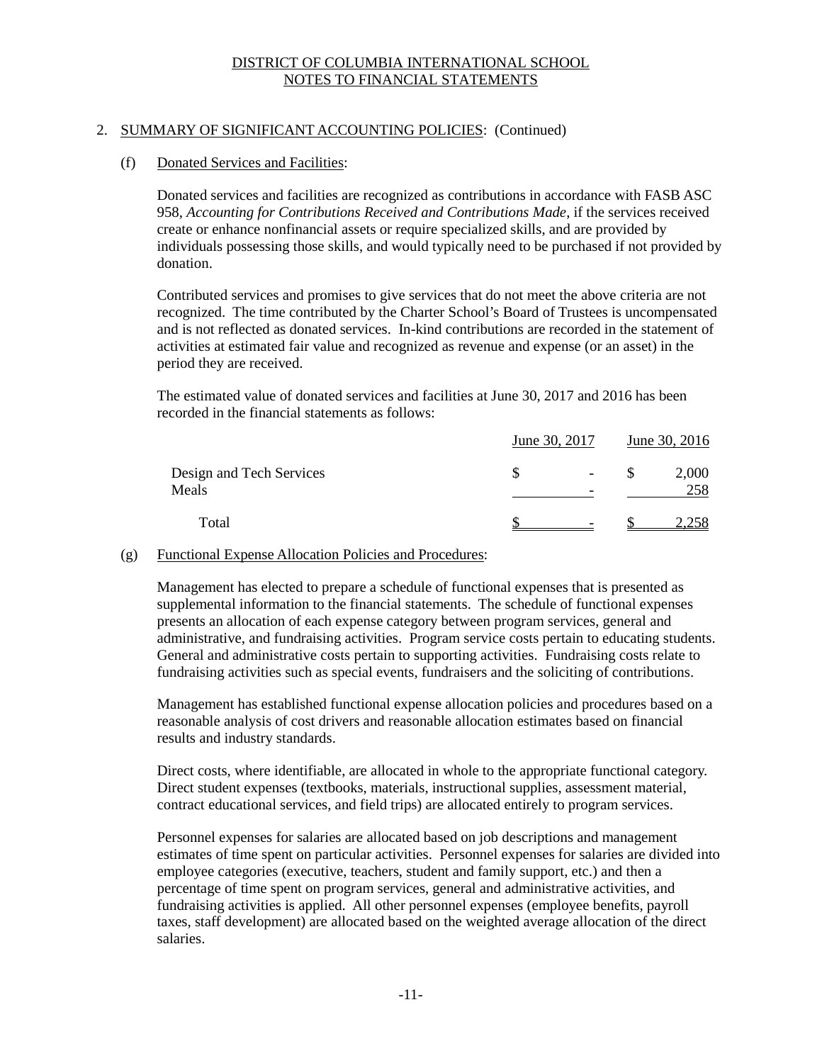## 2. SUMMARY OF SIGNIFICANT ACCOUNTING POLICIES: (Continued)

## (f) Donated Services and Facilities:

Donated services and facilities are recognized as contributions in accordance with FASB ASC 958, *Accounting for Contributions Received and Contributions Made*, if the services received create or enhance nonfinancial assets or require specialized skills, and are provided by individuals possessing those skills, and would typically need to be purchased if not provided by donation.

Contributed services and promises to give services that do not meet the above criteria are not recognized. The time contributed by the Charter School's Board of Trustees is uncompensated and is not reflected as donated services. In-kind contributions are recorded in the statement of activities at estimated fair value and recognized as revenue and expense (or an asset) in the period they are received.

The estimated value of donated services and facilities at June 30, 2017 and 2016 has been recorded in the financial statements as follows:

|                                   | June 30, 2017                 |  |              |
|-----------------------------------|-------------------------------|--|--------------|
| Design and Tech Services<br>Meals | $\overline{\phantom{a}}$<br>- |  | 2,000<br>258 |
| Total                             |                               |  |              |

## (g) Functional Expense Allocation Policies and Procedures:

Management has elected to prepare a schedule of functional expenses that is presented as supplemental information to the financial statements. The schedule of functional expenses presents an allocation of each expense category between program services, general and administrative, and fundraising activities. Program service costs pertain to educating students. General and administrative costs pertain to supporting activities. Fundraising costs relate to fundraising activities such as special events, fundraisers and the soliciting of contributions.

Management has established functional expense allocation policies and procedures based on a reasonable analysis of cost drivers and reasonable allocation estimates based on financial results and industry standards.

Direct costs, where identifiable, are allocated in whole to the appropriate functional category. Direct student expenses (textbooks, materials, instructional supplies, assessment material, contract educational services, and field trips) are allocated entirely to program services.

Personnel expenses for salaries are allocated based on job descriptions and management estimates of time spent on particular activities. Personnel expenses for salaries are divided into employee categories (executive, teachers, student and family support, etc.) and then a percentage of time spent on program services, general and administrative activities, and fundraising activities is applied. All other personnel expenses (employee benefits, payroll taxes, staff development) are allocated based on the weighted average allocation of the direct salaries.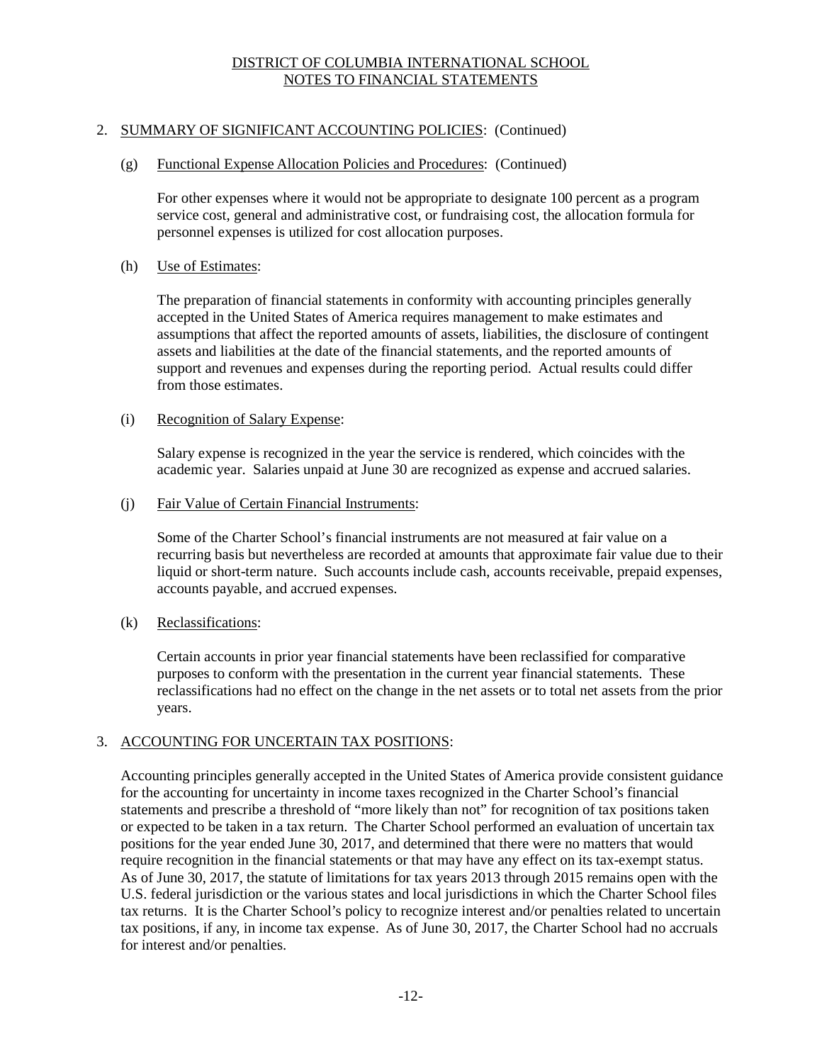## 2. SUMMARY OF SIGNIFICANT ACCOUNTING POLICIES: (Continued)

#### (g) Functional Expense Allocation Policies and Procedures: (Continued)

For other expenses where it would not be appropriate to designate 100 percent as a program service cost, general and administrative cost, or fundraising cost, the allocation formula for personnel expenses is utilized for cost allocation purposes.

#### (h) Use of Estimates:

The preparation of financial statements in conformity with accounting principles generally accepted in the United States of America requires management to make estimates and assumptions that affect the reported amounts of assets, liabilities, the disclosure of contingent assets and liabilities at the date of the financial statements, and the reported amounts of support and revenues and expenses during the reporting period. Actual results could differ from those estimates.

#### (i) Recognition of Salary Expense:

Salary expense is recognized in the year the service is rendered, which coincides with the academic year. Salaries unpaid at June 30 are recognized as expense and accrued salaries.

#### (j) Fair Value of Certain Financial Instruments:

Some of the Charter School's financial instruments are not measured at fair value on a recurring basis but nevertheless are recorded at amounts that approximate fair value due to their liquid or short-term nature. Such accounts include cash, accounts receivable, prepaid expenses, accounts payable, and accrued expenses.

## (k) Reclassifications:

Certain accounts in prior year financial statements have been reclassified for comparative purposes to conform with the presentation in the current year financial statements. These reclassifications had no effect on the change in the net assets or to total net assets from the prior years.

## 3. ACCOUNTING FOR UNCERTAIN TAX POSITIONS:

Accounting principles generally accepted in the United States of America provide consistent guidance for the accounting for uncertainty in income taxes recognized in the Charter School's financial statements and prescribe a threshold of "more likely than not" for recognition of tax positions taken or expected to be taken in a tax return. The Charter School performed an evaluation of uncertain tax positions for the year ended June 30, 2017, and determined that there were no matters that would require recognition in the financial statements or that may have any effect on its tax-exempt status. As of June 30, 2017, the statute of limitations for tax years 2013 through 2015 remains open with the U.S. federal jurisdiction or the various states and local jurisdictions in which the Charter School files tax returns. It is the Charter School's policy to recognize interest and/or penalties related to uncertain tax positions, if any, in income tax expense. As of June 30, 2017, the Charter School had no accruals for interest and/or penalties.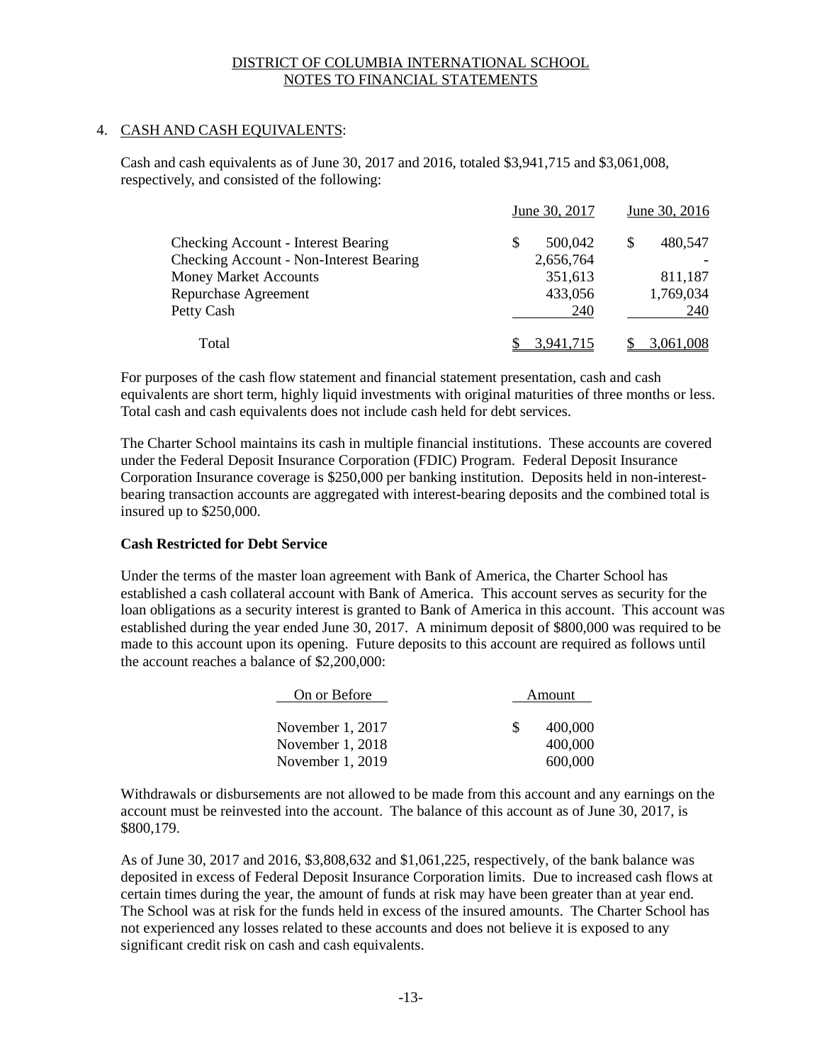## 4. CASH AND CASH EQUIVALENTS:

Cash and cash equivalents as of June 30, 2017 and 2016, totaled \$3,941,715 and \$3,061,008, respectively, and consisted of the following:

|                                                | June 30, 2017 | June 30, 2016 |
|------------------------------------------------|---------------|---------------|
| <b>Checking Account - Interest Bearing</b>     | 500,042       | 480,547       |
| <b>Checking Account - Non-Interest Bearing</b> | 2,656,764     |               |
| <b>Money Market Accounts</b>                   | 351,613       | 811,187       |
| Repurchase Agreement                           | 433,056       | 1,769,034     |
| Petty Cash                                     | 240           | 240           |
| Total                                          |               |               |

For purposes of the cash flow statement and financial statement presentation, cash and cash equivalents are short term, highly liquid investments with original maturities of three months or less. Total cash and cash equivalents does not include cash held for debt services.

The Charter School maintains its cash in multiple financial institutions. These accounts are covered under the Federal Deposit Insurance Corporation (FDIC) Program. Federal Deposit Insurance Corporation Insurance coverage is \$250,000 per banking institution. Deposits held in non-interestbearing transaction accounts are aggregated with interest-bearing deposits and the combined total is insured up to \$250,000.

# **Cash Restricted for Debt Service**

Under the terms of the master loan agreement with Bank of America, the Charter School has established a cash collateral account with Bank of America. This account serves as security for the loan obligations as a security interest is granted to Bank of America in this account. This account was established during the year ended June 30, 2017. A minimum deposit of \$800,000 was required to be made to this account upon its opening. Future deposits to this account are required as follows until the account reaches a balance of \$2,200,000:

| On or Before     |    | Amount  |
|------------------|----|---------|
| November 1, 2017 | S. | 400,000 |
| November 1, 2018 |    | 400,000 |
| November 1, 2019 |    | 600,000 |

Withdrawals or disbursements are not allowed to be made from this account and any earnings on the account must be reinvested into the account. The balance of this account as of June 30, 2017, is \$800,179.

As of June 30, 2017 and 2016, \$3,808,632 and \$1,061,225, respectively, of the bank balance was deposited in excess of Federal Deposit Insurance Corporation limits. Due to increased cash flows at certain times during the year, the amount of funds at risk may have been greater than at year end. The School was at risk for the funds held in excess of the insured amounts. The Charter School has not experienced any losses related to these accounts and does not believe it is exposed to any significant credit risk on cash and cash equivalents.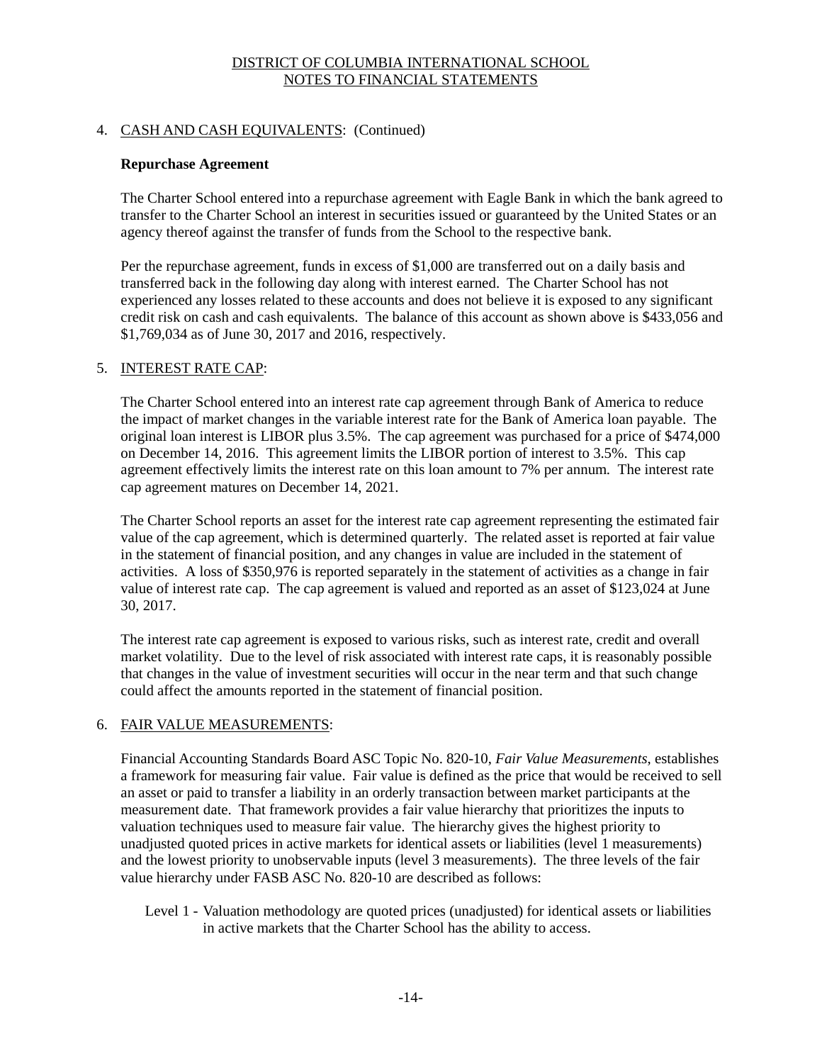# 4. CASH AND CASH EQUIVALENTS: (Continued)

## **Repurchase Agreement**

The Charter School entered into a repurchase agreement with Eagle Bank in which the bank agreed to transfer to the Charter School an interest in securities issued or guaranteed by the United States or an agency thereof against the transfer of funds from the School to the respective bank.

Per the repurchase agreement, funds in excess of \$1,000 are transferred out on a daily basis and transferred back in the following day along with interest earned. The Charter School has not experienced any losses related to these accounts and does not believe it is exposed to any significant credit risk on cash and cash equivalents. The balance of this account as shown above is \$433,056 and \$1,769,034 as of June 30, 2017 and 2016, respectively.

# 5. INTEREST RATE CAP:

The Charter School entered into an interest rate cap agreement through Bank of America to reduce the impact of market changes in the variable interest rate for the Bank of America loan payable. The original loan interest is LIBOR plus 3.5%. The cap agreement was purchased for a price of \$474,000 on December 14, 2016. This agreement limits the LIBOR portion of interest to 3.5%. This cap agreement effectively limits the interest rate on this loan amount to 7% per annum. The interest rate cap agreement matures on December 14, 2021.

The Charter School reports an asset for the interest rate cap agreement representing the estimated fair value of the cap agreement, which is determined quarterly. The related asset is reported at fair value in the statement of financial position, and any changes in value are included in the statement of activities. A loss of \$350,976 is reported separately in the statement of activities as a change in fair value of interest rate cap. The cap agreement is valued and reported as an asset of \$123,024 at June 30, 2017.

The interest rate cap agreement is exposed to various risks, such as interest rate, credit and overall market volatility. Due to the level of risk associated with interest rate caps, it is reasonably possible that changes in the value of investment securities will occur in the near term and that such change could affect the amounts reported in the statement of financial position.

# 6. FAIR VALUE MEASUREMENTS:

Financial Accounting Standards Board ASC Topic No. 820-10, *Fair Value Measurements*, establishes a framework for measuring fair value. Fair value is defined as the price that would be received to sell an asset or paid to transfer a liability in an orderly transaction between market participants at the measurement date. That framework provides a fair value hierarchy that prioritizes the inputs to valuation techniques used to measure fair value. The hierarchy gives the highest priority to unadjusted quoted prices in active markets for identical assets or liabilities (level 1 measurements) and the lowest priority to unobservable inputs (level 3 measurements). The three levels of the fair value hierarchy under FASB ASC No. 820-10 are described as follows:

Level 1 - Valuation methodology are quoted prices (unadjusted) for identical assets or liabilities in active markets that the Charter School has the ability to access.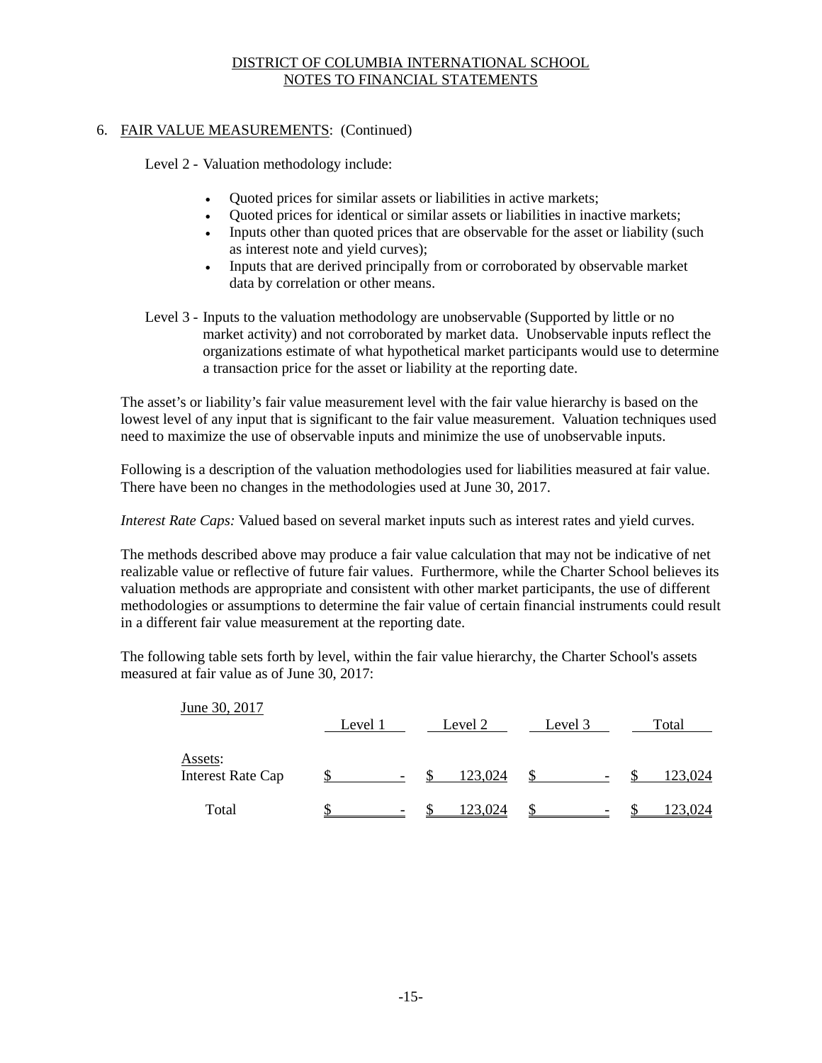## 6. FAIR VALUE MEASUREMENTS: (Continued)

Level 2 - Valuation methodology include:

- Quoted prices for similar assets or liabilities in active markets;
- Quoted prices for identical or similar assets or liabilities in inactive markets;
- Inputs other than quoted prices that are observable for the asset or liability (such as interest note and yield curves);
- Inputs that are derived principally from or corroborated by observable market data by correlation or other means.
- Level 3 Inputs to the valuation methodology are unobservable (Supported by little or no market activity) and not corroborated by market data. Unobservable inputs reflect the organizations estimate of what hypothetical market participants would use to determine a transaction price for the asset or liability at the reporting date.

The asset's or liability's fair value measurement level with the fair value hierarchy is based on the lowest level of any input that is significant to the fair value measurement. Valuation techniques used need to maximize the use of observable inputs and minimize the use of unobservable inputs.

Following is a description of the valuation methodologies used for liabilities measured at fair value. There have been no changes in the methodologies used at June 30, 2017.

*Interest Rate Caps:* Valued based on several market inputs such as interest rates and yield curves.

The methods described above may produce a fair value calculation that may not be indicative of net realizable value or reflective of future fair values. Furthermore, while the Charter School believes its valuation methods are appropriate and consistent with other market participants, the use of different methodologies or assumptions to determine the fair value of certain financial instruments could result in a different fair value measurement at the reporting date.

The following table sets forth by level, within the fair value hierarchy, the Charter School's assets measured at fair value as of June 30, 2017:

| June 30, 2017                       |         |                          |         |         |                          |         |
|-------------------------------------|---------|--------------------------|---------|---------|--------------------------|---------|
|                                     | Level 1 |                          | Level 2 | Level 3 |                          | Total   |
| Assets:<br><b>Interest Rate Cap</b> |         | $\overline{\phantom{a}}$ | 123,024 |         | $\overline{\phantom{0}}$ | 123,024 |
| Total                               |         |                          | 23,024  |         |                          | 23,024  |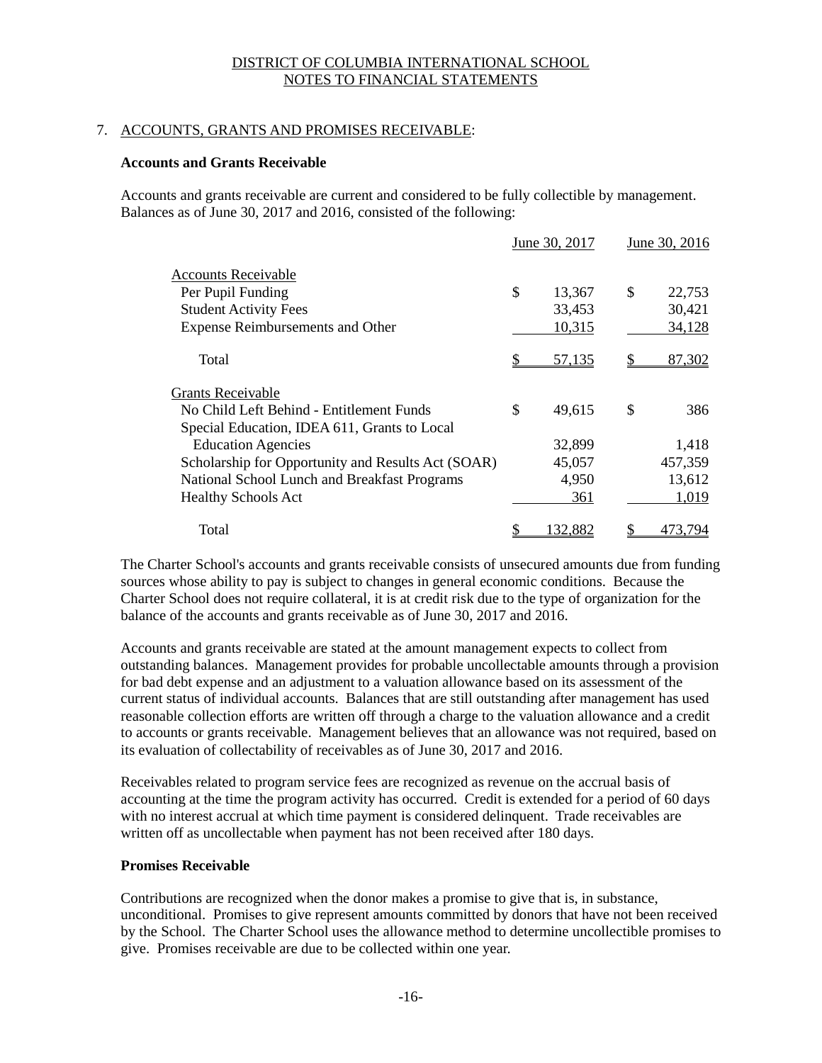## 7. ACCOUNTS, GRANTS AND PROMISES RECEIVABLE:

## **Accounts and Grants Receivable**

Accounts and grants receivable are current and considered to be fully collectible by management. Balances as of June 30, 2017 and 2016, consisted of the following:

|                                                    | June 30, 2017  | June 30, 2016 |  |
|----------------------------------------------------|----------------|---------------|--|
| Accounts Receivable                                |                |               |  |
| Per Pupil Funding                                  | \$<br>13,367   | \$<br>22,753  |  |
| <b>Student Activity Fees</b>                       | 33,453         | 30,421        |  |
| <b>Expense Reimbursements and Other</b>            | 10,315         | 34,128        |  |
| Total                                              | 57,135         | 87,302        |  |
| Grants Receivable                                  |                |               |  |
| No Child Left Behind - Entitlement Funds           | \$<br>49,615   | \$<br>386     |  |
| Special Education, IDEA 611, Grants to Local       |                |               |  |
| <b>Education Agencies</b>                          | 32,899         | 1,418         |  |
| Scholarship for Opportunity and Results Act (SOAR) | 45,057         | 457,359       |  |
| National School Lunch and Breakfast Programs       | 4,950          | 13,612        |  |
| <b>Healthy Schools Act</b>                         | 361            | 1,019         |  |
| Total                                              | <u>132,882</u> | 473.794       |  |

The Charter School's accounts and grants receivable consists of unsecured amounts due from funding sources whose ability to pay is subject to changes in general economic conditions. Because the Charter School does not require collateral, it is at credit risk due to the type of organization for the balance of the accounts and grants receivable as of June 30, 2017 and 2016.

Accounts and grants receivable are stated at the amount management expects to collect from outstanding balances. Management provides for probable uncollectable amounts through a provision for bad debt expense and an adjustment to a valuation allowance based on its assessment of the current status of individual accounts. Balances that are still outstanding after management has used reasonable collection efforts are written off through a charge to the valuation allowance and a credit to accounts or grants receivable. Management believes that an allowance was not required, based on its evaluation of collectability of receivables as of June 30, 2017 and 2016.

Receivables related to program service fees are recognized as revenue on the accrual basis of accounting at the time the program activity has occurred. Credit is extended for a period of 60 days with no interest accrual at which time payment is considered delinquent. Trade receivables are written off as uncollectable when payment has not been received after 180 days.

#### **Promises Receivable**

Contributions are recognized when the donor makes a promise to give that is, in substance, unconditional. Promises to give represent amounts committed by donors that have not been received by the School. The Charter School uses the allowance method to determine uncollectible promises to give. Promises receivable are due to be collected within one year.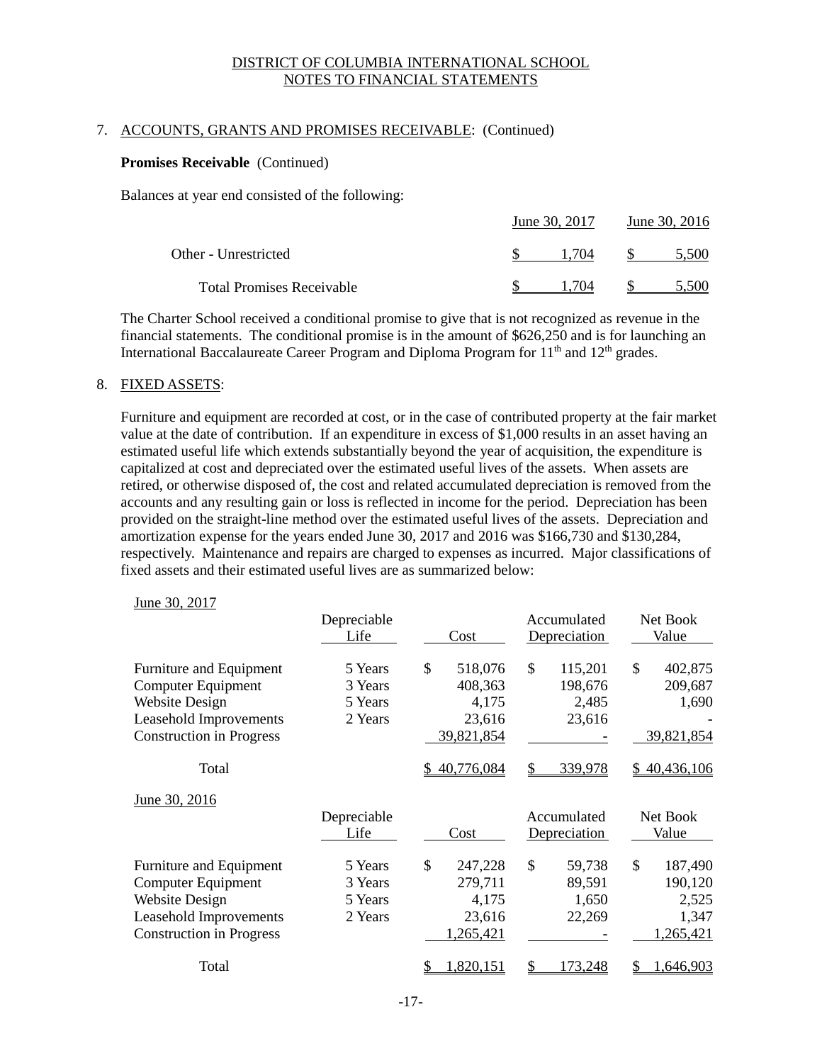## 7. ACCOUNTS, GRANTS AND PROMISES RECEIVABLE: (Continued)

#### **Promises Receivable** (Continued)

Balances at year end consisted of the following:

|                                  | June 30, 2017 | June 30, 2016 |       |  |
|----------------------------------|---------------|---------------|-------|--|
| Other - Unrestricted             | 1 704         |               | 5.500 |  |
| <b>Total Promises Receivable</b> | 1 704         |               |       |  |

The Charter School received a conditional promise to give that is not recognized as revenue in the financial statements. The conditional promise is in the amount of \$626,250 and is for launching an International Baccalaureate Career Program and Diploma Program for  $11<sup>th</sup>$  and  $12<sup>th</sup>$  grades.

#### 8. FIXED ASSETS:

Furniture and equipment are recorded at cost, or in the case of contributed property at the fair market value at the date of contribution. If an expenditure in excess of \$1,000 results in an asset having an estimated useful life which extends substantially beyond the year of acquisition, the expenditure is capitalized at cost and depreciated over the estimated useful lives of the assets. When assets are retired, or otherwise disposed of, the cost and related accumulated depreciation is removed from the accounts and any resulting gain or loss is reflected in income for the period. Depreciation has been provided on the straight-line method over the estimated useful lives of the assets. Depreciation and amortization expense for the years ended June 30, 2017 and 2016 was \$166,730 and \$130,284, respectively. Maintenance and repairs are charged to expenses as incurred. Major classifications of fixed assets and their estimated useful lives are as summarized below:

#### June 30, 2017

|                                               | Depreciable<br>Life | Cost                     | Accumulated<br>Depreciation | Net Book<br>Value        |
|-----------------------------------------------|---------------------|--------------------------|-----------------------------|--------------------------|
| Furniture and Equipment<br>Computer Equipment | 5 Years<br>3 Years  | \$<br>518,076<br>408,363 | \$<br>115,201<br>198,676    | \$<br>402,875<br>209,687 |
| <b>Website Design</b>                         | 5 Years             | 4,175                    | 2,485                       | 1,690                    |
| Leasehold Improvements                        | 2 Years             | 23,616                   | 23,616                      |                          |
| <b>Construction in Progress</b>               |                     | 39,821,854               |                             | 39,821,854               |
| Total                                         |                     | 40,776,084               | 339,978<br>S                | \$40,436,106             |
| June 30, 2016                                 |                     |                          |                             |                          |
|                                               | Depreciable         |                          | Accumulated                 | Net Book                 |
|                                               | Life                | Cost                     | Depreciation                | Value                    |
| Furniture and Equipment                       | 5 Years             | \$<br>247,228            | \$<br>59,738                | \$<br>187,490            |
| <b>Computer Equipment</b>                     | 3 Years             | 279,711                  | 89,591                      | 190,120                  |
| <b>Website Design</b>                         | 5 Years             | 4,175                    | 1,650                       | 2,525                    |
| Leasehold Improvements                        | 2 Years             | 23,616                   | 22,269                      | 1,347                    |
| <b>Construction in Progress</b>               |                     | 1,265,421                |                             | 1,265,421                |
| Total                                         |                     | 820,151                  | 73,248                      | 646,903                  |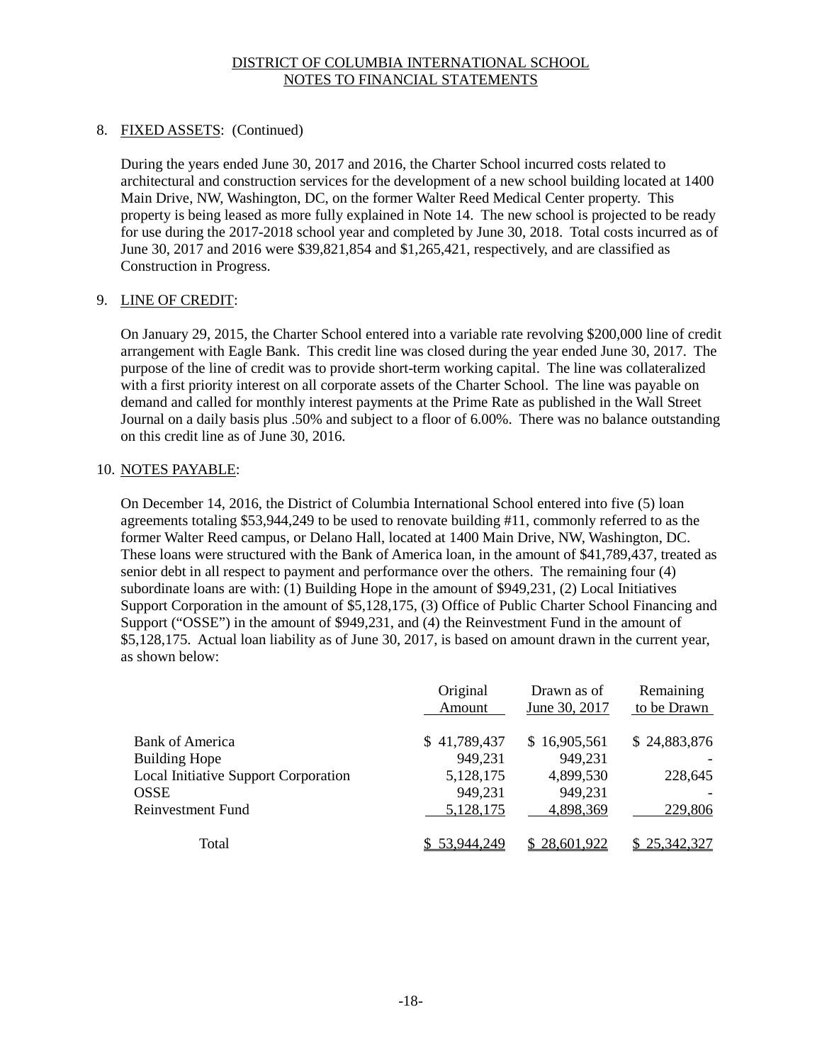## 8. FIXED ASSETS: (Continued)

During the years ended June 30, 2017 and 2016, the Charter School incurred costs related to architectural and construction services for the development of a new school building located at 1400 Main Drive, NW, Washington, DC, on the former Walter Reed Medical Center property. This property is being leased as more fully explained in Note 14. The new school is projected to be ready for use during the 2017-2018 school year and completed by June 30, 2018. Total costs incurred as of June 30, 2017 and 2016 were \$39,821,854 and \$1,265,421, respectively, and are classified as Construction in Progress.

## 9. LINE OF CREDIT:

On January 29, 2015, the Charter School entered into a variable rate revolving \$200,000 line of credit arrangement with Eagle Bank. This credit line was closed during the year ended June 30, 2017. The purpose of the line of credit was to provide short-term working capital. The line was collateralized with a first priority interest on all corporate assets of the Charter School. The line was payable on demand and called for monthly interest payments at the Prime Rate as published in the Wall Street Journal on a daily basis plus .50% and subject to a floor of 6.00%. There was no balance outstanding on this credit line as of June 30, 2016.

## 10. NOTES PAYABLE:

On December 14, 2016, the District of Columbia International School entered into five (5) loan agreements totaling \$53,944,249 to be used to renovate building #11, commonly referred to as the former Walter Reed campus, or Delano Hall, located at 1400 Main Drive, NW, Washington, DC. These loans were structured with the Bank of America loan, in the amount of \$41,789,437, treated as senior debt in all respect to payment and performance over the others. The remaining four (4) subordinate loans are with: (1) Building Hope in the amount of \$949,231, (2) Local Initiatives Support Corporation in the amount of \$5,128,175, (3) Office of Public Charter School Financing and Support ("OSSE") in the amount of \$949,231, and (4) the Reinvestment Fund in the amount of \$5,128,175. Actual loan liability as of June 30, 2017, is based on amount drawn in the current year, as shown below:

|                                      | Original<br>Amount | Drawn as of<br>June 30, 2017 | Remaining<br>to be Drawn |
|--------------------------------------|--------------------|------------------------------|--------------------------|
| Bank of America                      | \$41,789,437       | \$16,905,561                 | \$24,883,876             |
| <b>Building Hope</b>                 | 949,231            | 949,231                      |                          |
| Local Initiative Support Corporation | 5,128,175          | 4,899,530                    | 228,645                  |
| <b>OSSE</b>                          | 949,231            | 949,231                      |                          |
| Reinvestment Fund                    | 5,128,175          | 4,898,369                    | 229,806                  |
| Total                                | \$53,944,249       | \$28,601,922                 | \$25,342,327             |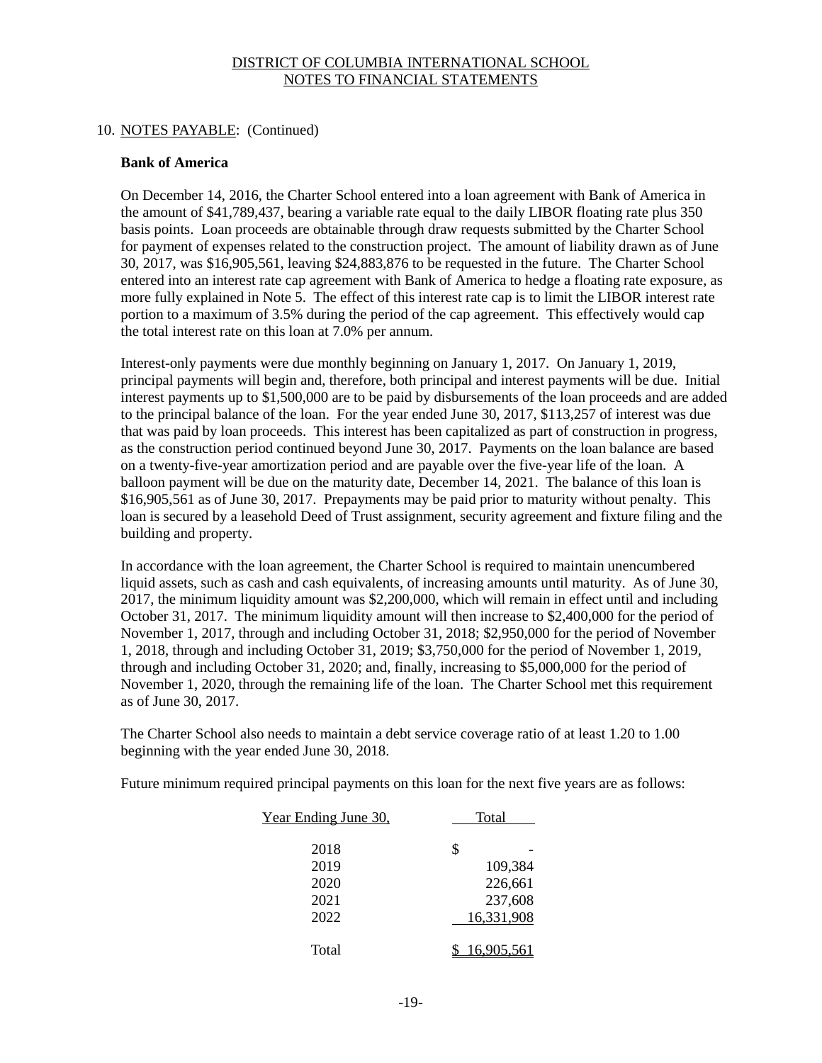### 10. NOTES PAYABLE: (Continued)

#### **Bank of America**

On December 14, 2016, the Charter School entered into a loan agreement with Bank of America in the amount of \$41,789,437, bearing a variable rate equal to the daily LIBOR floating rate plus 350 basis points. Loan proceeds are obtainable through draw requests submitted by the Charter School for payment of expenses related to the construction project. The amount of liability drawn as of June 30, 2017, was \$16,905,561, leaving \$24,883,876 to be requested in the future. The Charter School entered into an interest rate cap agreement with Bank of America to hedge a floating rate exposure, as more fully explained in Note 5. The effect of this interest rate cap is to limit the LIBOR interest rate portion to a maximum of 3.5% during the period of the cap agreement. This effectively would cap the total interest rate on this loan at 7.0% per annum.

Interest-only payments were due monthly beginning on January 1, 2017. On January 1, 2019, principal payments will begin and, therefore, both principal and interest payments will be due. Initial interest payments up to \$1,500,000 are to be paid by disbursements of the loan proceeds and are added to the principal balance of the loan. For the year ended June 30, 2017, \$113,257 of interest was due that was paid by loan proceeds. This interest has been capitalized as part of construction in progress, as the construction period continued beyond June 30, 2017. Payments on the loan balance are based on a twenty-five-year amortization period and are payable over the five-year life of the loan. A balloon payment will be due on the maturity date, December 14, 2021. The balance of this loan is \$16,905,561 as of June 30, 2017. Prepayments may be paid prior to maturity without penalty. This loan is secured by a leasehold Deed of Trust assignment, security agreement and fixture filing and the building and property.

In accordance with the loan agreement, the Charter School is required to maintain unencumbered liquid assets, such as cash and cash equivalents, of increasing amounts until maturity. As of June 30, 2017, the minimum liquidity amount was \$2,200,000, which will remain in effect until and including October 31, 2017. The minimum liquidity amount will then increase to \$2,400,000 for the period of November 1, 2017, through and including October 31, 2018; \$2,950,000 for the period of November 1, 2018, through and including October 31, 2019; \$3,750,000 for the period of November 1, 2019, through and including October 31, 2020; and, finally, increasing to \$5,000,000 for the period of November 1, 2020, through the remaining life of the loan. The Charter School met this requirement as of June 30, 2017.

The Charter School also needs to maintain a debt service coverage ratio of at least 1.20 to 1.00 beginning with the year ended June 30, 2018.

Future minimum required principal payments on this loan for the next five years are as follows:

| Year Ending June 30, | Total      |
|----------------------|------------|
| 2018                 | \$         |
| 2019                 | 109,384    |
| 2020                 | 226,661    |
| 2021                 | 237,608    |
| 2022                 | 16,331,908 |
| Total                | 16.905.561 |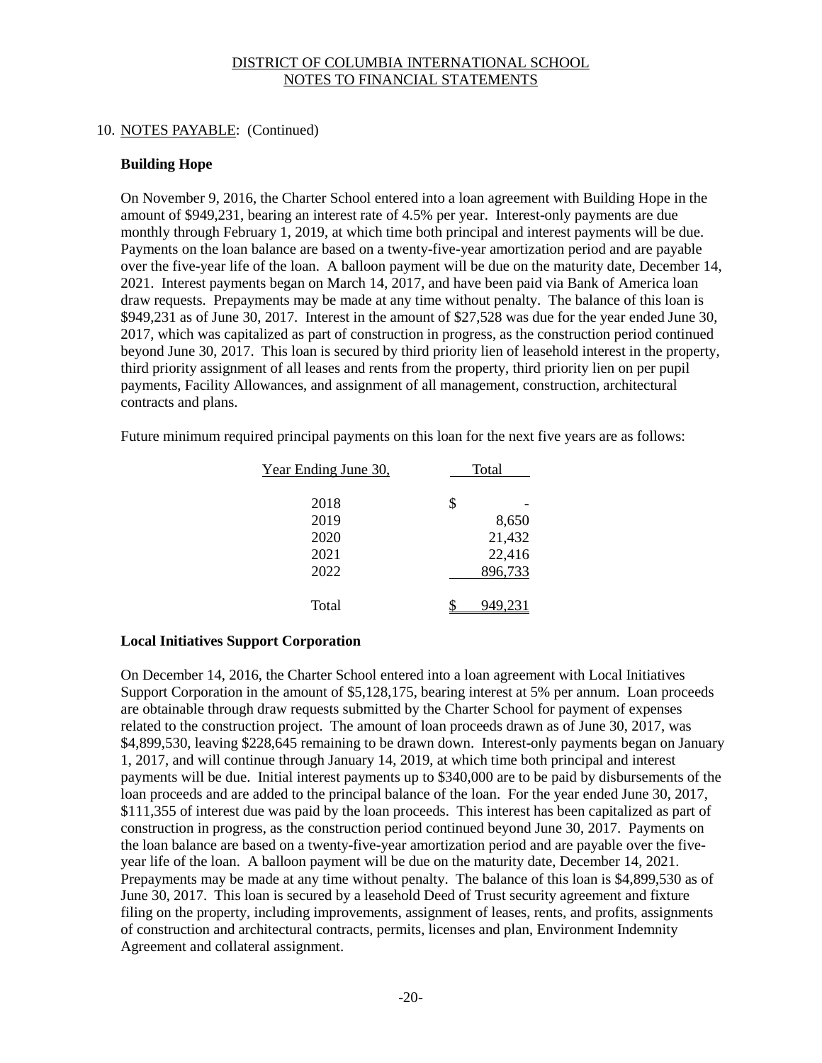## 10. NOTES PAYABLE: (Continued)

## **Building Hope**

On November 9, 2016, the Charter School entered into a loan agreement with Building Hope in the amount of \$949,231, bearing an interest rate of 4.5% per year. Interest-only payments are due monthly through February 1, 2019, at which time both principal and interest payments will be due. Payments on the loan balance are based on a twenty-five-year amortization period and are payable over the five-year life of the loan. A balloon payment will be due on the maturity date, December 14, 2021. Interest payments began on March 14, 2017, and have been paid via Bank of America loan draw requests. Prepayments may be made at any time without penalty. The balance of this loan is \$949,231 as of June 30, 2017. Interest in the amount of \$27,528 was due for the year ended June 30, 2017, which was capitalized as part of construction in progress, as the construction period continued beyond June 30, 2017. This loan is secured by third priority lien of leasehold interest in the property, third priority assignment of all leases and rents from the property, third priority lien on per pupil payments, Facility Allowances, and assignment of all management, construction, architectural contracts and plans.

Future minimum required principal payments on this loan for the next five years are as follows:

| Year Ending June 30, | Total |         |
|----------------------|-------|---------|
|                      |       |         |
| 2018                 | \$    |         |
| 2019                 |       | 8,650   |
| 2020                 |       | 21,432  |
| 2021                 |       | 22,416  |
| 2022                 |       | 896,733 |
| Total                |       |         |

## **Local Initiatives Support Corporation**

On December 14, 2016, the Charter School entered into a loan agreement with Local Initiatives Support Corporation in the amount of \$5,128,175, bearing interest at 5% per annum. Loan proceeds are obtainable through draw requests submitted by the Charter School for payment of expenses related to the construction project. The amount of loan proceeds drawn as of June 30, 2017, was \$4,899,530, leaving \$228,645 remaining to be drawn down. Interest-only payments began on January 1, 2017, and will continue through January 14, 2019, at which time both principal and interest payments will be due. Initial interest payments up to \$340,000 are to be paid by disbursements of the loan proceeds and are added to the principal balance of the loan. For the year ended June 30, 2017, \$111,355 of interest due was paid by the loan proceeds. This interest has been capitalized as part of construction in progress, as the construction period continued beyond June 30, 2017. Payments on the loan balance are based on a twenty-five-year amortization period and are payable over the fiveyear life of the loan. A balloon payment will be due on the maturity date, December 14, 2021. Prepayments may be made at any time without penalty. The balance of this loan is \$4,899,530 as of June 30, 2017. This loan is secured by a leasehold Deed of Trust security agreement and fixture filing on the property, including improvements, assignment of leases, rents, and profits, assignments of construction and architectural contracts, permits, licenses and plan, Environment Indemnity Agreement and collateral assignment.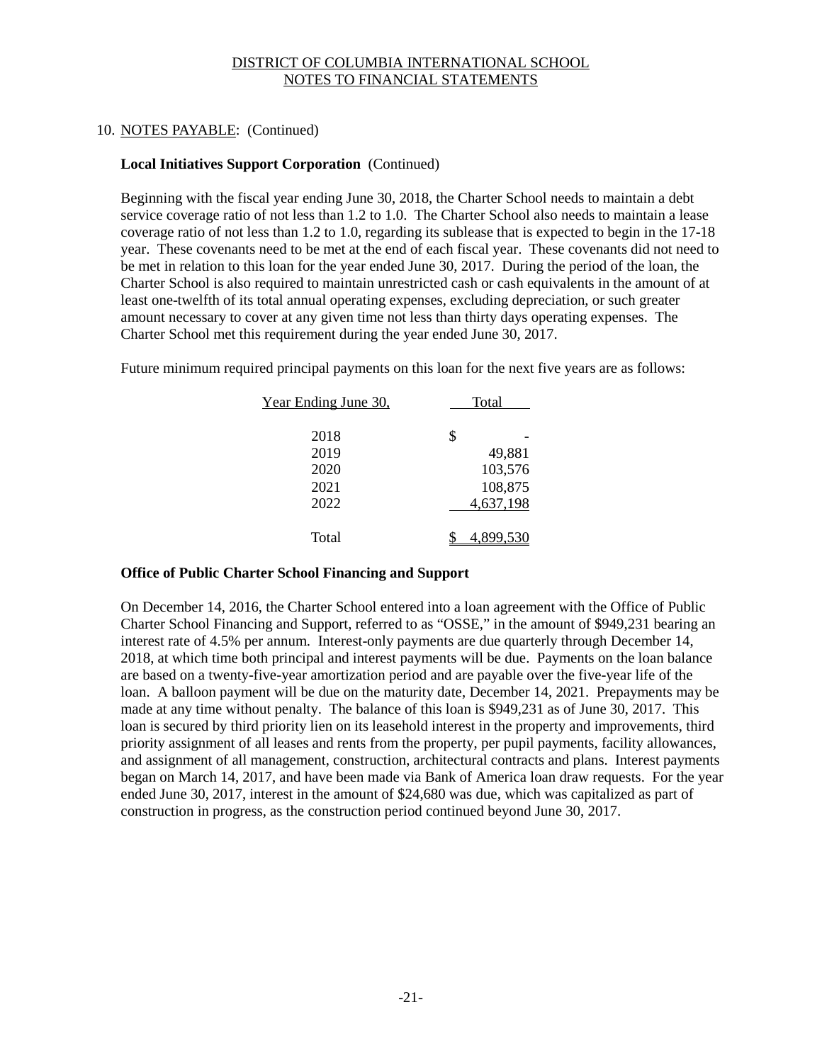## 10. NOTES PAYABLE: (Continued)

## **Local Initiatives Support Corporation** (Continued)

Beginning with the fiscal year ending June 30, 2018, the Charter School needs to maintain a debt service coverage ratio of not less than 1.2 to 1.0. The Charter School also needs to maintain a lease coverage ratio of not less than 1.2 to 1.0, regarding its sublease that is expected to begin in the 17-18 year. These covenants need to be met at the end of each fiscal year. These covenants did not need to be met in relation to this loan for the year ended June 30, 2017. During the period of the loan, the Charter School is also required to maintain unrestricted cash or cash equivalents in the amount of at least one-twelfth of its total annual operating expenses, excluding depreciation, or such greater amount necessary to cover at any given time not less than thirty days operating expenses. The Charter School met this requirement during the year ended June 30, 2017.

Future minimum required principal payments on this loan for the next five years are as follows:

| Year Ending June 30, | Total |           |
|----------------------|-------|-----------|
|                      |       |           |
| 2018                 | \$    |           |
| 2019                 |       | 49,881    |
| 2020                 |       | 103,576   |
| 2021                 |       | 108,875   |
| 2022                 |       | 4,637,198 |
|                      |       |           |
| Total                |       | 4,899,53  |

## **Office of Public Charter School Financing and Support**

On December 14, 2016, the Charter School entered into a loan agreement with the Office of Public Charter School Financing and Support, referred to as "OSSE," in the amount of \$949,231 bearing an interest rate of 4.5% per annum. Interest-only payments are due quarterly through December 14, 2018, at which time both principal and interest payments will be due. Payments on the loan balance are based on a twenty-five-year amortization period and are payable over the five-year life of the loan. A balloon payment will be due on the maturity date, December 14, 2021. Prepayments may be made at any time without penalty. The balance of this loan is \$949,231 as of June 30, 2017. This loan is secured by third priority lien on its leasehold interest in the property and improvements, third priority assignment of all leases and rents from the property, per pupil payments, facility allowances, and assignment of all management, construction, architectural contracts and plans. Interest payments began on March 14, 2017, and have been made via Bank of America loan draw requests. For the year ended June 30, 2017, interest in the amount of \$24,680 was due, which was capitalized as part of construction in progress, as the construction period continued beyond June 30, 2017.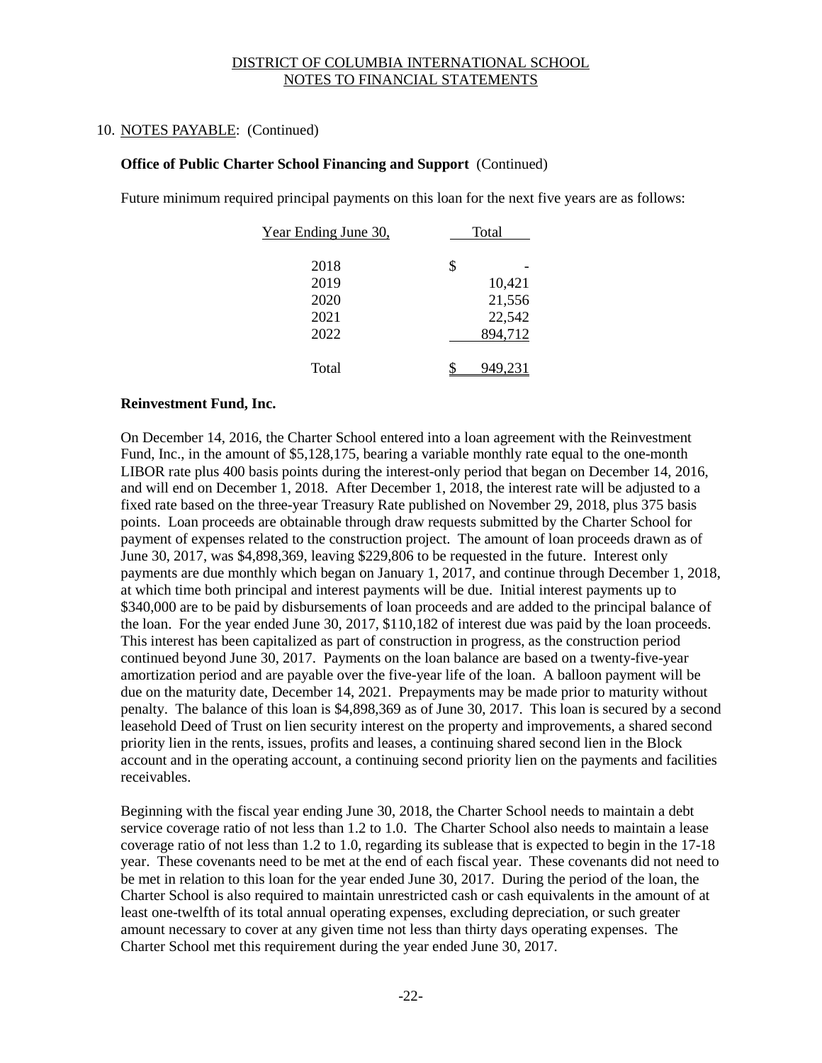## 10. NOTES PAYABLE: (Continued)

#### **Office of Public Charter School Financing and Support** (Continued)

Future minimum required principal payments on this loan for the next five years are as follows:

| Year Ending June 30, | Total   |
|----------------------|---------|
|                      |         |
| 2018                 | \$      |
| 2019                 | 10,421  |
| 2020                 | 21,556  |
| 2021                 | 22,542  |
| 2022                 | 894,712 |
|                      |         |
| Total                | 949.23  |

#### **Reinvestment Fund, Inc.**

On December 14, 2016, the Charter School entered into a loan agreement with the Reinvestment Fund, Inc., in the amount of \$5,128,175, bearing a variable monthly rate equal to the one-month LIBOR rate plus 400 basis points during the interest-only period that began on December 14, 2016, and will end on December 1, 2018. After December 1, 2018, the interest rate will be adjusted to a fixed rate based on the three-year Treasury Rate published on November 29, 2018, plus 375 basis points. Loan proceeds are obtainable through draw requests submitted by the Charter School for payment of expenses related to the construction project. The amount of loan proceeds drawn as of June 30, 2017, was \$4,898,369, leaving \$229,806 to be requested in the future. Interest only payments are due monthly which began on January 1, 2017, and continue through December 1, 2018, at which time both principal and interest payments will be due. Initial interest payments up to \$340,000 are to be paid by disbursements of loan proceeds and are added to the principal balance of the loan. For the year ended June 30, 2017, \$110,182 of interest due was paid by the loan proceeds. This interest has been capitalized as part of construction in progress, as the construction period continued beyond June 30, 2017. Payments on the loan balance are based on a twenty-five-year amortization period and are payable over the five-year life of the loan. A balloon payment will be due on the maturity date, December 14, 2021. Prepayments may be made prior to maturity without penalty. The balance of this loan is \$4,898,369 as of June 30, 2017. This loan is secured by a second leasehold Deed of Trust on lien security interest on the property and improvements, a shared second priority lien in the rents, issues, profits and leases, a continuing shared second lien in the Block account and in the operating account, a continuing second priority lien on the payments and facilities receivables.

Beginning with the fiscal year ending June 30, 2018, the Charter School needs to maintain a debt service coverage ratio of not less than 1.2 to 1.0. The Charter School also needs to maintain a lease coverage ratio of not less than 1.2 to 1.0, regarding its sublease that is expected to begin in the 17-18 year. These covenants need to be met at the end of each fiscal year. These covenants did not need to be met in relation to this loan for the year ended June 30, 2017. During the period of the loan, the Charter School is also required to maintain unrestricted cash or cash equivalents in the amount of at least one-twelfth of its total annual operating expenses, excluding depreciation, or such greater amount necessary to cover at any given time not less than thirty days operating expenses. The Charter School met this requirement during the year ended June 30, 2017.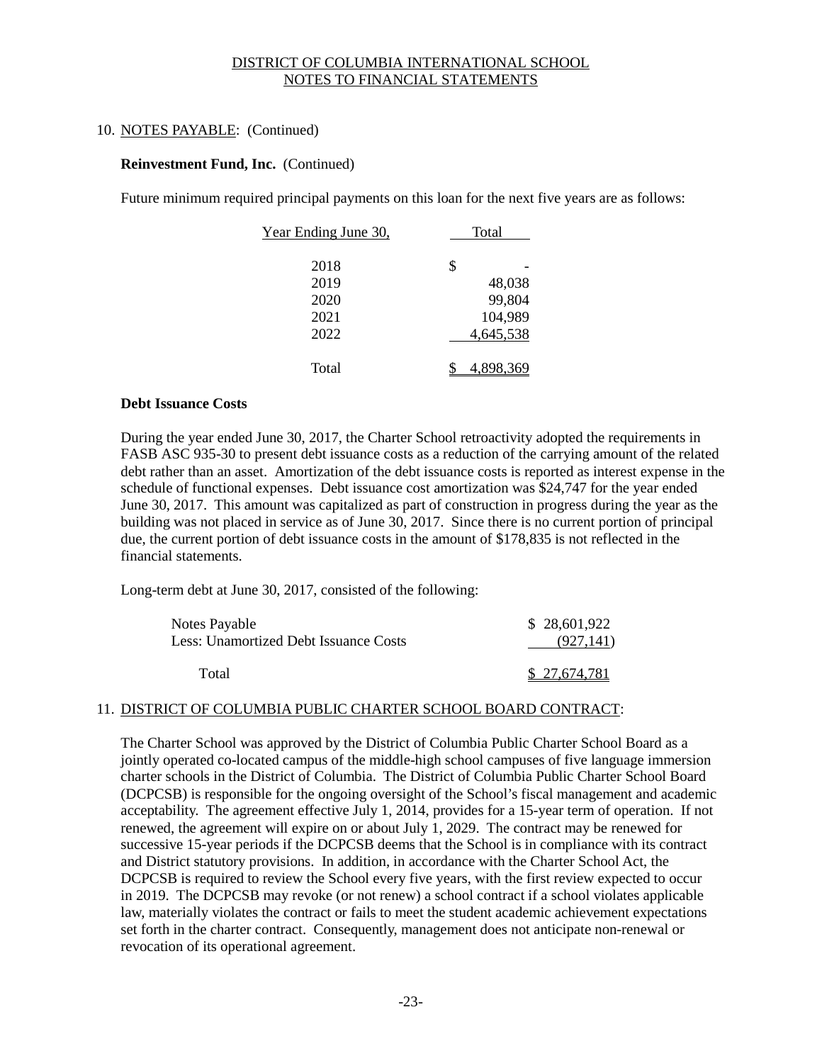## 10. NOTES PAYABLE: (Continued)

## **Reinvestment Fund, Inc.** (Continued)

Future minimum required principal payments on this loan for the next five years are as follows:

| Year Ending June 30, | Total |           |
|----------------------|-------|-----------|
|                      |       |           |
| 2018                 | \$    |           |
| 2019                 |       | 48,038    |
| 2020                 |       | 99,804    |
| 2021                 |       | 104,989   |
| 2022                 |       | 4,645,538 |
| Total                |       | 4.898.369 |

#### **Debt Issuance Costs**

During the year ended June 30, 2017, the Charter School retroactivity adopted the requirements in FASB ASC 935-30 to present debt issuance costs as a reduction of the carrying amount of the related debt rather than an asset. Amortization of the debt issuance costs is reported as interest expense in the schedule of functional expenses. Debt issuance cost amortization was \$24,747 for the year ended June 30, 2017. This amount was capitalized as part of construction in progress during the year as the building was not placed in service as of June 30, 2017. Since there is no current portion of principal due, the current portion of debt issuance costs in the amount of \$178,835 is not reflected in the financial statements.

Long-term debt at June 30, 2017, consisted of the following:

| Notes Payable<br><b>Less: Unamortized Debt Issuance Costs</b> | \$28,601,922<br>(927, 141) |
|---------------------------------------------------------------|----------------------------|
| Total                                                         | \$27,674,781               |

## 11. DISTRICT OF COLUMBIA PUBLIC CHARTER SCHOOL BOARD CONTRACT:

The Charter School was approved by the District of Columbia Public Charter School Board as a jointly operated co-located campus of the middle-high school campuses of five language immersion charter schools in the District of Columbia. The District of Columbia Public Charter School Board (DCPCSB) is responsible for the ongoing oversight of the School's fiscal management and academic acceptability. The agreement effective July 1, 2014, provides for a 15-year term of operation. If not renewed, the agreement will expire on or about July 1, 2029. The contract may be renewed for successive 15-year periods if the DCPCSB deems that the School is in compliance with its contract and District statutory provisions. In addition, in accordance with the Charter School Act, the DCPCSB is required to review the School every five years, with the first review expected to occur in 2019. The DCPCSB may revoke (or not renew) a school contract if a school violates applicable law, materially violates the contract or fails to meet the student academic achievement expectations set forth in the charter contract. Consequently, management does not anticipate non-renewal or revocation of its operational agreement.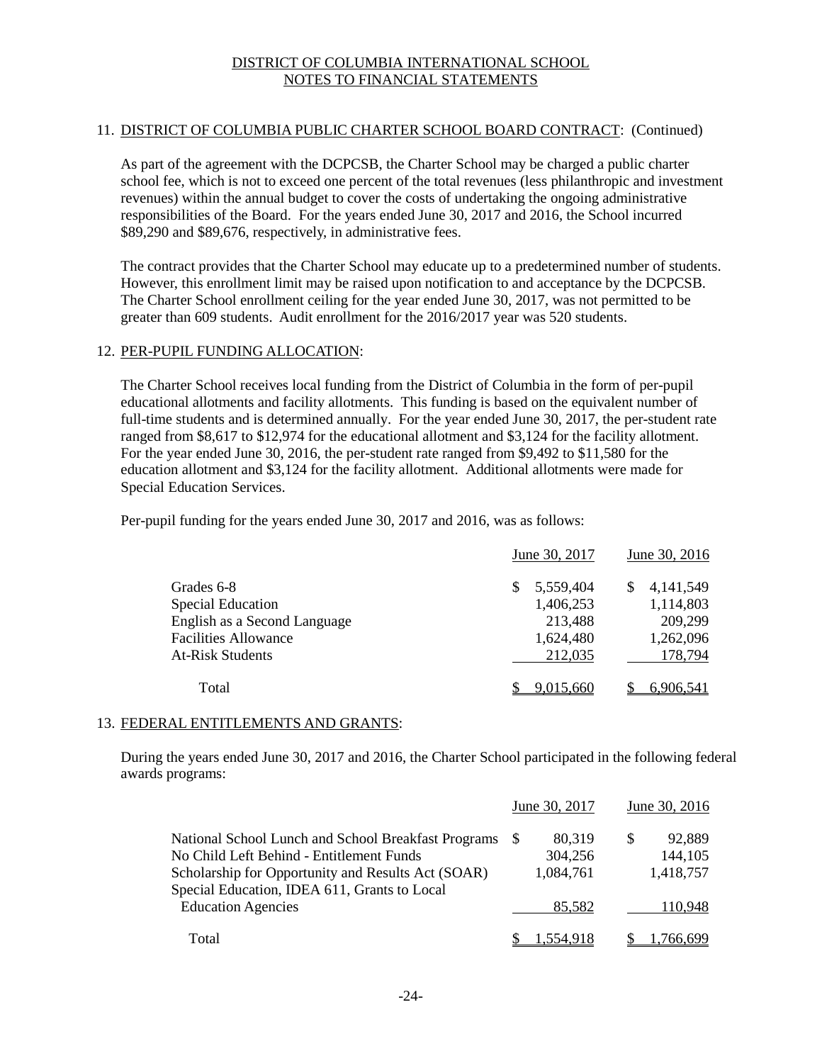## 11. DISTRICT OF COLUMBIA PUBLIC CHARTER SCHOOL BOARD CONTRACT: (Continued)

As part of the agreement with the DCPCSB, the Charter School may be charged a public charter school fee, which is not to exceed one percent of the total revenues (less philanthropic and investment revenues) within the annual budget to cover the costs of undertaking the ongoing administrative responsibilities of the Board. For the years ended June 30, 2017 and 2016, the School incurred \$89,290 and \$89,676, respectively, in administrative fees.

The contract provides that the Charter School may educate up to a predetermined number of students. However, this enrollment limit may be raised upon notification to and acceptance by the DCPCSB. The Charter School enrollment ceiling for the year ended June 30, 2017, was not permitted to be greater than 609 students. Audit enrollment for the 2016/2017 year was 520 students.

## 12. PER-PUPIL FUNDING ALLOCATION:

The Charter School receives local funding from the District of Columbia in the form of per-pupil educational allotments and facility allotments. This funding is based on the equivalent number of full-time students and is determined annually. For the year ended June 30, 2017, the per-student rate ranged from \$8,617 to \$12,974 for the educational allotment and \$3,124 for the facility allotment. For the year ended June 30, 2016, the per-student rate ranged from \$9,492 to \$11,580 for the education allotment and \$3,124 for the facility allotment. Additional allotments were made for Special Education Services.

Per-pupil funding for the years ended June 30, 2017 and 2016, was as follows:

|                              | June 30, 2017 | June 30, 2016 |
|------------------------------|---------------|---------------|
| Grades 6-8                   | 5,559,404     | 4, 141, 549   |
| <b>Special Education</b>     | 1,406,253     | 1,114,803     |
| English as a Second Language | 213,488       | 209,299       |
| <b>Facilities Allowance</b>  | 1,624,480     | 1,262,096     |
| <b>At-Risk Students</b>      | 212,035       | 178,794       |
| Total                        | 9.015.660     | 6.906.541     |

## 13. FEDERAL ENTITLEMENTS AND GRANTS:

During the years ended June 30, 2017 and 2016, the Charter School participated in the following federal awards programs:

|                                                     |              | June 30, 2017 |               | June 30, 2016 |
|-----------------------------------------------------|--------------|---------------|---------------|---------------|
| National School Lunch and School Breakfast Programs | <sup>S</sup> | 80.319        | <sup>\$</sup> | 92,889        |
| No Child Left Behind - Entitlement Funds            |              | 304,256       |               | 144,105       |
| Scholarship for Opportunity and Results Act (SOAR)  |              | 1,084,761     |               | 1,418,757     |
| Special Education, IDEA 611, Grants to Local        |              |               |               |               |
| <b>Education Agencies</b>                           |              | 85.582        |               | 110.948       |
| Total                                               |              | 1.554.918     |               | 1.766.699     |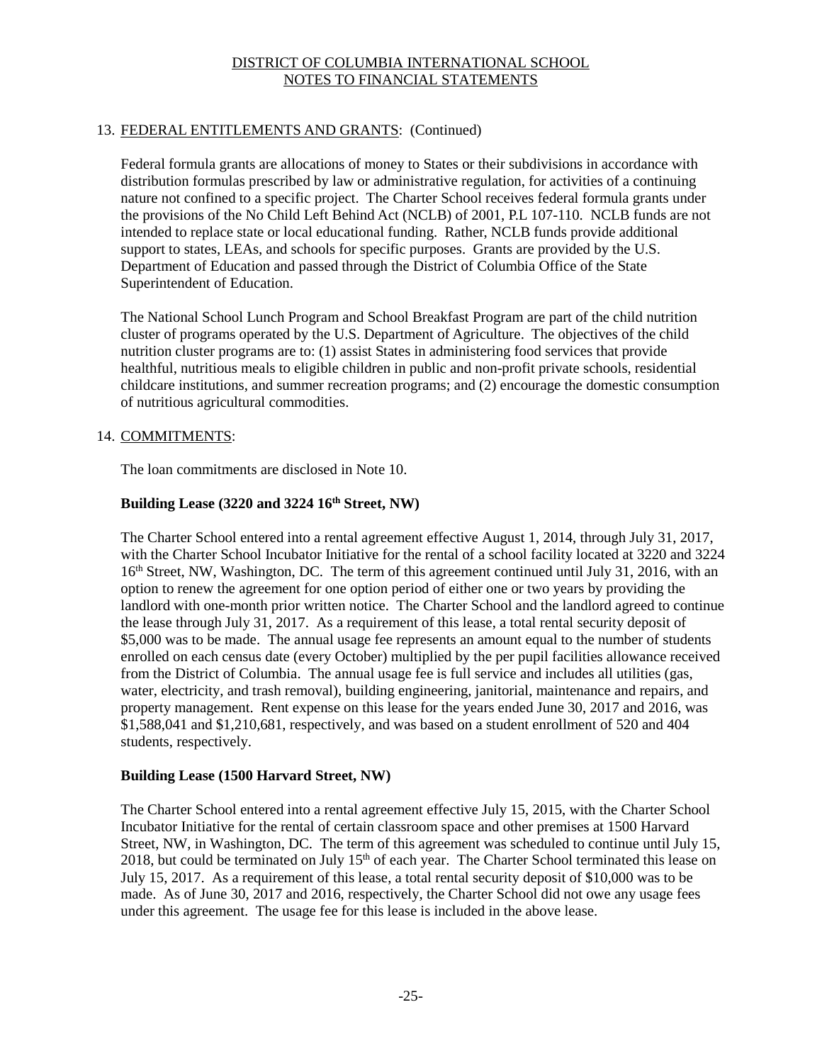# 13. FEDERAL ENTITLEMENTS AND GRANTS: (Continued)

Federal formula grants are allocations of money to States or their subdivisions in accordance with distribution formulas prescribed by law or administrative regulation, for activities of a continuing nature not confined to a specific project. The Charter School receives federal formula grants under the provisions of the No Child Left Behind Act (NCLB) of 2001, P.L 107-110. NCLB funds are not intended to replace state or local educational funding. Rather, NCLB funds provide additional support to states, LEAs, and schools for specific purposes. Grants are provided by the U.S. Department of Education and passed through the District of Columbia Office of the State Superintendent of Education.

The National School Lunch Program and School Breakfast Program are part of the child nutrition cluster of programs operated by the U.S. Department of Agriculture. The objectives of the child nutrition cluster programs are to: (1) assist States in administering food services that provide healthful, nutritious meals to eligible children in public and non-profit private schools, residential childcare institutions, and summer recreation programs; and (2) encourage the domestic consumption of nutritious agricultural commodities.

## 14. COMMITMENTS:

The loan commitments are disclosed in Note 10.

# **Building Lease (3220 and 3224 16th Street, NW)**

The Charter School entered into a rental agreement effective August 1, 2014, through July 31, 2017, with the Charter School Incubator Initiative for the rental of a school facility located at 3220 and 3224 16<sup>th</sup> Street, NW, Washington, DC. The term of this agreement continued until July 31, 2016, with an option to renew the agreement for one option period of either one or two years by providing the landlord with one-month prior written notice. The Charter School and the landlord agreed to continue the lease through July 31, 2017. As a requirement of this lease, a total rental security deposit of \$5,000 was to be made. The annual usage fee represents an amount equal to the number of students enrolled on each census date (every October) multiplied by the per pupil facilities allowance received from the District of Columbia. The annual usage fee is full service and includes all utilities (gas, water, electricity, and trash removal), building engineering, janitorial, maintenance and repairs, and property management. Rent expense on this lease for the years ended June 30, 2017 and 2016, was \$1,588,041 and \$1,210,681, respectively, and was based on a student enrollment of 520 and 404 students, respectively.

# **Building Lease (1500 Harvard Street, NW)**

The Charter School entered into a rental agreement effective July 15, 2015, with the Charter School Incubator Initiative for the rental of certain classroom space and other premises at 1500 Harvard Street, NW, in Washington, DC. The term of this agreement was scheduled to continue until July 15, 2018, but could be terminated on July  $15<sup>th</sup>$  of each year. The Charter School terminated this lease on July 15, 2017. As a requirement of this lease, a total rental security deposit of \$10,000 was to be made. As of June 30, 2017 and 2016, respectively, the Charter School did not owe any usage fees under this agreement. The usage fee for this lease is included in the above lease.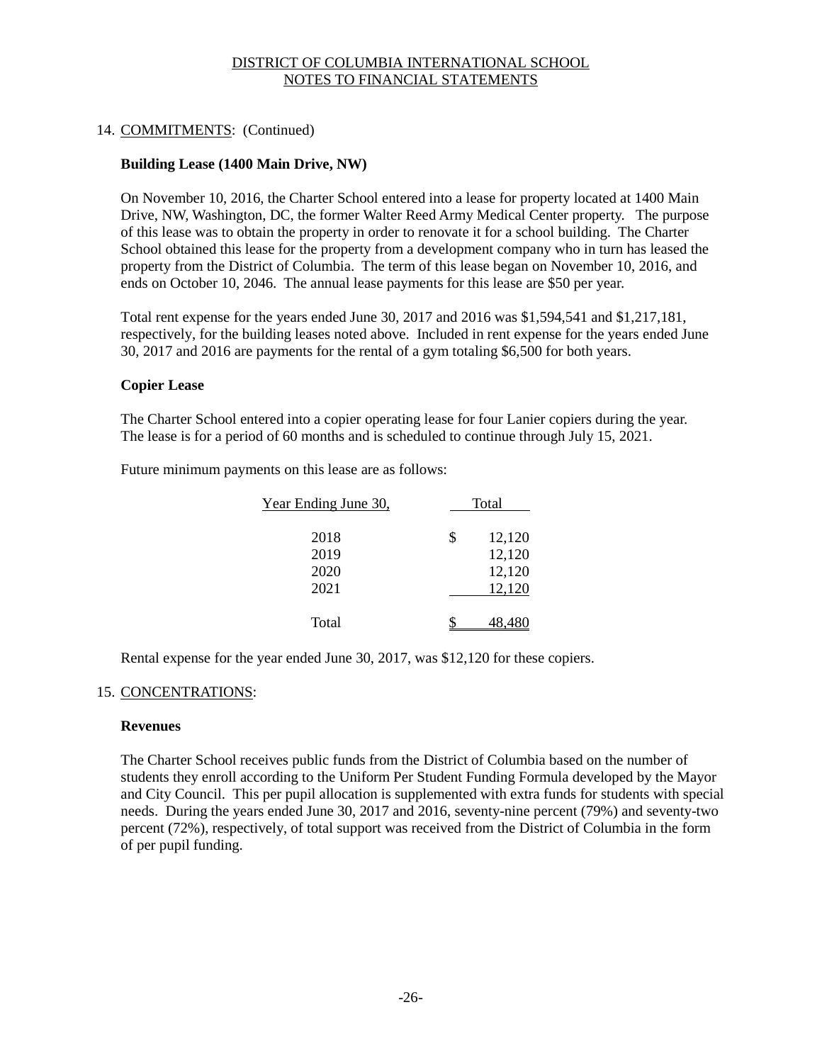## 14. COMMITMENTS: (Continued)

## **Building Lease (1400 Main Drive, NW)**

On November 10, 2016, the Charter School entered into a lease for property located at 1400 Main Drive, NW, Washington, DC, the former Walter Reed Army Medical Center property. The purpose of this lease was to obtain the property in order to renovate it for a school building. The Charter School obtained this lease for the property from a development company who in turn has leased the property from the District of Columbia. The term of this lease began on November 10, 2016, and ends on October 10, 2046. The annual lease payments for this lease are \$50 per year.

Total rent expense for the years ended June 30, 2017 and 2016 was \$1,594,541 and \$1,217,181, respectively, for the building leases noted above. Included in rent expense for the years ended June 30, 2017 and 2016 are payments for the rental of a gym totaling \$6,500 for both years.

## **Copier Lease**

The Charter School entered into a copier operating lease for four Lanier copiers during the year. The lease is for a period of 60 months and is scheduled to continue through July 15, 2021.

Future minimum payments on this lease are as follows:

| Year Ending June 30, | Total        |
|----------------------|--------------|
| 2018                 | \$<br>12,120 |
| 2019                 | 12,120       |
| 2020                 | 12,120       |
| 2021                 | 12,120       |
| Total                | 48.480       |

Rental expense for the year ended June 30, 2017, was \$12,120 for these copiers.

## 15. CONCENTRATIONS:

#### **Revenues**

The Charter School receives public funds from the District of Columbia based on the number of students they enroll according to the Uniform Per Student Funding Formula developed by the Mayor and City Council. This per pupil allocation is supplemented with extra funds for students with special needs. During the years ended June 30, 2017 and 2016, seventy-nine percent (79%) and seventy-two percent (72%), respectively, of total support was received from the District of Columbia in the form of per pupil funding.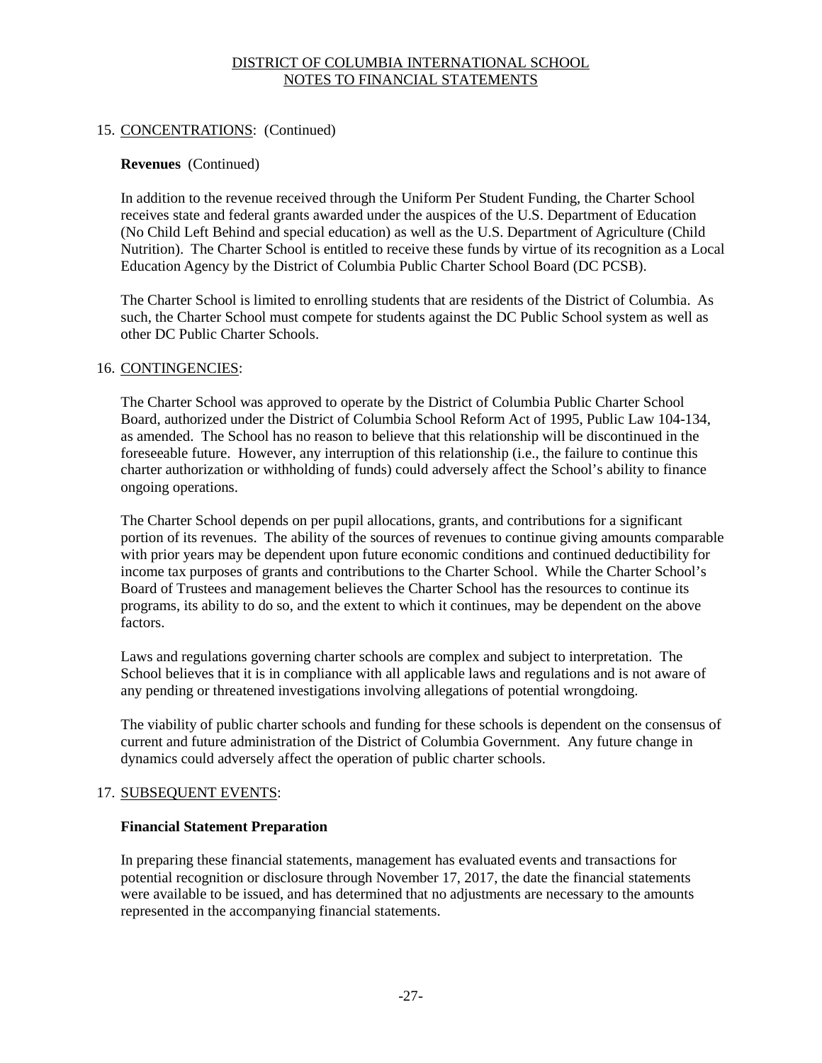## 15. CONCENTRATIONS: (Continued)

#### **Revenues** (Continued)

In addition to the revenue received through the Uniform Per Student Funding, the Charter School receives state and federal grants awarded under the auspices of the U.S. Department of Education (No Child Left Behind and special education) as well as the U.S. Department of Agriculture (Child Nutrition). The Charter School is entitled to receive these funds by virtue of its recognition as a Local Education Agency by the District of Columbia Public Charter School Board (DC PCSB).

The Charter School is limited to enrolling students that are residents of the District of Columbia. As such, the Charter School must compete for students against the DC Public School system as well as other DC Public Charter Schools.

#### 16. CONTINGENCIES:

The Charter School was approved to operate by the District of Columbia Public Charter School Board, authorized under the District of Columbia School Reform Act of 1995, Public Law 104-134, as amended. The School has no reason to believe that this relationship will be discontinued in the foreseeable future. However, any interruption of this relationship (i.e., the failure to continue this charter authorization or withholding of funds) could adversely affect the School's ability to finance ongoing operations.

The Charter School depends on per pupil allocations, grants, and contributions for a significant portion of its revenues. The ability of the sources of revenues to continue giving amounts comparable with prior years may be dependent upon future economic conditions and continued deductibility for income tax purposes of grants and contributions to the Charter School. While the Charter School's Board of Trustees and management believes the Charter School has the resources to continue its programs, its ability to do so, and the extent to which it continues, may be dependent on the above factors.

Laws and regulations governing charter schools are complex and subject to interpretation. The School believes that it is in compliance with all applicable laws and regulations and is not aware of any pending or threatened investigations involving allegations of potential wrongdoing.

The viability of public charter schools and funding for these schools is dependent on the consensus of current and future administration of the District of Columbia Government. Any future change in dynamics could adversely affect the operation of public charter schools.

## 17. SUBSEQUENT EVENTS:

#### **Financial Statement Preparation**

In preparing these financial statements, management has evaluated events and transactions for potential recognition or disclosure through November 17, 2017, the date the financial statements were available to be issued, and has determined that no adjustments are necessary to the amounts represented in the accompanying financial statements.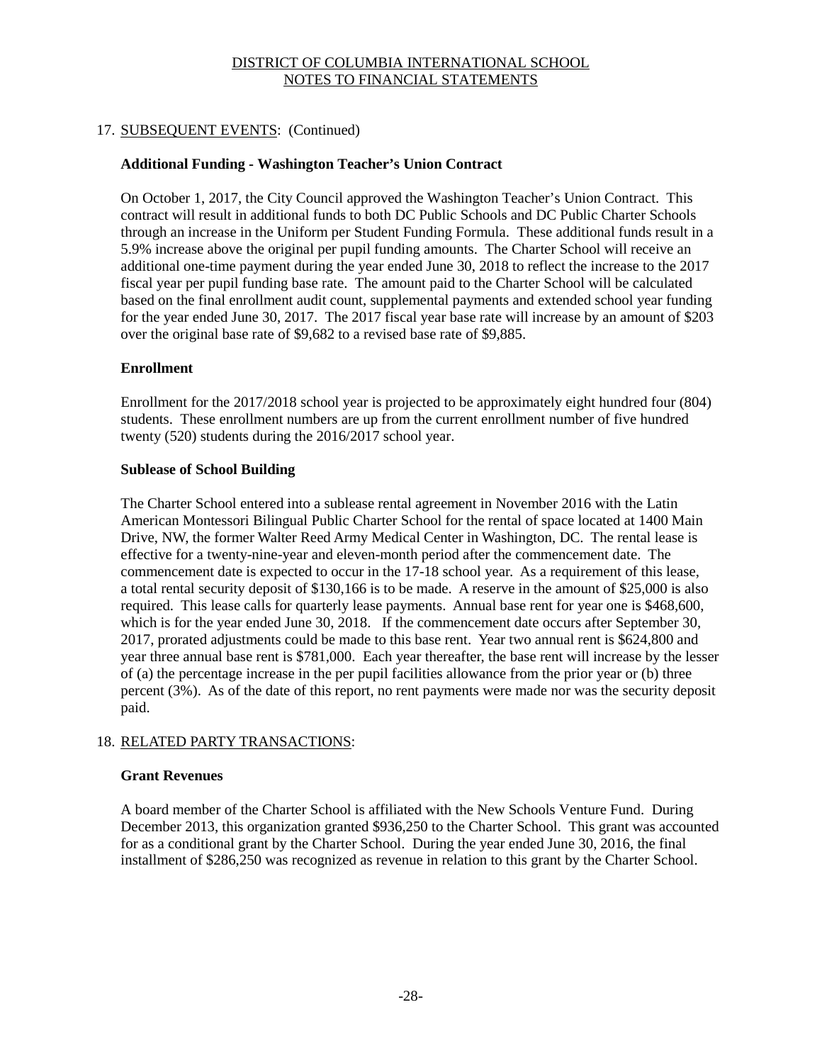## 17. SUBSEQUENT EVENTS: (Continued)

## **Additional Funding - Washington Teacher's Union Contract**

On October 1, 2017, the City Council approved the Washington Teacher's Union Contract. This contract will result in additional funds to both DC Public Schools and DC Public Charter Schools through an increase in the Uniform per Student Funding Formula. These additional funds result in a 5.9% increase above the original per pupil funding amounts. The Charter School will receive an additional one-time payment during the year ended June 30, 2018 to reflect the increase to the 2017 fiscal year per pupil funding base rate. The amount paid to the Charter School will be calculated based on the final enrollment audit count, supplemental payments and extended school year funding for the year ended June 30, 2017. The 2017 fiscal year base rate will increase by an amount of \$203 over the original base rate of \$9,682 to a revised base rate of \$9,885.

## **Enrollment**

Enrollment for the 2017/2018 school year is projected to be approximately eight hundred four (804) students. These enrollment numbers are up from the current enrollment number of five hundred twenty (520) students during the 2016/2017 school year.

## **Sublease of School Building**

The Charter School entered into a sublease rental agreement in November 2016 with the Latin American Montessori Bilingual Public Charter School for the rental of space located at 1400 Main Drive, NW, the former Walter Reed Army Medical Center in Washington, DC. The rental lease is effective for a twenty-nine-year and eleven-month period after the commencement date. The commencement date is expected to occur in the 17-18 school year. As a requirement of this lease, a total rental security deposit of \$130,166 is to be made. A reserve in the amount of \$25,000 is also required. This lease calls for quarterly lease payments. Annual base rent for year one is \$468,600, which is for the year ended June 30, 2018. If the commencement date occurs after September 30, 2017, prorated adjustments could be made to this base rent. Year two annual rent is \$624,800 and year three annual base rent is \$781,000. Each year thereafter, the base rent will increase by the lesser of (a) the percentage increase in the per pupil facilities allowance from the prior year or (b) three percent (3%). As of the date of this report, no rent payments were made nor was the security deposit paid.

## 18. RELATED PARTY TRANSACTIONS:

## **Grant Revenues**

A board member of the Charter School is affiliated with the New Schools Venture Fund. During December 2013, this organization granted \$936,250 to the Charter School. This grant was accounted for as a conditional grant by the Charter School. During the year ended June 30, 2016, the final installment of \$286,250 was recognized as revenue in relation to this grant by the Charter School.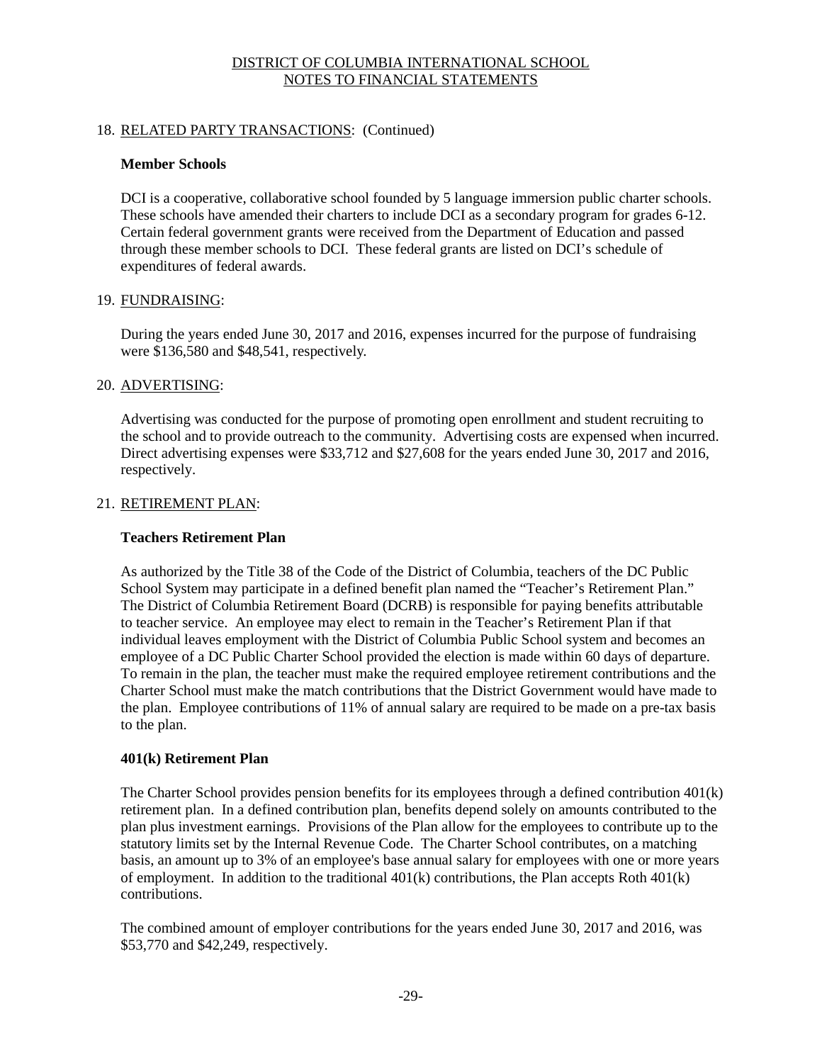## 18. RELATED PARTY TRANSACTIONS: (Continued)

#### **Member Schools**

DCI is a cooperative, collaborative school founded by 5 language immersion public charter schools. These schools have amended their charters to include DCI as a secondary program for grades 6-12. Certain federal government grants were received from the Department of Education and passed through these member schools to DCI. These federal grants are listed on DCI's schedule of expenditures of federal awards.

## 19. FUNDRAISING:

During the years ended June 30, 2017 and 2016, expenses incurred for the purpose of fundraising were \$136,580 and \$48,541, respectively.

#### 20. ADVERTISING:

Advertising was conducted for the purpose of promoting open enrollment and student recruiting to the school and to provide outreach to the community. Advertising costs are expensed when incurred. Direct advertising expenses were \$33,712 and \$27,608 for the years ended June 30, 2017 and 2016, respectively.

#### 21. RETIREMENT PLAN:

#### **Teachers Retirement Plan**

As authorized by the Title 38 of the Code of the District of Columbia, teachers of the DC Public School System may participate in a defined benefit plan named the "Teacher's Retirement Plan." The District of Columbia Retirement Board (DCRB) is responsible for paying benefits attributable to teacher service. An employee may elect to remain in the Teacher's Retirement Plan if that individual leaves employment with the District of Columbia Public School system and becomes an employee of a DC Public Charter School provided the election is made within 60 days of departure. To remain in the plan, the teacher must make the required employee retirement contributions and the Charter School must make the match contributions that the District Government would have made to the plan. Employee contributions of 11% of annual salary are required to be made on a pre-tax basis to the plan.

## **401(k) Retirement Plan**

The Charter School provides pension benefits for its employees through a defined contribution 401(k) retirement plan. In a defined contribution plan, benefits depend solely on amounts contributed to the plan plus investment earnings. Provisions of the Plan allow for the employees to contribute up to the statutory limits set by the Internal Revenue Code. The Charter School contributes, on a matching basis, an amount up to 3% of an employee's base annual salary for employees with one or more years of employment. In addition to the traditional  $401(k)$  contributions, the Plan accepts Roth  $401(k)$ contributions.

The combined amount of employer contributions for the years ended June 30, 2017 and 2016, was \$53,770 and \$42,249, respectively.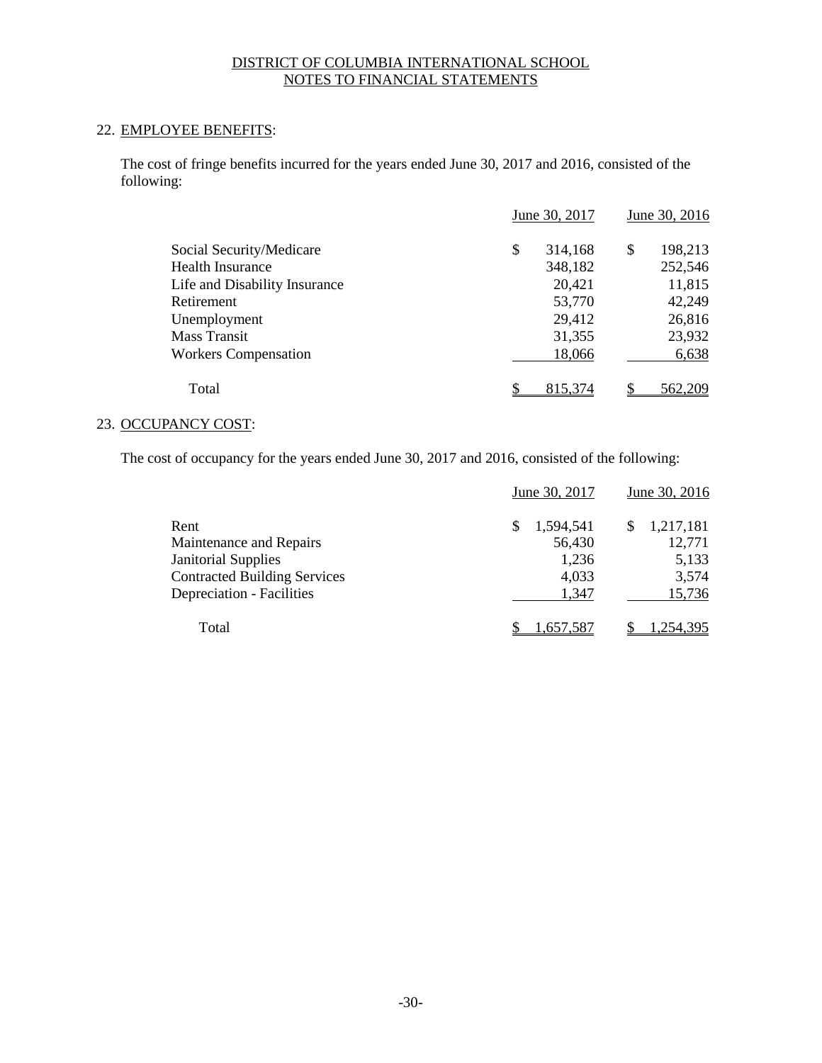# 22. EMPLOYEE BENEFITS:

The cost of fringe benefits incurred for the years ended June 30, 2017 and 2016, consisted of the following:

|                               | June 30, 2017 | June 30, 2016 |
|-------------------------------|---------------|---------------|
| Social Security/Medicare      | \$<br>314,168 | 198,213<br>S  |
| <b>Health Insurance</b>       | 348,182       | 252,546       |
| Life and Disability Insurance | 20,421        | 11,815        |
| Retirement                    | 53,770        | 42,249        |
| Unemployment                  | 29,412        | 26,816        |
| Mass Transit                  | 31,355        | 23,932        |
| <b>Workers Compensation</b>   | 18,066        | 6,638         |
| Total                         | 815,374       | 562,209       |

# 23. OCCUPANCY COST:

The cost of occupancy for the years ended June 30, 2017 and 2016, consisted of the following:

|                                     | June 30, 2017 | June 30, 2016 |
|-------------------------------------|---------------|---------------|
| Rent                                | 1,594,541     | 1,217,181     |
| Maintenance and Repairs             | 56,430        | 12,771        |
| <b>Janitorial Supplies</b>          | 1,236         | 5,133         |
| <b>Contracted Building Services</b> | 4,033         | 3,574         |
| Depreciation - Facilities           | 1,347         | 15,736        |
| Total                               | 1,657.587     | 1.254.395     |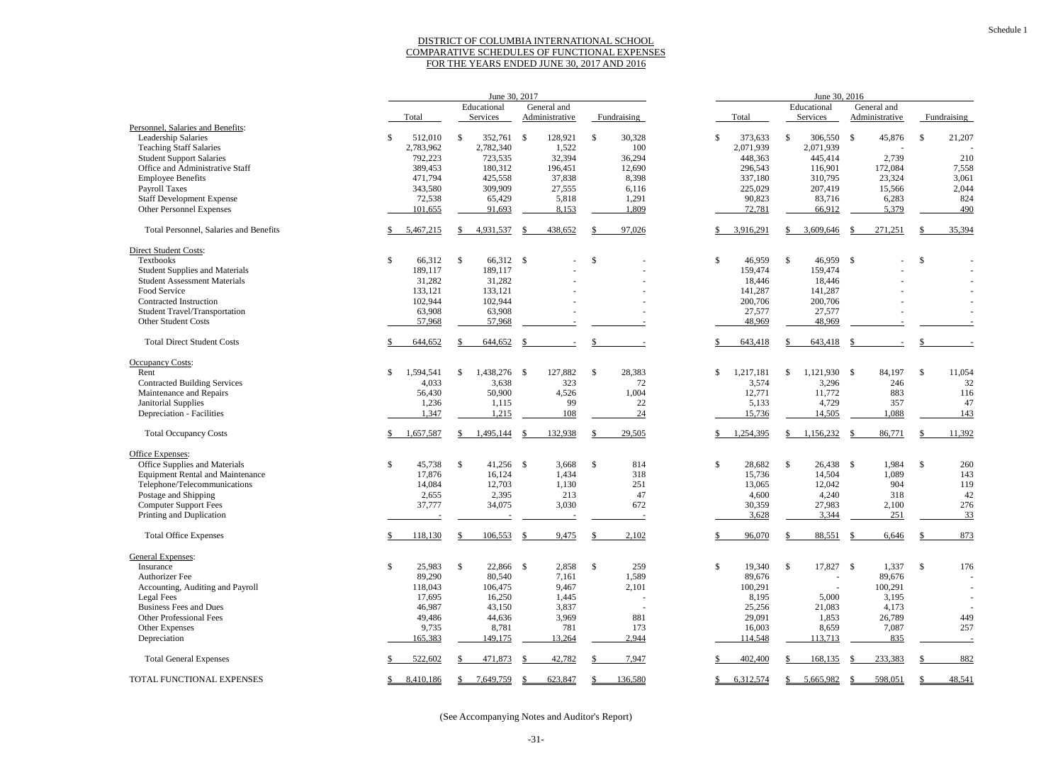#### DISTRICT OF COLUMBIA INTERNATIONAL SCHOOL COMPARATIVE SCHEDULES OF FUNCTIONAL EXPENSES FOR THE YEARS ENDED JUNE 30, 2017 AND 2016

|                                         | June 30, 2017              |                             |      |                       |                            |             | June 30, 2016 |           |               |              |  |                |               |             |  |  |
|-----------------------------------------|----------------------------|-----------------------------|------|-----------------------|----------------------------|-------------|---------------|-----------|---------------|--------------|--|----------------|---------------|-------------|--|--|
|                                         | General and<br>Educational |                             |      |                       | Educational<br>General and |             |               |           |               |              |  |                |               |             |  |  |
|                                         | Total                      | Services                    |      | <b>Administrative</b> |                            | Fundraising |               | Total     |               | Services     |  | Administrative |               | Fundraising |  |  |
| Personnel, Salaries and Benefits:       |                            |                             |      |                       |                            |             |               |           |               |              |  |                |               |             |  |  |
| Leadership Salaries                     | 512,010                    | \$<br>352,761               | - \$ | 128,921               | -\$                        | 30,328      | \$            | 373,633   | -\$           | 306,550 \$   |  | 45,876         | \$            | 21,207      |  |  |
| <b>Teaching Staff Salaries</b>          | 2,783,962                  | 2,782,340                   |      | 1,522                 |                            | 100         |               | 2,071,939 |               | 2,071,939    |  |                |               |             |  |  |
| <b>Student Support Salaries</b>         |                            |                             |      |                       |                            |             |               |           |               |              |  |                |               |             |  |  |
|                                         | 792,223                    | 723,535                     |      | 32,394                |                            | 36,294      |               | 448,363   |               | 445,414      |  | 2,739          |               | 210         |  |  |
| Office and Administrative Staff         | 389,453                    | 180,312                     |      | 196,451               |                            | 12,690      |               | 296,543   |               | 116,901      |  | 172,084        |               | 7,558       |  |  |
| <b>Employee Benefits</b>                | 471,794                    | 425,558                     |      | 37,838                |                            | 8,398       |               | 337,180   |               | 310,795      |  | 23,324         |               | 3,061       |  |  |
| <b>Payroll Taxes</b>                    | 343,580                    | 309,909                     |      | 27,555                |                            | 6,116       |               | 225,029   |               | 207,419      |  | 15,566         |               | 2,044       |  |  |
| <b>Staff Development Expense</b>        | 72,538                     | 65,429                      |      | 5,818                 |                            | 1,291       |               | 90,823    |               | 83,716       |  | 6,283          |               | 824         |  |  |
| Other Personnel Expenses                | 101,655                    | 91,693                      |      | 8,153                 |                            | 1,809       |               | 72,781    |               | 66,912       |  | 5,379          |               | 490         |  |  |
| Total Personnel, Salaries and Benefits  | 5,467,215                  | 4,931,537                   |      | 438,652               |                            | 97,026      |               | 3,916,291 |               | 3,609,646    |  | 271,251        |               | 35,394      |  |  |
| <b>Direct Student Costs:</b>            |                            |                             |      |                       |                            |             |               |           |               |              |  |                |               |             |  |  |
| <b>Textbooks</b>                        | \$<br>66,312               | $\mathbb{S}$<br>66,312 \$   |      |                       | -\$                        |             | \$            | 46,959    | <sup>\$</sup> | 46,959 \$    |  |                | \$            |             |  |  |
| <b>Student Supplies and Materials</b>   | 189,117                    | 189,117                     |      |                       |                            |             |               | 159,474   |               | 159,474      |  |                |               |             |  |  |
| <b>Student Assessment Materials</b>     | 31,282                     | 31,282                      |      |                       |                            |             |               | 18,446    |               | 18,446       |  |                |               |             |  |  |
| Food Service                            | 133,121                    | 133,121                     |      |                       |                            |             |               | 141,287   |               | 141,287      |  |                |               |             |  |  |
|                                         |                            |                             |      |                       |                            |             |               |           |               |              |  |                |               |             |  |  |
| Contracted Instruction                  | 102,944                    | 102,944                     |      |                       |                            |             |               | 200,706   |               | 200,706      |  |                |               |             |  |  |
| <b>Student Travel/Transportation</b>    | 63,908                     | 63,908                      |      |                       |                            |             |               | 27,577    |               | 27,577       |  |                |               |             |  |  |
| Other Student Costs                     | 57,968                     | 57,968                      |      |                       |                            |             |               | 48,969    |               | 48,969       |  |                |               |             |  |  |
| <b>Total Direct Student Costs</b>       | 644,652                    | 644,652                     |      |                       |                            |             |               | 643,418   |               | 643,418      |  |                |               |             |  |  |
| <b>Occupancy Costs:</b>                 |                            |                             |      |                       |                            |             |               |           |               |              |  |                |               |             |  |  |
| Rent                                    | \$<br>1,594,541            | \$<br>1,438,276 \$          |      | 127,882               | \$                         | 28,383      | \$            | 1,217,181 | \$            | 1,121,930 \$ |  | 84,197         | $\mathcal{S}$ | 11,054      |  |  |
| <b>Contracted Building Services</b>     | 4,033                      | 3,638                       |      | 323                   |                            | 72          |               | 3,574     |               | 3,296        |  | 246            |               | 32          |  |  |
| Maintenance and Repairs                 | 56,430                     | 50,900                      |      | 4,526                 |                            | 1,004       |               | 12,771    |               | 11,772       |  | 883            |               | 116         |  |  |
| Janitorial Supplies                     | 1,236                      | 1,115                       |      | 99                    |                            | 22          |               | 5,133     |               | 4,729        |  | 357            |               | 47          |  |  |
|                                         |                            |                             |      |                       |                            |             |               |           |               |              |  |                |               |             |  |  |
| Depreciation - Facilities               | 1,347                      | 1,215                       |      | 108                   |                            | 24          |               | 15,736    |               | 14,505       |  | 1,088          |               | 143         |  |  |
| <b>Total Occupancy Costs</b>            | 1,657,587                  | 1,495,144                   | -8   | 132,938               |                            | 29,505      |               | 1,254,395 |               | 1,156,232    |  | 86,771         |               | 11,392      |  |  |
| Office Expenses:                        |                            |                             |      |                       |                            |             |               |           |               |              |  |                |               |             |  |  |
| Office Supplies and Materials           | \$<br>45,738               | $\mathbb{S}$<br>$41,256$ \$ |      | 3,668                 | $\mathbb{S}$               | 814         | \$            | 28,682    | $\mathbb{S}$  | 26,438 \$    |  | 1,984          | $\mathcal{S}$ | 260         |  |  |
| <b>Equipment Rental and Maintenance</b> | 17,876                     | 16,124                      |      | 1,434                 |                            | 318         |               | 15,736    |               | 14,504       |  | 1,089          |               | 143         |  |  |
| Telephone/Telecommunications            | 14,084                     | 12,703                      |      | 1,130                 |                            | 251         |               | 13,065    |               | 12,042       |  | 904            |               | 119         |  |  |
| Postage and Shipping                    | 2,655                      | 2,395                       |      | 213                   |                            | 47          |               | 4,600     |               | 4,240        |  | 318            |               | 42          |  |  |
| <b>Computer Support Fees</b>            | 37,777                     | 34,075                      |      | 3,030                 |                            | 672         |               | 30,359    |               | 27,983       |  | 2,100          |               | 276         |  |  |
| Printing and Duplication                |                            |                             |      |                       |                            |             |               | 3,628     |               | 3,344        |  | 251            |               | 33          |  |  |
|                                         |                            |                             |      |                       |                            |             |               |           |               |              |  |                |               |             |  |  |
| <b>Total Office Expenses</b>            | 118,130                    | 106,553                     |      | 9,475                 |                            | 2,102       |               | 96,070    |               | 88,551       |  | 6,646          |               | 873         |  |  |
| General Expenses:                       |                            |                             |      |                       |                            |             |               |           |               |              |  |                |               |             |  |  |
| Insurance                               | \$<br>25,983               | $\mathbb{S}$<br>22,866 \$   |      | 2,858                 | $\mathcal{S}$              | 259         | $\mathbb{S}$  | 19,340    | \$            | 17,827 \$    |  | 1,337          | \$            | 176         |  |  |
| Authorizer Fee                          | 89,290                     | 80,540                      |      | 7,161                 |                            | 1,589       |               | 89,676    |               |              |  | 89,676         |               |             |  |  |
| Accounting, Auditing and Payroll        | 118,043                    | 106,475                     |      | 9,467                 |                            | 2,101       |               | 100,291   |               |              |  | 100,291        |               |             |  |  |
| <b>Legal Fees</b>                       | 17,695                     | 16,250                      |      | 1,445                 |                            |             |               | 8,195     |               | 5,000        |  | 3,195          |               |             |  |  |
| <b>Business Fees and Dues</b>           | 46,987                     | 43,150                      |      | 3,837                 |                            |             |               | 25,256    |               | 21,083       |  | 4,173          |               |             |  |  |
| <b>Other Professional Fees</b>          | 49,486                     | 44,636                      |      | 3,969                 |                            | 881         |               | 29,091    |               | 1,853        |  | 26,789         |               | 449         |  |  |
|                                         |                            |                             |      |                       |                            |             |               |           |               |              |  |                |               |             |  |  |
| Other Expenses                          | 9,735                      | 8,781                       |      | 781                   |                            | 173         |               | 16,003    |               | 8,659        |  | 7,087          |               | 257         |  |  |
| Depreciation                            | 165,383                    | 149,175                     |      | 13,264                |                            | 2,944       |               | 114,548   |               | 113,713      |  | 835            |               |             |  |  |
| <b>Total General Expenses</b>           | 522,602                    | 471,873                     |      | 42,782                |                            | 7,947       |               | 402,400   |               | 168,135      |  | 233,383        |               | 882         |  |  |
| TOTAL FUNCTIONAL EXPENSES               | 8,410,186                  | 7,649,759                   |      | 623,847               |                            | 136,580     |               | 6,312,574 |               | 5,665,982    |  | 598,051        |               | 48,541      |  |  |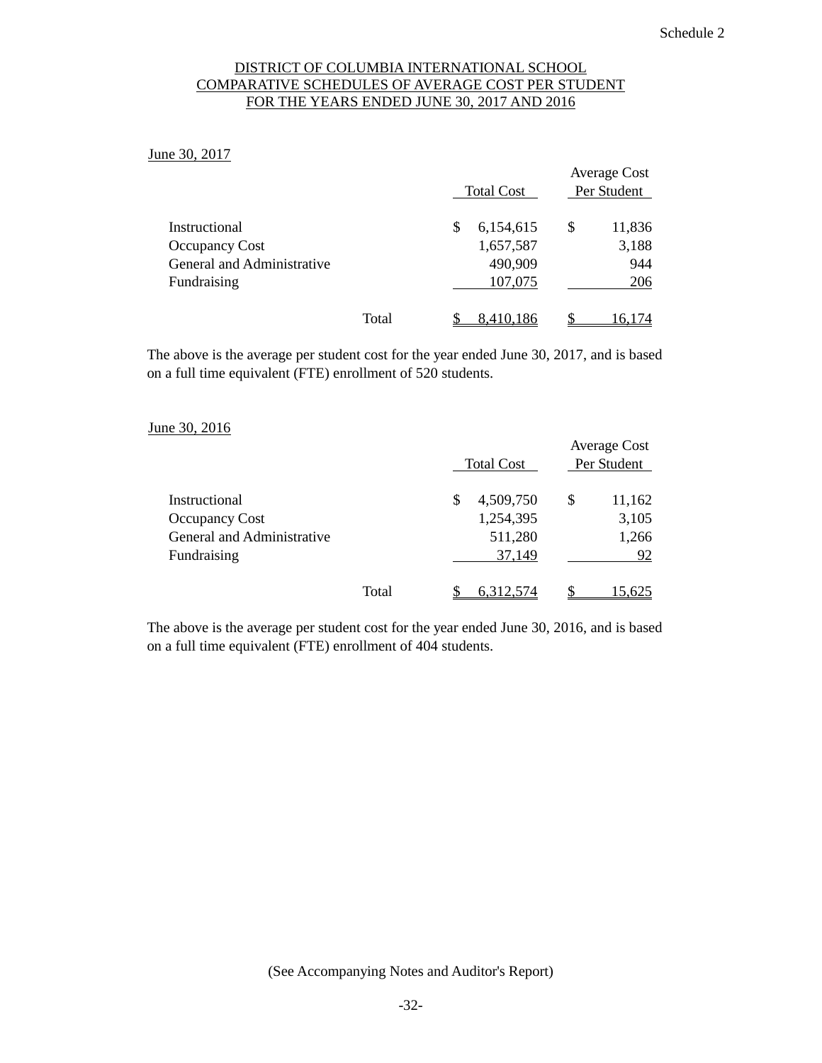## DISTRICT OF COLUMBIA INTERNATIONAL SCHOOL COMPARATIVE SCHEDULES OF AVERAGE COST PER STUDENT FOR THE YEARS ENDED JUNE 30, 2017 AND 2016

June 30, 2017

|                            |       |   | <b>Total Cost</b> | <b>Average Cost</b><br>Per Student |
|----------------------------|-------|---|-------------------|------------------------------------|
| Instructional              |       | S | 6,154,615         | \$<br>11,836                       |
| <b>Occupancy Cost</b>      |       |   | 1,657,587         | 3,188                              |
| General and Administrative |       |   | 490,909           | 944                                |
| Fundraising                |       |   | 107,075           | 206                                |
|                            | Total |   | 8,410,186         | 16,174                             |

The above is the average per student cost for the year ended June 30, 2017, and is based on a full time equivalent (FTE) enrollment of 520 students.

#### June 30, 2016

|                            |       | <b>Total Cost</b> | <b>Average Cost</b><br>Per Student |
|----------------------------|-------|-------------------|------------------------------------|
| Instructional              |       | \$<br>4,509,750   | \$<br>11,162                       |
| <b>Occupancy Cost</b>      |       | 1,254,395         | 3,105                              |
| General and Administrative |       | 511,280           | 1,266                              |
| Fundraising                |       | 37,149            | 92                                 |
|                            | Total | 6.312.574         | 5.625                              |

The above is the average per student cost for the year ended June 30, 2016, and is based on a full time equivalent (FTE) enrollment of 404 students.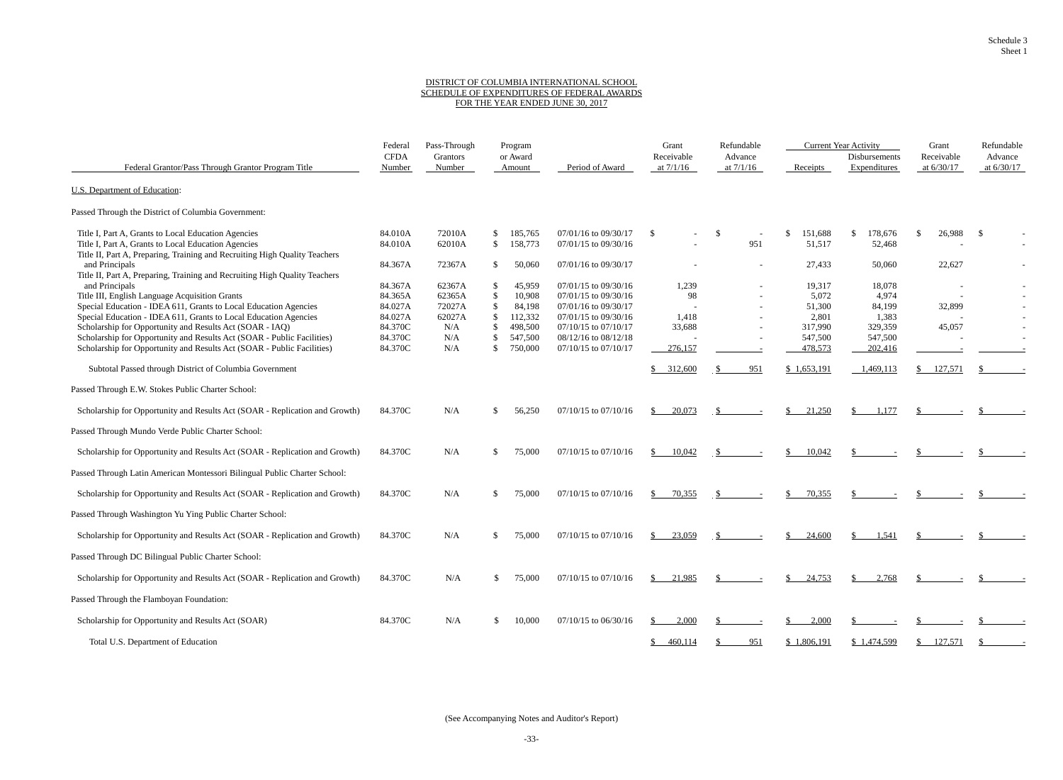#### DISTRICT OF COLUMBIA INTERNATIONAL SCHOOL SCHEDULE OF EXPENDITURES OF FEDERAL AWARDS FOR THE YEAR ENDED JUNE 30, 2017

|                                                                                                                                   | Federal               | Pass-Through       |               | Program            |                          | Grant                     | Refundable |                        |               |                               | <b>Current Year Activity</b> |                            | Grant                   |  | Refundable |  |
|-----------------------------------------------------------------------------------------------------------------------------------|-----------------------|--------------------|---------------|--------------------|--------------------------|---------------------------|------------|------------------------|---------------|-------------------------------|------------------------------|----------------------------|-------------------------|--|------------|--|
| Federal Grantor/Pass Through Grantor Program Title                                                                                | <b>CFDA</b><br>Number | Grantors<br>Number |               | or Award<br>Amount | Period of Award          | Receivable<br>at $7/1/16$ |            | Advance<br>at $7/1/16$ | Receipts      | Disbursements<br>Expenditures |                              | Receivable<br>at $6/30/17$ | Advance<br>at $6/30/17$ |  |            |  |
| <b>U.S. Department of Education:</b>                                                                                              |                       |                    |               |                    |                          |                           |            |                        |               |                               |                              |                            |                         |  |            |  |
| Passed Through the District of Columbia Government:                                                                               |                       |                    |               |                    |                          |                           |            |                        |               |                               |                              |                            |                         |  |            |  |
| Title I, Part A, Grants to Local Education Agencies                                                                               | 84.010A               | 72010A             | \$            | 185,765            | 07/01/16 to 09/30/17     | \$                        | \$         |                        | 151,688<br>\$ | $\mathbb{S}$<br>178,676       | \$.                          | 26,988                     | \$                      |  |            |  |
| Title I, Part A, Grants to Local Education Agencies<br>Title II, Part A, Preparing, Training and Recruiting High Quality Teachers | 84.010A               | 62010A             | \$            | 158,773            | 07/01/15 to 09/30/16     |                           |            | 951                    | 51,517        | 52,468                        |                              |                            |                         |  |            |  |
| and Principals                                                                                                                    | 84.367A               | 72367A             | S.            | 50,060             | 07/01/16 to 09/30/17     |                           |            |                        | 27,433        | 50,060                        |                              | 22,627                     |                         |  |            |  |
| Title II, Part A, Preparing, Training and Recruiting High Quality Teachers<br>and Principals                                      | 84.367A               | 62367A             | S             | 45,959             | 07/01/15 to 09/30/16     | 1,239                     |            |                        | 19,317        | 18,078                        |                              |                            |                         |  |            |  |
| Title III, English Language Acquisition Grants                                                                                    | 84.365A               | 62365A             | \$            | 10,908             | 07/01/15 to 09/30/16     | 98                        |            |                        | 5,072         | 4,974                         |                              |                            |                         |  |            |  |
| Special Education - IDEA 611, Grants to Local Education Agencies                                                                  | 84.027A               | 72027A             | $\mathcal{S}$ | 84,198             | 07/01/16 to 09/30/17     |                           |            |                        | 51,300        | 84,199                        |                              | 32,899                     |                         |  |            |  |
| Special Education - IDEA 611, Grants to Local Education Agencies                                                                  | 84.027A               | 62027A             | \$.           | 112,332            | 07/01/15 to 09/30/16     | 1,418                     |            |                        | 2,801         | 1,383                         |                              |                            |                         |  |            |  |
| Scholarship for Opportunity and Results Act (SOAR - IAQ)                                                                          | 84.370C               | N/A                | \$.           | 498,500            | $07/10/15$ to $07/10/17$ | 33,688                    |            |                        | 317,990       | 329,359                       |                              | 45,057                     |                         |  |            |  |
| Scholarship for Opportunity and Results Act (SOAR - Public Facilities)                                                            | 84.370C               | N/A                | \$.           | 547,500            | 08/12/16 to 08/12/18     |                           |            |                        | 547,500       | 547,500                       |                              |                            |                         |  |            |  |
| Scholarship for Opportunity and Results Act (SOAR - Public Facilities)                                                            | 84.370C               | N/A                | \$            | 750,000            | $07/10/15$ to $07/10/17$ | 276,157                   |            |                        | 478,573       | 202,416                       |                              |                            |                         |  |            |  |
| Subtotal Passed through District of Columbia Government                                                                           |                       |                    |               |                    |                          | 312,600                   |            | 951                    | \$1,653,191   | 1,469,113                     |                              | 127,571                    |                         |  |            |  |
| Passed Through E.W. Stokes Public Charter School:                                                                                 |                       |                    |               |                    |                          |                           |            |                        |               |                               |                              |                            |                         |  |            |  |
| Scholarship for Opportunity and Results Act (SOAR - Replication and Growth)                                                       | 84.370C               | N/A                | \$            | 56,250             | $07/10/15$ to $07/10/16$ | 20,073<br>S.              |            |                        | 21,250        | 1.177<br>-S                   |                              |                            |                         |  |            |  |
| Passed Through Mundo Verde Public Charter School:                                                                                 |                       |                    |               |                    |                          |                           |            |                        |               |                               |                              |                            |                         |  |            |  |
| Scholarship for Opportunity and Results Act (SOAR - Replication and Growth)                                                       | 84.370C               | N/A                | \$.           | 75,000             | $07/10/15$ to $07/10/16$ | 10,042                    |            |                        | 10,042        |                               |                              |                            |                         |  |            |  |
| Passed Through Latin American Montessori Bilingual Public Charter School:                                                         |                       |                    |               |                    |                          |                           |            |                        |               |                               |                              |                            |                         |  |            |  |
| Scholarship for Opportunity and Results Act (SOAR - Replication and Growth)                                                       | 84.370C               | N/A                | S             | 75,000             | $07/10/15$ to $07/10/16$ | 70,355<br>S.              |            |                        | 70,355<br>S   |                               |                              |                            |                         |  |            |  |
| Passed Through Washington Yu Ying Public Charter School:                                                                          |                       |                    |               |                    |                          |                           |            |                        |               |                               |                              |                            |                         |  |            |  |
| Scholarship for Opportunity and Results Act (SOAR - Replication and Growth)                                                       | 84.370C               | N/A                | \$.           | 75,000             | $07/10/15$ to $07/10/16$ | 23,059<br>\$.             |            |                        | 24,600<br>S   | 1,541<br>£.                   |                              |                            |                         |  |            |  |
| Passed Through DC Bilingual Public Charter School:                                                                                |                       |                    |               |                    |                          |                           |            |                        |               |                               |                              |                            |                         |  |            |  |
| Scholarship for Opportunity and Results Act (SOAR - Replication and Growth)                                                       | 84.370C               | N/A                | \$.           | 75,000             | $07/10/15$ to $07/10/16$ | \$<br>21,985              |            |                        | 24,753<br>S   | 2,768<br>-S                   |                              |                            |                         |  |            |  |
| Passed Through the Flamboyan Foundation:                                                                                          |                       |                    |               |                    |                          |                           |            |                        |               |                               |                              |                            |                         |  |            |  |
| Scholarship for Opportunity and Results Act (SOAR)                                                                                | 84.370C               | N/A                | \$.           | 10,000             | $07/10/15$ to $06/30/16$ | 2,000<br>\$.              |            |                        | 2,000         |                               |                              |                            |                         |  |            |  |
| Total U.S. Department of Education                                                                                                |                       |                    |               |                    |                          | 460,114<br>S              |            | 951                    | \$1,806,191   | \$1,474,599                   | S.                           | 127,571                    |                         |  |            |  |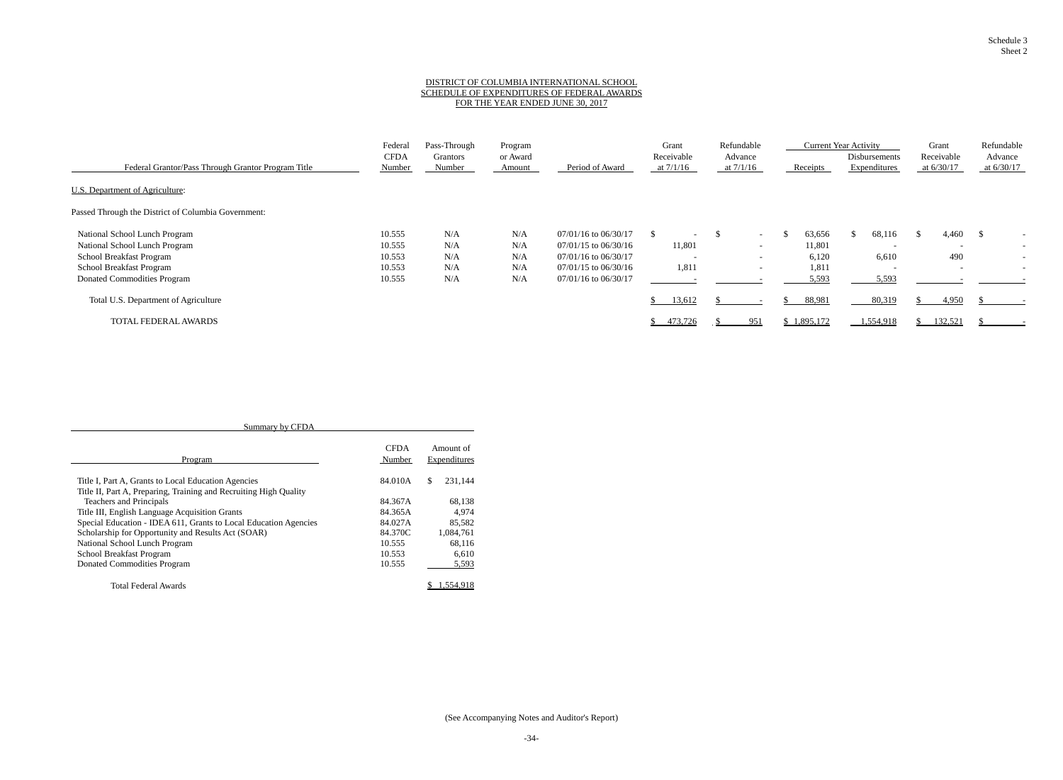#### DISTRICT OF COLUMBIA INTERNATIONAL SCHOOL SCHEDULE OF EXPENDITURES OF FEDERAL AWARDS FOR THE YEAR ENDED JUNE 30, 2017

|                                                     | Federal               | Pass-Through       | Program            |                          | Grant                     | Refundable               |           | <b>Current Year Activity</b>  | Grant                      | Refundable              |
|-----------------------------------------------------|-----------------------|--------------------|--------------------|--------------------------|---------------------------|--------------------------|-----------|-------------------------------|----------------------------|-------------------------|
| Federal Grantor/Pass Through Grantor Program Title  | <b>CFDA</b><br>Number | Grantors<br>Number | or Award<br>Amount | Period of Award          | Receivable<br>at $7/1/16$ | Advance<br>at $7/1/16$   | Receipts  | Disbursements<br>Expenditures | Receivable<br>at $6/30/17$ | Advance<br>at $6/30/17$ |
| U.S. Department of Agriculture:                     |                       |                    |                    |                          |                           |                          |           |                               |                            |                         |
| Passed Through the District of Columbia Government: |                       |                    |                    |                          |                           |                          |           |                               |                            |                         |
| National School Lunch Program                       | 10.555                | N/A                | N/A                | $07/01/16$ to $06/30/17$ |                           | $\sim$                   | 63,656    | 68,116                        | 4,460                      | - 55                    |
| National School Lunch Program                       | 10.555                | N/A                | N/A                | $07/01/15$ to $06/30/16$ | 11,801                    | $-$                      | 11,801    | $\overline{\phantom{0}}$      | $\overline{\phantom{0}}$   |                         |
| School Breakfast Program                            | 10.553                | N/A                | N/A                | $07/01/16$ to $06/30/17$ | $\overline{\phantom{a}}$  | $\overline{\phantom{0}}$ | 6,120     | 6,610                         | 490                        |                         |
| School Breakfast Program                            | 10.553                | N/A                | N/A                | $07/01/15$ to $06/30/16$ | 1,811                     | $-$                      | 1,811     | $\overline{\phantom{0}}$      | $\overline{\phantom{0}}$   |                         |
| Donated Commodities Program                         | 10.555                | N/A                | N/A                | 07/01/16 to 06/30/17     |                           |                          | 5,593     | 5,593                         |                            |                         |
| Total U.S. Department of Agriculture                |                       |                    |                    |                          | 13,612                    |                          | 88,981    | 80,319                        | 4,950                      |                         |
| TOTAL FEDERAL AWARDS                                |                       |                    |                    |                          | 473,726                   | 951                      | 1,895,172 | 1,554,918                     | 132,521                    |                         |

| Summary by CFDA                                                   |                       |                           |  |  |  |
|-------------------------------------------------------------------|-----------------------|---------------------------|--|--|--|
| Program                                                           | <b>CFDA</b><br>Number | Amount of<br>Expenditures |  |  |  |
| Title I, Part A, Grants to Local Education Agencies               | 84.010A               | \$.<br>231.144            |  |  |  |
| Title II, Part A, Preparing, Training and Recruiting High Quality |                       |                           |  |  |  |
| Teachers and Principals                                           | 84.367A               | 68,138                    |  |  |  |
| Title III, English Language Acquisition Grants                    | 84.365A               | 4.974                     |  |  |  |
| Special Education - IDEA 611, Grants to Local Education Agencies  | 84.027A               | 85,582                    |  |  |  |
| Scholarship for Opportunity and Results Act (SOAR)                | 84.370C               | 1,084,761                 |  |  |  |
| National School Lunch Program                                     | 10.555                | 68,116                    |  |  |  |
| School Breakfast Program                                          | 10.553                | 6.610                     |  |  |  |
| Donated Commodities Program                                       | 10.555                | 5,593                     |  |  |  |
| Total Federal Awards                                              |                       | .554.918                  |  |  |  |

Schedule 3 Sheet 2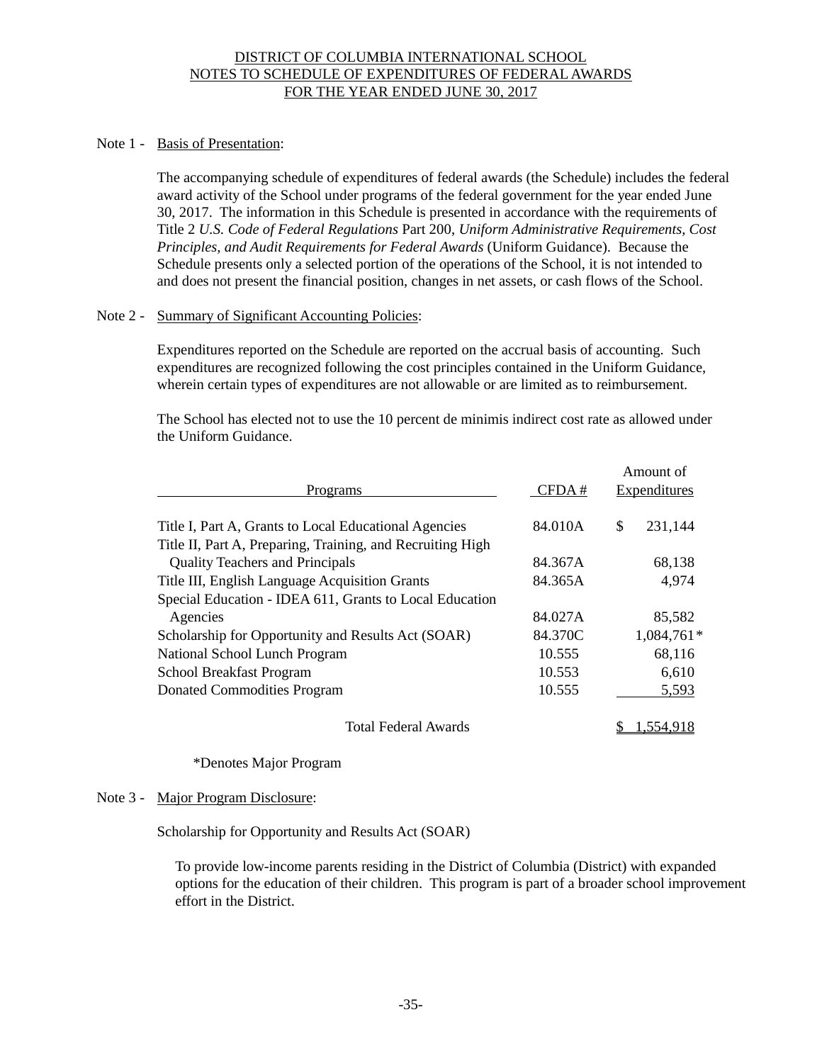## DISTRICT OF COLUMBIA INTERNATIONAL SCHOOL NOTES TO SCHEDULE OF EXPENDITURES OF FEDERAL AWARDS FOR THE YEAR ENDED JUNE 30, 2017

#### Note 1 - Basis of Presentation:

The accompanying schedule of expenditures of federal awards (the Schedule) includes the federal award activity of the School under programs of the federal government for the year ended June 30, 2017. The information in this Schedule is presented in accordance with the requirements of Title 2 *U.S. Code of Federal Regulations* Part 200, *Uniform Administrative Requirements, Cost Principles, and Audit Requirements for Federal Awards* (Uniform Guidance). Because the Schedule presents only a selected portion of the operations of the School, it is not intended to and does not present the financial position, changes in net assets, or cash flows of the School.

#### Note 2 - Summary of Significant Accounting Policies:

Expenditures reported on the Schedule are reported on the accrual basis of accounting. Such expenditures are recognized following the cost principles contained in the Uniform Guidance, wherein certain types of expenditures are not allowable or are limited as to reimbursement.

The School has elected not to use the 10 percent de minimis indirect cost rate as allowed under the Uniform Guidance.

| Programs                                                   | CFDA#   | Amount of<br>Expenditures |  |  |  |
|------------------------------------------------------------|---------|---------------------------|--|--|--|
| Title I, Part A, Grants to Local Educational Agencies      | 84.010A | \$<br>231,144             |  |  |  |
| Title II, Part A, Preparing, Training, and Recruiting High |         |                           |  |  |  |
| <b>Quality Teachers and Principals</b>                     | 84.367A | 68,138                    |  |  |  |
| Title III, English Language Acquisition Grants             | 84.365A | 4,974                     |  |  |  |
| Special Education - IDEA 611, Grants to Local Education    |         |                           |  |  |  |
| Agencies                                                   | 84.027A | 85,582                    |  |  |  |
| Scholarship for Opportunity and Results Act (SOAR)         | 84.370C | 1,084,761*                |  |  |  |
| National School Lunch Program                              | 10.555  | 68,116                    |  |  |  |
| School Breakfast Program                                   | 10.553  | 6,610                     |  |  |  |
| <b>Donated Commodities Program</b>                         | 10.555  | 5,593                     |  |  |  |
|                                                            |         |                           |  |  |  |

Total Federal Awards  $$1,554,918$ 

\*Denotes Major Program

#### Note 3 - Major Program Disclosure:

Scholarship for Opportunity and Results Act (SOAR)

To provide low-income parents residing in the District of Columbia (District) with expanded options for the education of their children. This program is part of a broader school improvement effort in the District.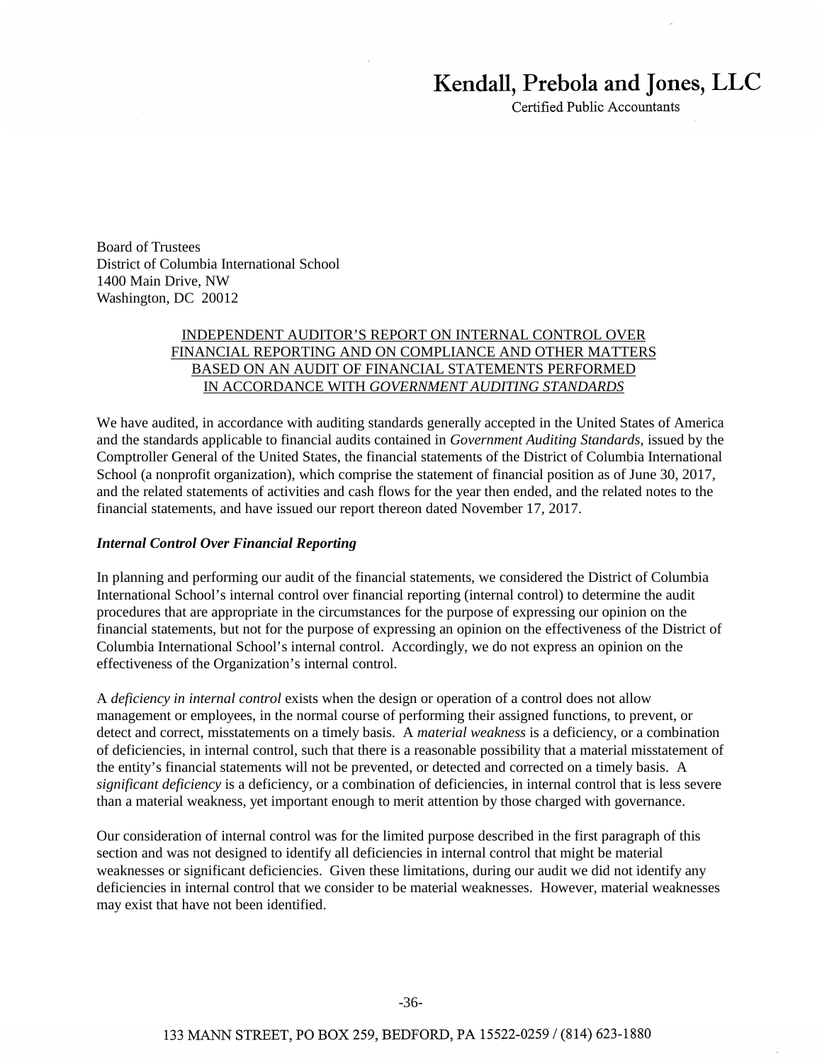# Kendall, Prebola and Jones, LLC

Certified Public Accountants

Board of Trustees District of Columbia International School 1400 Main Drive, NW Washington, DC 20012

## INDEPENDENT AUDITOR'S REPORT ON INTERNAL CONTROL OVER FINANCIAL REPORTING AND ON COMPLIANCE AND OTHER MATTERS BASED ON AN AUDIT OF FINANCIAL STATEMENTS PERFORMED IN ACCORDANCE WITH *GOVERNMENT AUDITING STANDARDS*

We have audited, in accordance with auditing standards generally accepted in the United States of America and the standards applicable to financial audits contained in *Government Auditing Standards*, issued by the Comptroller General of the United States, the financial statements of the District of Columbia International School (a nonprofit organization), which comprise the statement of financial position as of June 30, 2017, and the related statements of activities and cash flows for the year then ended, and the related notes to the financial statements, and have issued our report thereon dated November 17, 2017.

#### *Internal Control Over Financial Reporting*

In planning and performing our audit of the financial statements, we considered the District of Columbia International School's internal control over financial reporting (internal control) to determine the audit procedures that are appropriate in the circumstances for the purpose of expressing our opinion on the financial statements, but not for the purpose of expressing an opinion on the effectiveness of the District of Columbia International School's internal control. Accordingly, we do not express an opinion on the effectiveness of the Organization's internal control.

A *deficiency in internal control* exists when the design or operation of a control does not allow management or employees, in the normal course of performing their assigned functions, to prevent, or detect and correct, misstatements on a timely basis. A *material weakness* is a deficiency, or a combination of deficiencies, in internal control, such that there is a reasonable possibility that a material misstatement of the entity's financial statements will not be prevented, or detected and corrected on a timely basis. A *significant deficiency* is a deficiency, or a combination of deficiencies, in internal control that is less severe than a material weakness, yet important enough to merit attention by those charged with governance.

Our consideration of internal control was for the limited purpose described in the first paragraph of this section and was not designed to identify all deficiencies in internal control that might be material weaknesses or significant deficiencies. Given these limitations, during our audit we did not identify any deficiencies in internal control that we consider to be material weaknesses. However, material weaknesses may exist that have not been identified.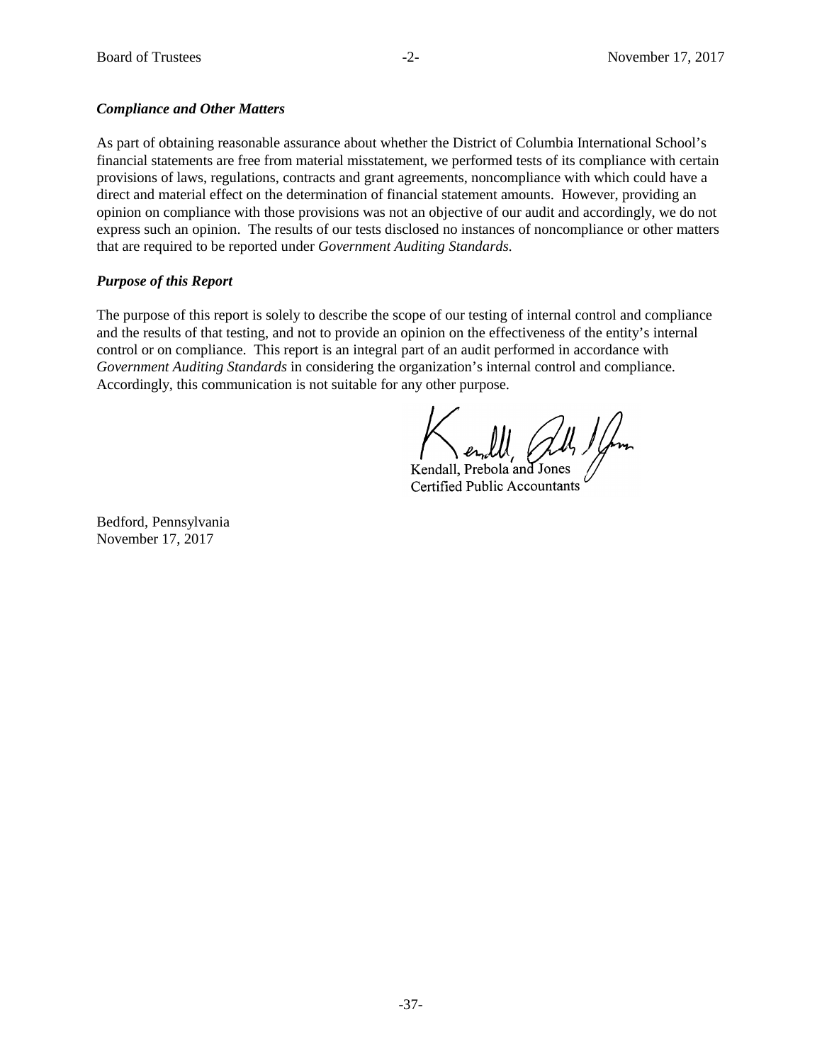## *Compliance and Other Matters*

As part of obtaining reasonable assurance about whether the District of Columbia International School's financial statements are free from material misstatement, we performed tests of its compliance with certain provisions of laws, regulations, contracts and grant agreements, noncompliance with which could have a direct and material effect on the determination of financial statement amounts. However, providing an opinion on compliance with those provisions was not an objective of our audit and accordingly, we do not express such an opinion. The results of our tests disclosed no instances of noncompliance or other matters that are required to be reported under *Government Auditing Standards*.

# *Purpose of this Report*

The purpose of this report is solely to describe the scope of our testing of internal control and compliance and the results of that testing, and not to provide an opinion on the effectiveness of the entity's internal control or on compliance. This report is an integral part of an audit performed in accordance with *Government Auditing Standards* in considering the organization's internal control and compliance. Accordingly, this communication is not suitable for any other purpose.

Kendall, Prebola and Jones Certified Public Accountants

Bedford, Pennsylvania November 17, 2017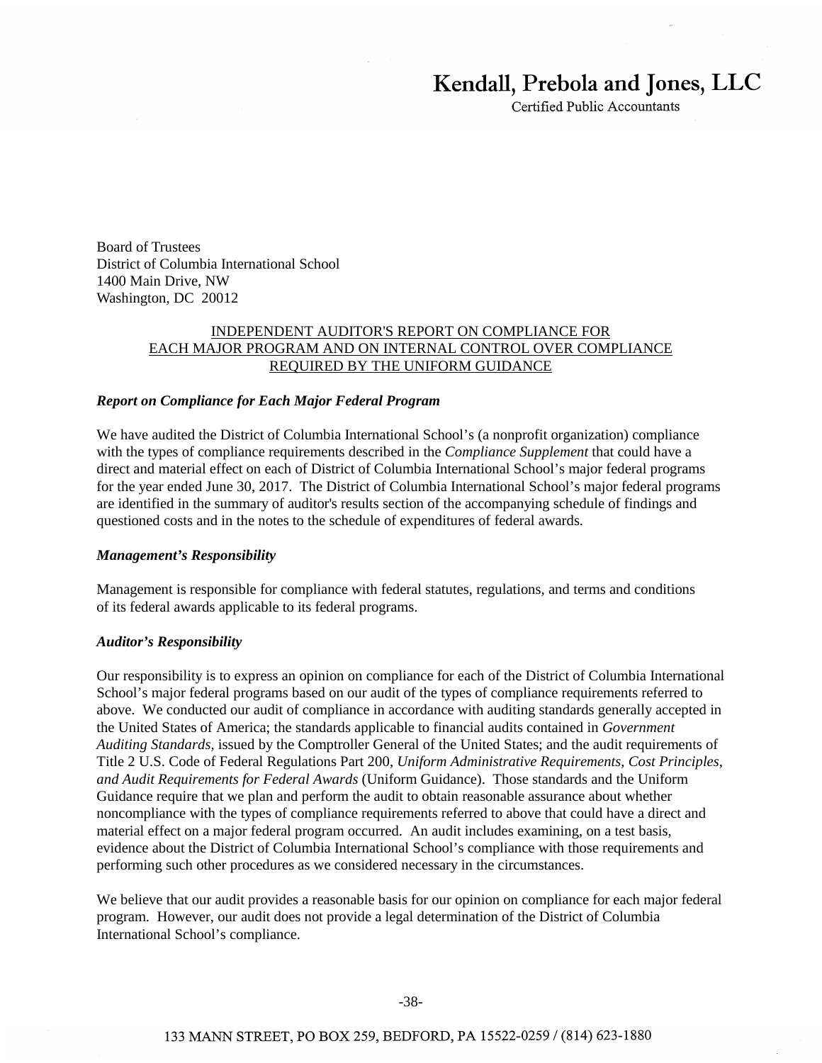# Kendall, Prebola and Jones, LLC

Certified Public Accountants

Board of Trustees District of Columbia International School 1400 Main Drive, NW Washington, DC 20012

## INDEPENDENT AUDITOR'S REPORT ON COMPLIANCE FOR EACH MAJOR PROGRAM AND ON INTERNAL CONTROL OVER COMPLIANCE REQUIRED BY THE UNIFORM GUIDANCE

#### *Report on Compliance for Each Major Federal Program*

We have audited the District of Columbia International School's (a nonprofit organization) compliance with the types of compliance requirements described in the *Compliance Supplement* that could have a direct and material effect on each of District of Columbia International School's major federal programs for the year ended June 30, 2017. The District of Columbia International School's major federal programs are identified in the summary of auditor's results section of the accompanying schedule of findings and questioned costs and in the notes to the schedule of expenditures of federal awards.

#### *Management's Responsibility*

Management is responsible for compliance with federal statutes, regulations, and terms and conditions of its federal awards applicable to its federal programs.

#### *Auditor's Responsibility*

Our responsibility is to express an opinion on compliance for each of the District of Columbia International School's major federal programs based on our audit of the types of compliance requirements referred to above. We conducted our audit of compliance in accordance with auditing standards generally accepted in the United States of America; the standards applicable to financial audits contained in *Government Auditing Standards*, issued by the Comptroller General of the United States; and the audit requirements of Title 2 U.S. Code of Federal Regulations Part 200, *Uniform Administrative Requirements, Cost Principles, and Audit Requirements for Federal Awards* (Uniform Guidance). Those standards and the Uniform Guidance require that we plan and perform the audit to obtain reasonable assurance about whether noncompliance with the types of compliance requirements referred to above that could have a direct and material effect on a major federal program occurred. An audit includes examining, on a test basis, evidence about the District of Columbia International School's compliance with those requirements and performing such other procedures as we considered necessary in the circumstances.

We believe that our audit provides a reasonable basis for our opinion on compliance for each major federal program. However, our audit does not provide a legal determination of the District of Columbia International School's compliance.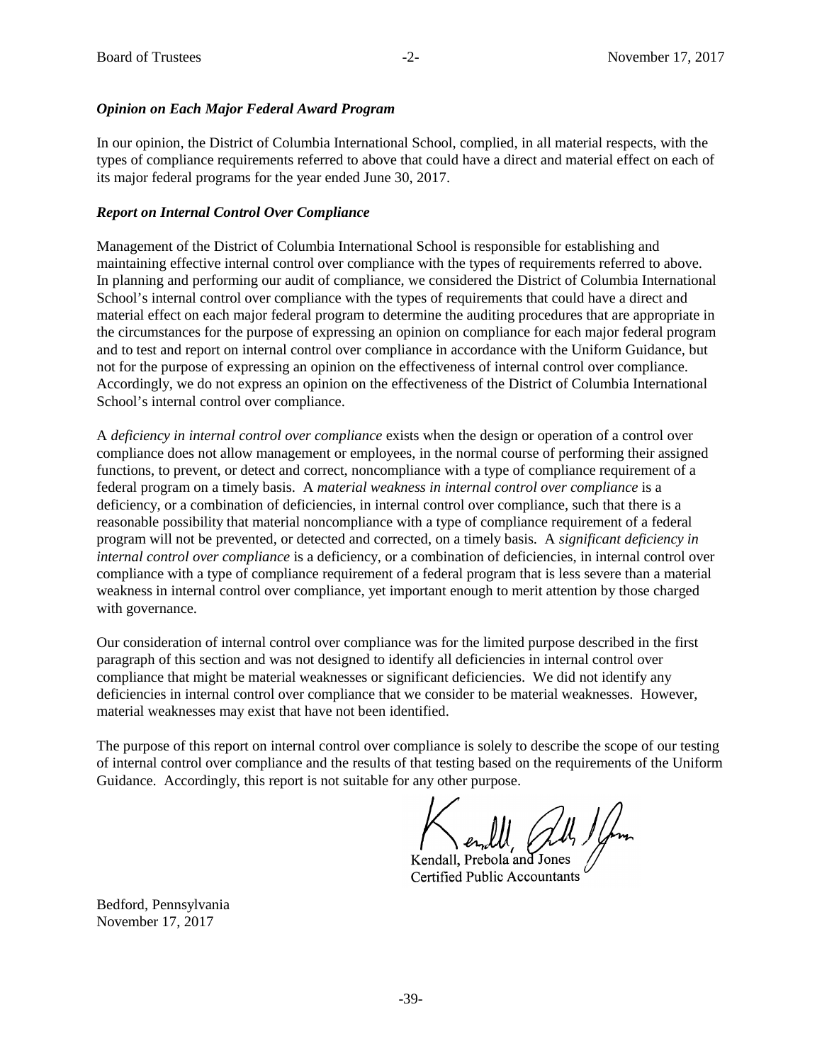## *Opinion on Each Major Federal Award Program*

In our opinion, the District of Columbia International School, complied, in all material respects, with the types of compliance requirements referred to above that could have a direct and material effect on each of its major federal programs for the year ended June 30, 2017.

## *Report on Internal Control Over Compliance*

Management of the District of Columbia International School is responsible for establishing and maintaining effective internal control over compliance with the types of requirements referred to above. In planning and performing our audit of compliance, we considered the District of Columbia International School's internal control over compliance with the types of requirements that could have a direct and material effect on each major federal program to determine the auditing procedures that are appropriate in the circumstances for the purpose of expressing an opinion on compliance for each major federal program and to test and report on internal control over compliance in accordance with the Uniform Guidance, but not for the purpose of expressing an opinion on the effectiveness of internal control over compliance. Accordingly, we do not express an opinion on the effectiveness of the District of Columbia International School's internal control over compliance.

A *deficiency in internal control over compliance* exists when the design or operation of a control over compliance does not allow management or employees, in the normal course of performing their assigned functions, to prevent, or detect and correct, noncompliance with a type of compliance requirement of a federal program on a timely basis. A *material weakness in internal control over compliance* is a deficiency, or a combination of deficiencies, in internal control over compliance, such that there is a reasonable possibility that material noncompliance with a type of compliance requirement of a federal program will not be prevented, or detected and corrected, on a timely basis. A *significant deficiency in internal control over compliance* is a deficiency, or a combination of deficiencies, in internal control over compliance with a type of compliance requirement of a federal program that is less severe than a material weakness in internal control over compliance, yet important enough to merit attention by those charged with governance.

Our consideration of internal control over compliance was for the limited purpose described in the first paragraph of this section and was not designed to identify all deficiencies in internal control over compliance that might be material weaknesses or significant deficiencies. We did not identify any deficiencies in internal control over compliance that we consider to be material weaknesses. However, material weaknesses may exist that have not been identified.

The purpose of this report on internal control over compliance is solely to describe the scope of our testing of internal control over compliance and the results of that testing based on the requirements of the Uniform Guidance. Accordingly, this report is not suitable for any other purpose.

Kendall, Prebola and Jones Certified Public Accountants

Bedford, Pennsylvania November 17, 2017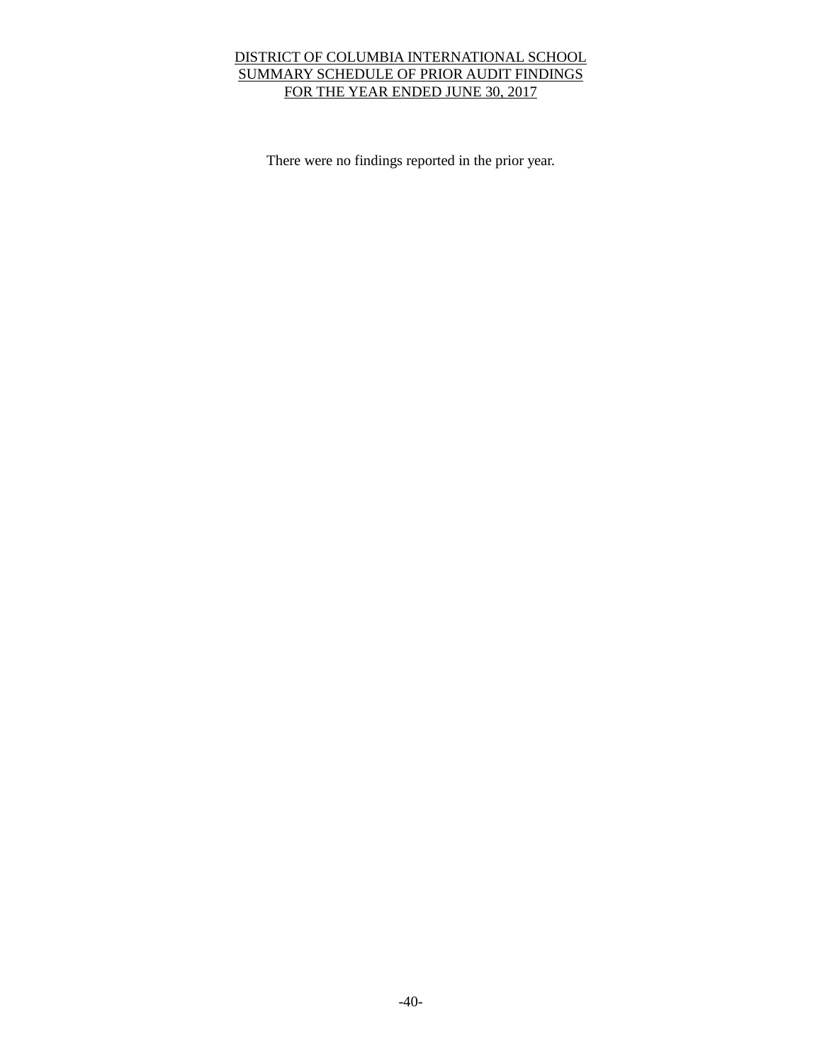# DISTRICT OF COLUMBIA INTERNATIONAL SCHOOL SUMMARY SCHEDULE OF PRIOR AUDIT FINDINGS FOR THE YEAR ENDED JUNE 30, 2017

There were no findings reported in the prior year.